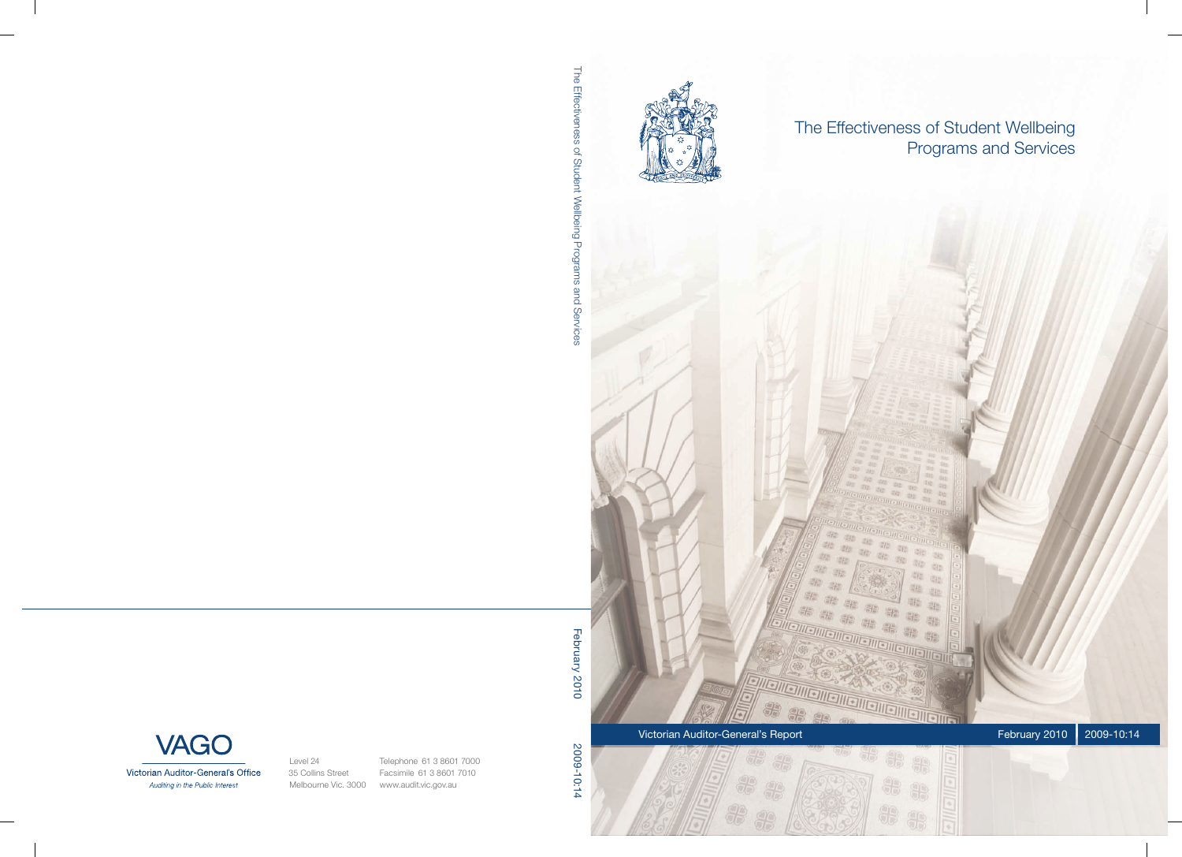

The Effectiveness of Student Wellbeing Programs and Services

 $\partial E$ 中 **生生生生生** Sig.  $20\%$ 亮的 温度 能能 -19) 需 疆 繼 \*\* 36 圖 \*\* 器 张 器 脂 Victorian Auditor-General's Report February 2010 2009-10:14

28

8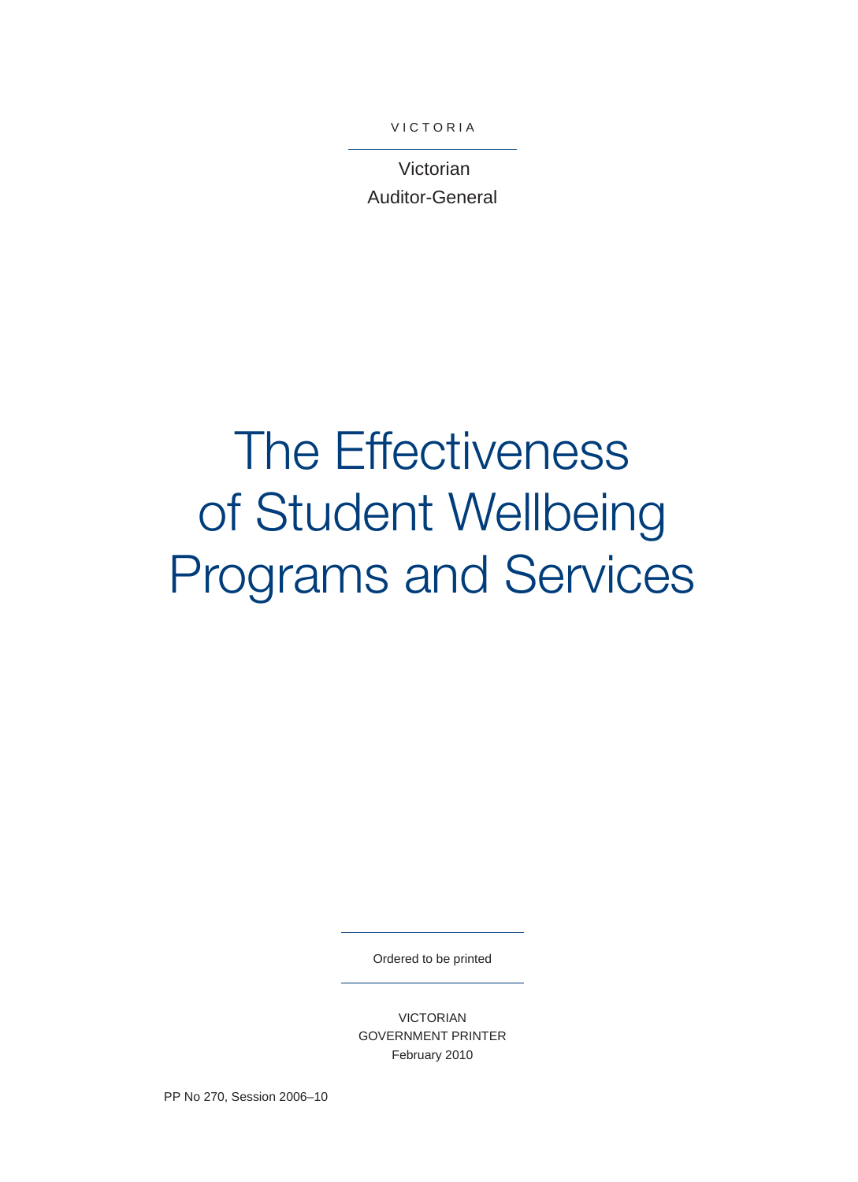**VICTORIA** 

Victorian Auditor-General

# The Effectiveness of Student Wellbeing Programs and Services

Ordered to be printed

VICTORIAN GOVERNMENT PRINTER February 2010

PP No 270, Session 2006–10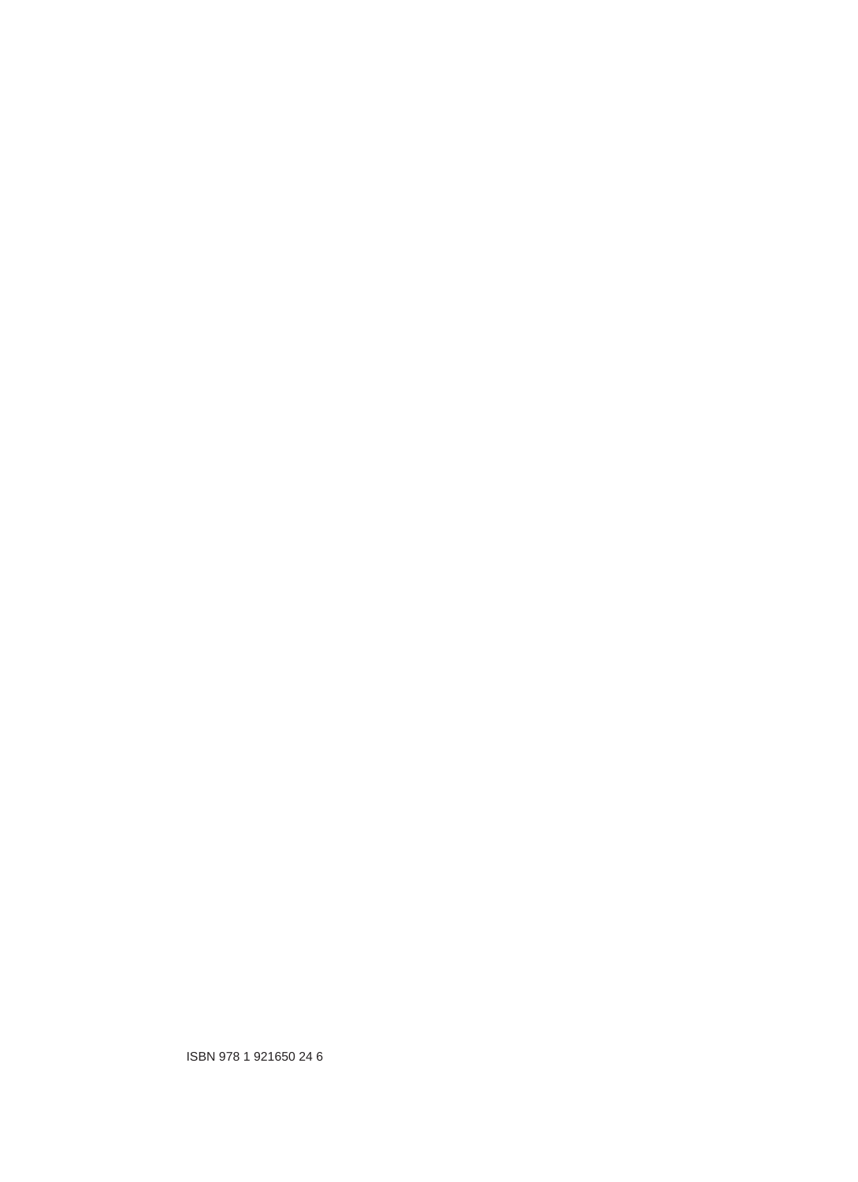ISBN 978 1 921650 24 6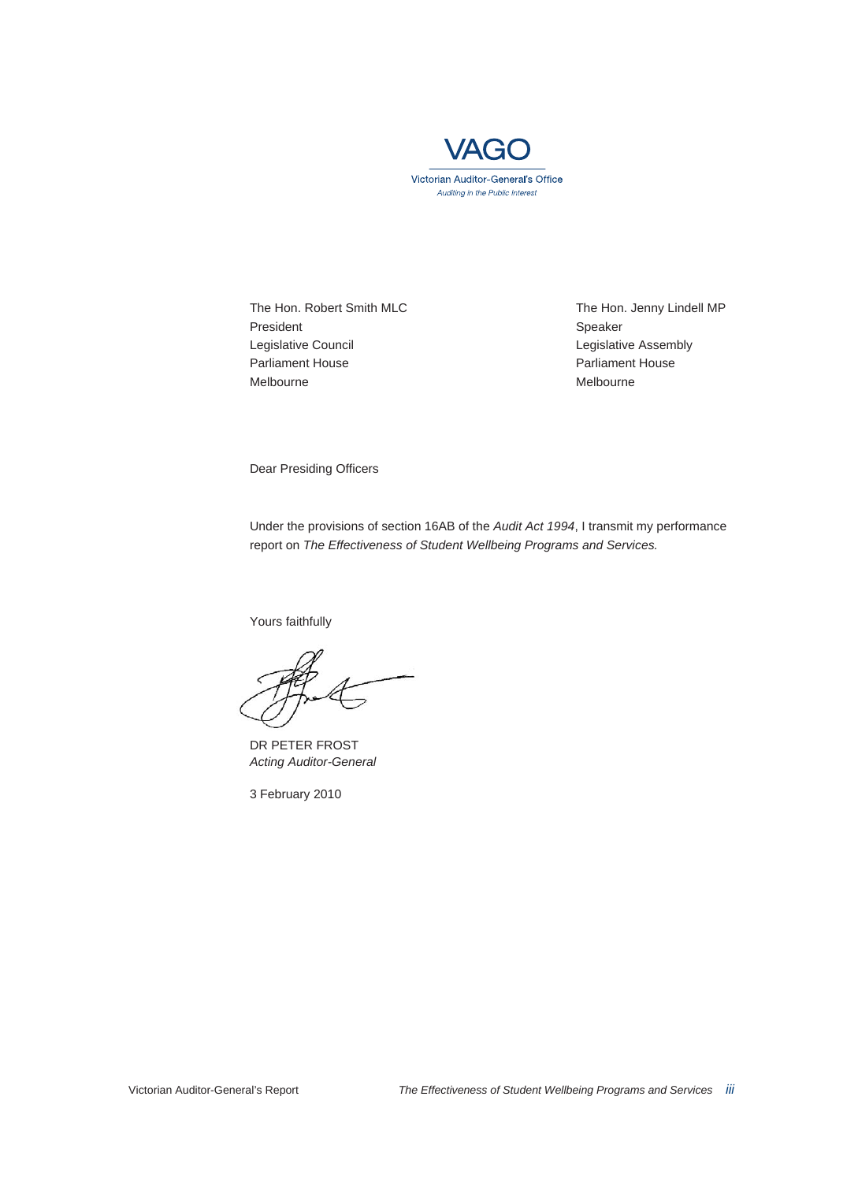

The Hon. Robert Smith MLC The Hon. Jenny Lindell MP President Speaker Legislative Council **Legislative Assembly** Parliament House **Parliament House** Melbourne Melbourne Melbourne Melbourne Melbourne Melbourne Melbourne Melbourne Melbourne Melbourne Melbourne

Dear Presiding Officers

Under the provisions of section 16AB of the *Audit Act 1994*, I transmit my performance report on *The Effectiveness of Student Wellbeing Programs and Services.* 

Yours faithfully

DR PETER FROST *Acting Auditor-General* 

3 February 2010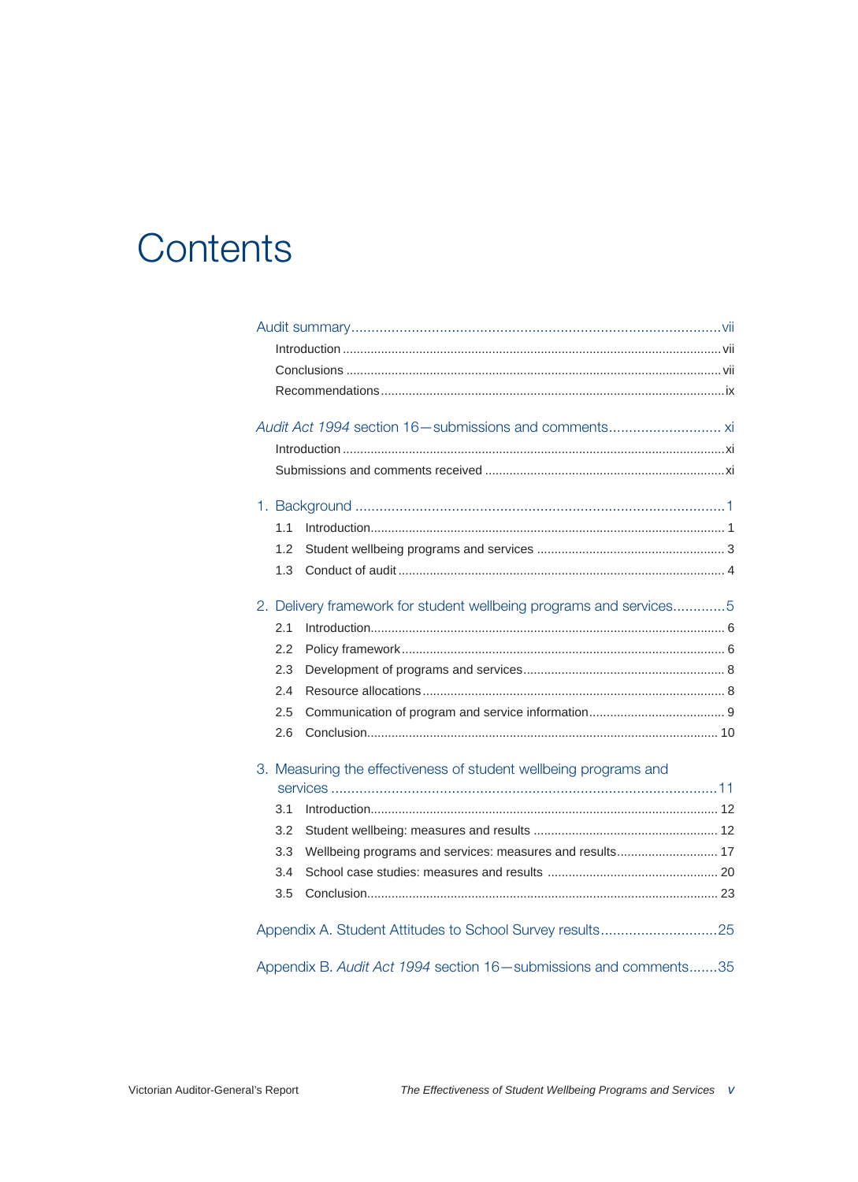# **Contents**

| 1.1                                                                |  |
|--------------------------------------------------------------------|--|
| 1.2                                                                |  |
| 1.3                                                                |  |
| 2. Delivery framework for student wellbeing programs and services5 |  |
| 2.1                                                                |  |
| 2.2                                                                |  |
|                                                                    |  |
| 2.3                                                                |  |
| 2.4                                                                |  |
| 2.5                                                                |  |
| 2.6                                                                |  |
| 3. Measuring the effectiveness of student wellbeing programs and   |  |
|                                                                    |  |
| 3.1                                                                |  |
| 3.2                                                                |  |
| 3.3<br>Wellbeing programs and services: measures and results 17    |  |
| 3.4                                                                |  |
| 3.5                                                                |  |
|                                                                    |  |
|                                                                    |  |
| Appendix B. Audit Act 1994 section 16-submissions and comments35   |  |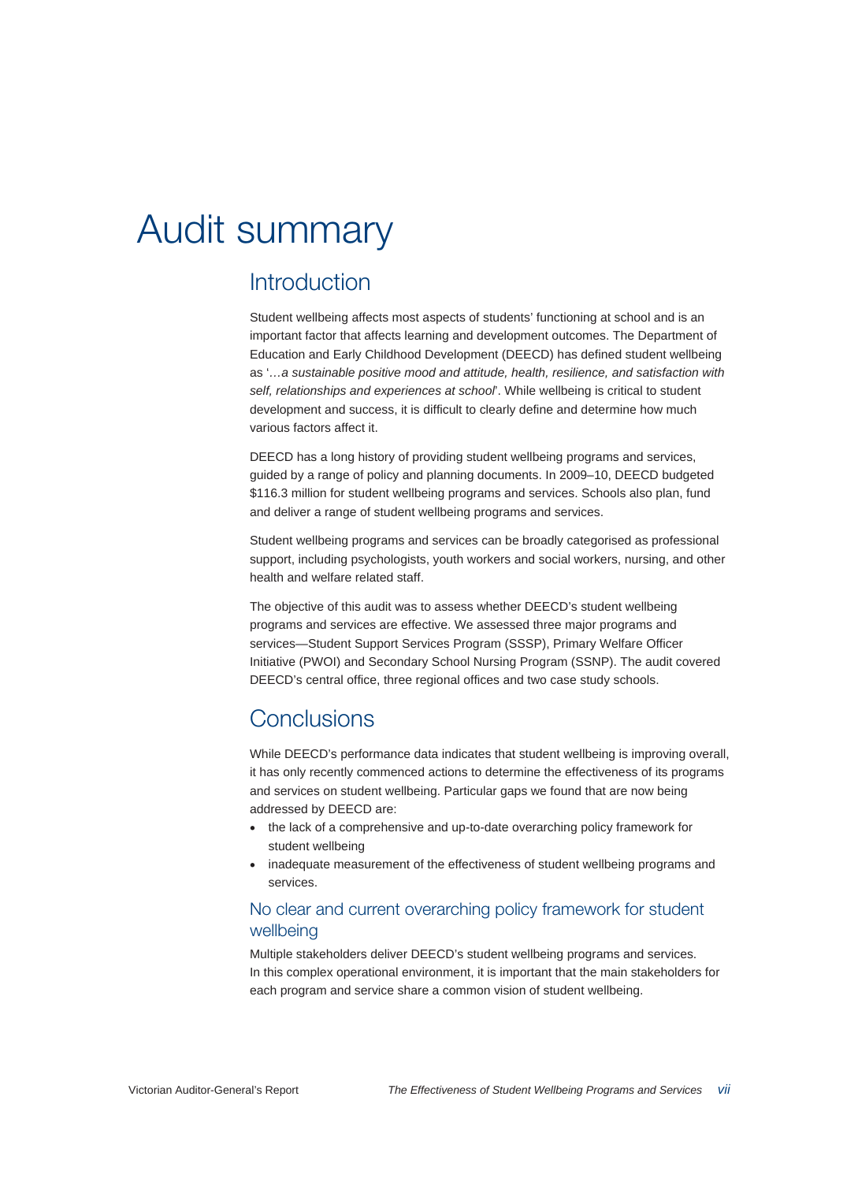# Audit summary

## Introduction

Student wellbeing affects most aspects of students' functioning at school and is an important factor that affects learning and development outcomes. The Department of Education and Early Childhood Development (DEECD) has defined student wellbeing as '*…a sustainable positive mood and attitude, health, resilience, and satisfaction with self, relationships and experiences at school*'. While wellbeing is critical to student development and success, it is difficult to clearly define and determine how much various factors affect it.

DEECD has a long history of providing student wellbeing programs and services, guided by a range of policy and planning documents. In 2009–10, DEECD budgeted \$116.3 million for student wellbeing programs and services. Schools also plan, fund and deliver a range of student wellbeing programs and services.

Student wellbeing programs and services can be broadly categorised as professional support, including psychologists, youth workers and social workers, nursing, and other health and welfare related staff.

The objective of this audit was to assess whether DEECD's student wellbeing programs and services are effective. We assessed three major programs and services—Student Support Services Program (SSSP), Primary Welfare Officer Initiative (PWOI) and Secondary School Nursing Program (SSNP). The audit covered DEECD's central office, three regional offices and two case study schools.

## **Conclusions**

While DEECD's performance data indicates that student wellbeing is improving overall, it has only recently commenced actions to determine the effectiveness of its programs and services on student wellbeing. Particular gaps we found that are now being addressed by DEECD are:

- the lack of a comprehensive and up-to-date overarching policy framework for student wellbeing
- inadequate measurement of the effectiveness of student wellbeing programs and services.

#### No clear and current overarching policy framework for student wellbeing

Multiple stakeholders deliver DEECD's student wellbeing programs and services. In this complex operational environment, it is important that the main stakeholders for each program and service share a common vision of student wellbeing.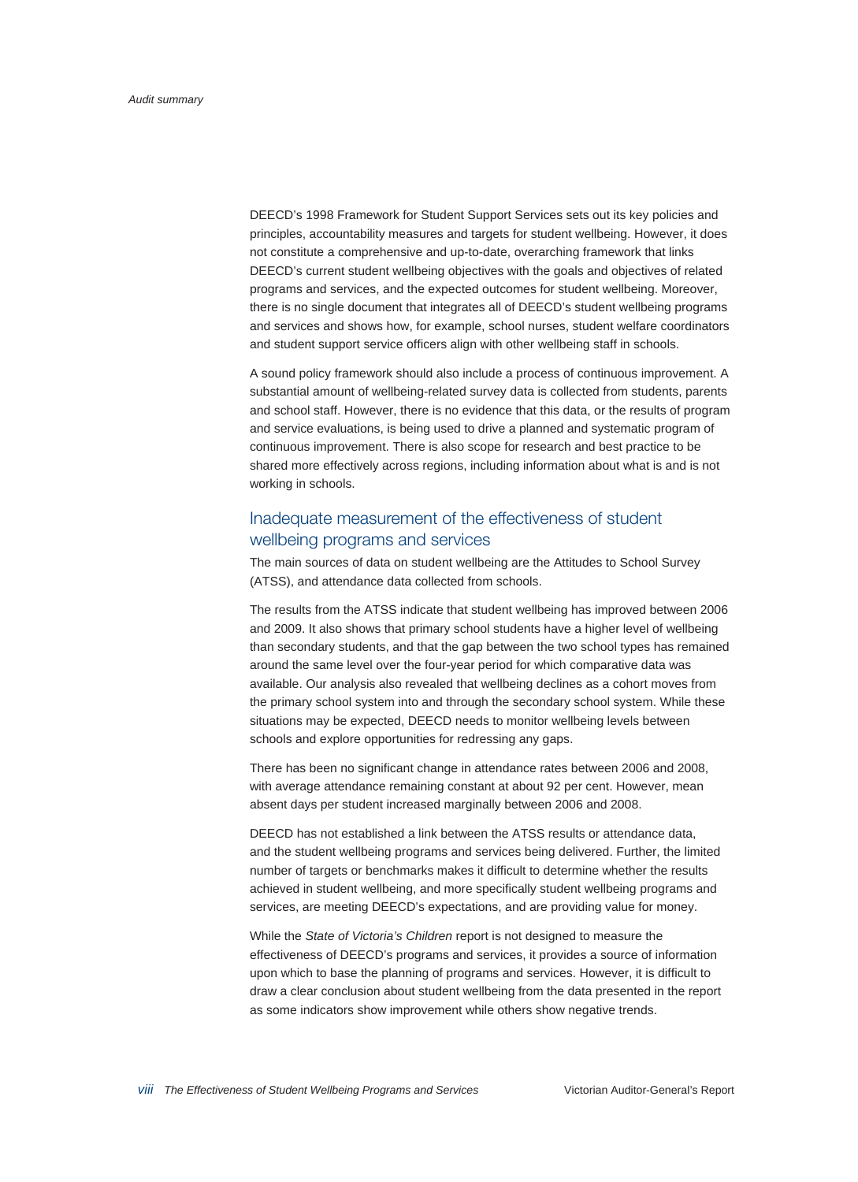DEECD's 1998 Framework for Student Support Services sets out its key policies and principles, accountability measures and targets for student wellbeing. However, it does not constitute a comprehensive and up-to-date, overarching framework that links DEECD's current student wellbeing objectives with the goals and objectives of related programs and services, and the expected outcomes for student wellbeing. Moreover, there is no single document that integrates all of DEECD's student wellbeing programs and services and shows how, for example, school nurses, student welfare coordinators and student support service officers align with other wellbeing staff in schools.

A sound policy framework should also include a process of continuous improvement. A substantial amount of wellbeing-related survey data is collected from students, parents and school staff. However, there is no evidence that this data, or the results of program and service evaluations, is being used to drive a planned and systematic program of continuous improvement. There is also scope for research and best practice to be shared more effectively across regions, including information about what is and is not working in schools.

#### Inadequate measurement of the effectiveness of student wellbeing programs and services

The main sources of data on student wellbeing are the Attitudes to School Survey (ATSS), and attendance data collected from schools.

The results from the ATSS indicate that student wellbeing has improved between 2006 and 2009. It also shows that primary school students have a higher level of wellbeing than secondary students, and that the gap between the two school types has remained around the same level over the four-year period for which comparative data was available. Our analysis also revealed that wellbeing declines as a cohort moves from the primary school system into and through the secondary school system. While these situations may be expected, DEECD needs to monitor wellbeing levels between schools and explore opportunities for redressing any gaps.

There has been no significant change in attendance rates between 2006 and 2008, with average attendance remaining constant at about 92 per cent. However, mean absent days per student increased marginally between 2006 and 2008.

DEECD has not established a link between the ATSS results or attendance data, and the student wellbeing programs and services being delivered. Further, the limited number of targets or benchmarks makes it difficult to determine whether the results achieved in student wellbeing, and more specifically student wellbeing programs and services, are meeting DEECD's expectations, and are providing value for money.

While the *State of Victoria's Children* report is not designed to measure the effectiveness of DEECD's programs and services, it provides a source of information upon which to base the planning of programs and services. However, it is difficult to draw a clear conclusion about student wellbeing from the data presented in the report as some indicators show improvement while others show negative trends.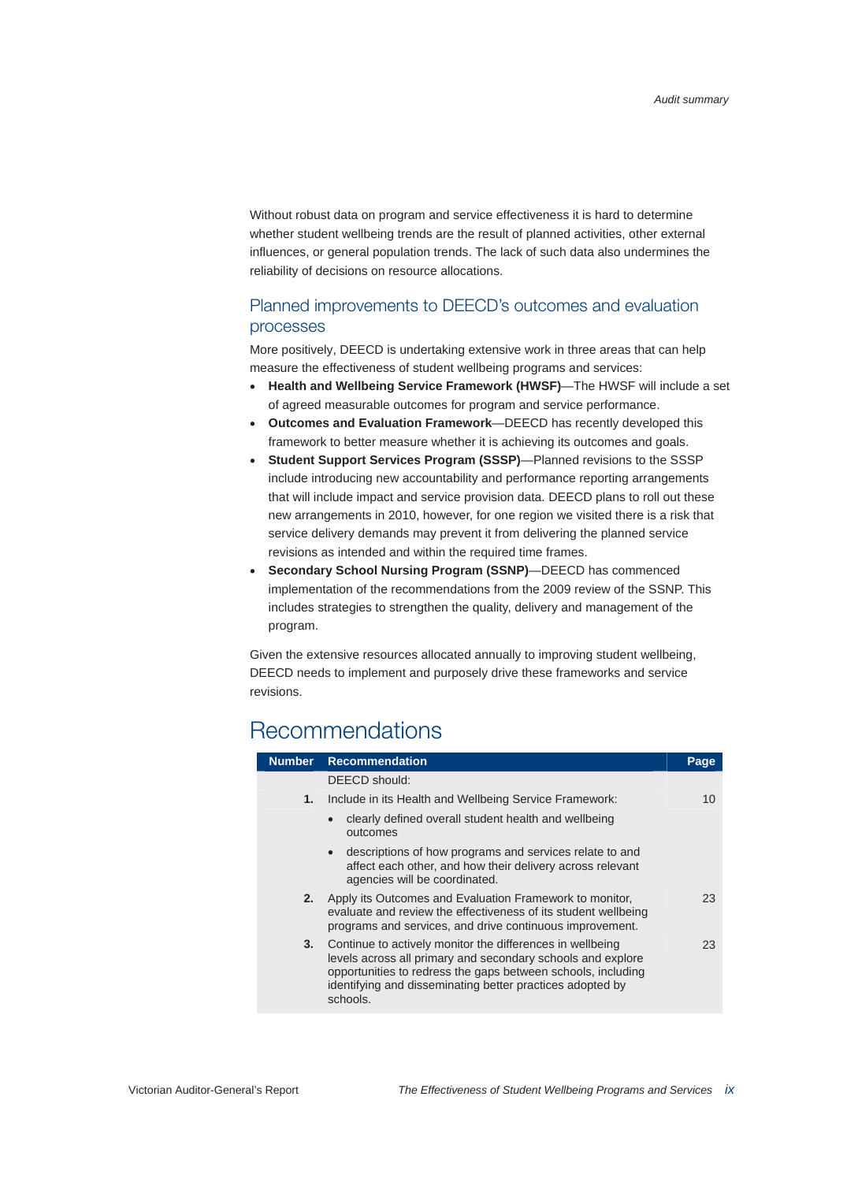Without robust data on program and service effectiveness it is hard to determine whether student wellbeing trends are the result of planned activities, other external influences, or general population trends. The lack of such data also undermines the reliability of decisions on resource allocations.

#### Planned improvements to DEECD's outcomes and evaluation processes

More positively, DEECD is undertaking extensive work in three areas that can help measure the effectiveness of student wellbeing programs and services:

- **Health and Wellbeing Service Framework (HWSF)**—The HWSF will include a set of agreed measurable outcomes for program and service performance.
- **Outcomes and Evaluation Framework**—DEECD has recently developed this framework to better measure whether it is achieving its outcomes and goals.
- **Student Support Services Program (SSSP)**—Planned revisions to the SSSP include introducing new accountability and performance reporting arrangements that will include impact and service provision data. DEECD plans to roll out these new arrangements in 2010, however, for one region we visited there is a risk that service delivery demands may prevent it from delivering the planned service revisions as intended and within the required time frames.
- **Secondary School Nursing Program (SSNP)**—DEECD has commenced implementation of the recommendations from the 2009 review of the SSNP. This includes strategies to strengthen the quality, delivery and management of the program.

Given the extensive resources allocated annually to improving student wellbeing, DEECD needs to implement and purposely drive these frameworks and service revisions.

## Recommendations

| <b>Number</b> | <b>Recommendation</b>                                                                                                                                                                                                                                             | Page |  |  |
|---------------|-------------------------------------------------------------------------------------------------------------------------------------------------------------------------------------------------------------------------------------------------------------------|------|--|--|
|               | DEECD should:                                                                                                                                                                                                                                                     |      |  |  |
| 1.            | Include in its Health and Wellbeing Service Framework:                                                                                                                                                                                                            | 10   |  |  |
|               | clearly defined overall student health and wellbeing<br>$\bullet$<br>outcomes                                                                                                                                                                                     |      |  |  |
|               | descriptions of how programs and services relate to and<br>$\bullet$<br>affect each other, and how their delivery across relevant<br>agencies will be coordinated.                                                                                                |      |  |  |
| 2.            | Apply its Outcomes and Evaluation Framework to monitor,<br>evaluate and review the effectiveness of its student wellbeing<br>programs and services, and drive continuous improvement.                                                                             | 23   |  |  |
| 3.            | Continue to actively monitor the differences in wellbeing<br>levels across all primary and secondary schools and explore<br>opportunities to redress the gaps between schools, including<br>identifying and disseminating better practices adopted by<br>schools. | 23   |  |  |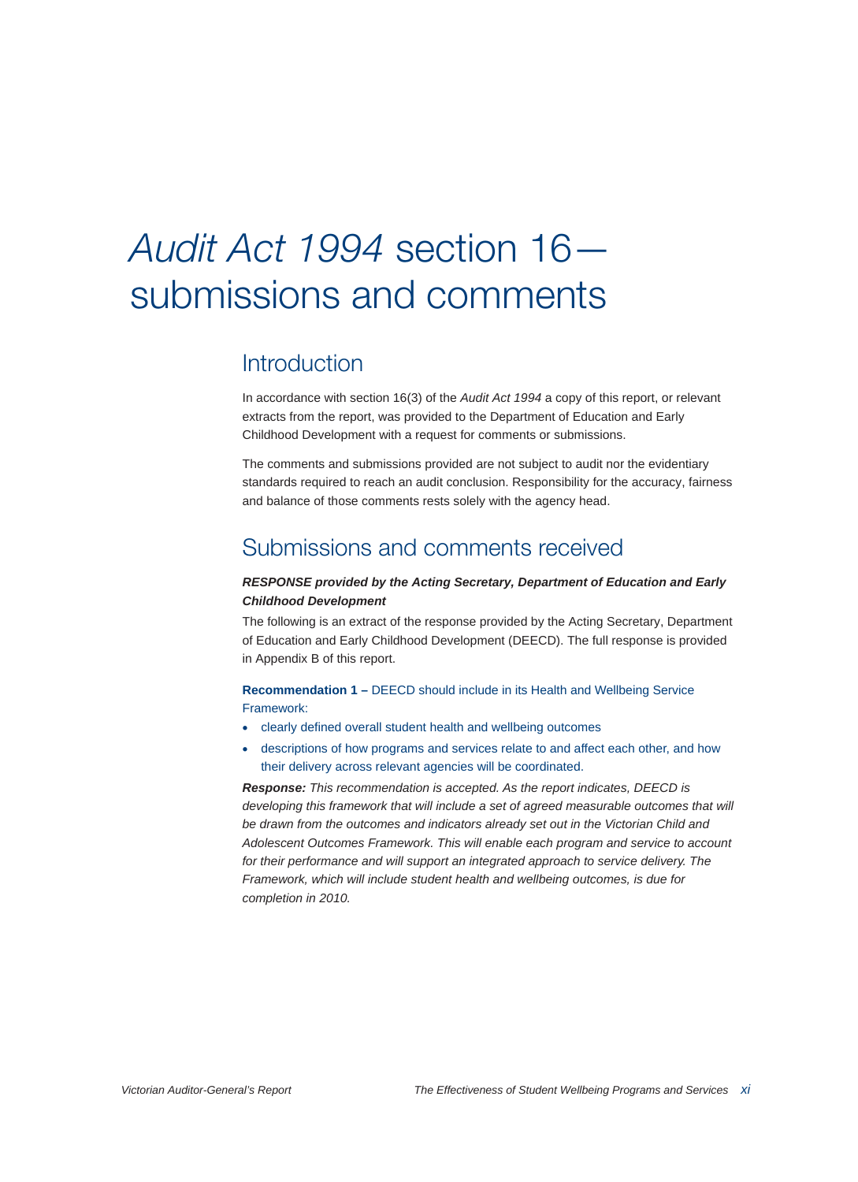# Audit Act 1994 section 16 submissions and comments

## Introduction

In accordance with section 16(3) of the *Audit Act 1994* a copy of this report, or relevant extracts from the report, was provided to the Department of Education and Early Childhood Development with a request for comments or submissions.

The comments and submissions provided are not subject to audit nor the evidentiary standards required to reach an audit conclusion. Responsibility for the accuracy, fairness and balance of those comments rests solely with the agency head.

## Submissions and comments received

#### *RESPONSE provided by the Acting Secretary, Department of Education and Early Childhood Development*

The following is an extract of the response provided by the Acting Secretary, Department of Education and Early Childhood Development (DEECD). The full response is provided in Appendix B of this report.

**Recommendation 1 –** DEECD should include in its Health and Wellbeing Service Framework:

- clearly defined overall student health and wellbeing outcomes
- descriptions of how programs and services relate to and affect each other, and how their delivery across relevant agencies will be coordinated.

*Response: This recommendation is accepted. As the report indicates, DEECD is developing this framework that will include a set of agreed measurable outcomes that will be drawn from the outcomes and indicators already set out in the Victorian Child and Adolescent Outcomes Framework. This will enable each program and service to account*  for their performance and will support an integrated approach to service delivery. The *Framework, which will include student health and wellbeing outcomes, is due for completion in 2010.*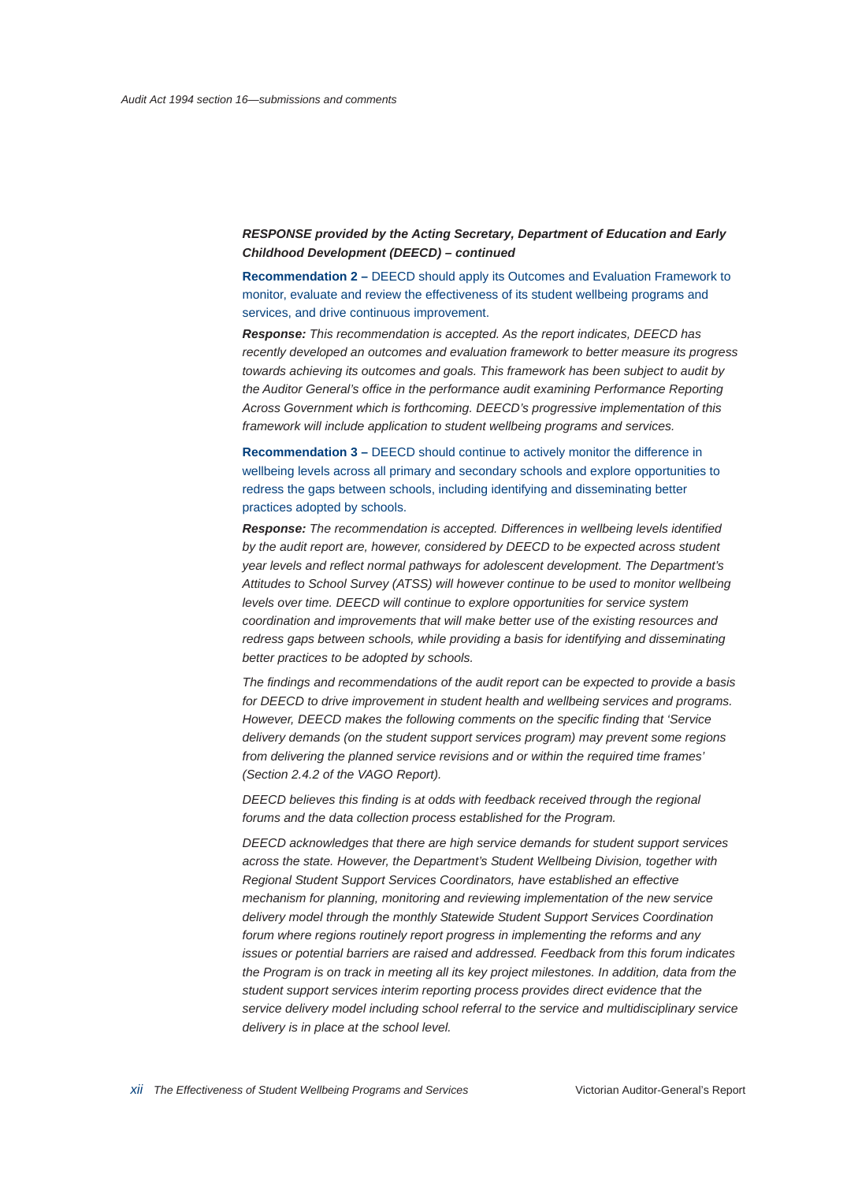**Recommendation 2 –** DEECD should apply its Outcomes and Evaluation Framework to monitor, evaluate and review the effectiveness of its student wellbeing programs and services, and drive continuous improvement.

*Response: This recommendation is accepted. As the report indicates, DEECD has recently developed an outcomes and evaluation framework to better measure its progress towards achieving its outcomes and goals. This framework has been subject to audit by the Auditor General's office in the performance audit examining Performance Reporting Across Government which is forthcoming. DEECD's progressive implementation of this framework will include application to student wellbeing programs and services.* 

**Recommendation 3 –** DEECD should continue to actively monitor the difference in wellbeing levels across all primary and secondary schools and explore opportunities to redress the gaps between schools, including identifying and disseminating better practices adopted by schools.

*Response: The recommendation is accepted. Differences in wellbeing levels identified by the audit report are, however, considered by DEECD to be expected across student year levels and reflect normal pathways for adolescent development. The Department's Attitudes to School Survey (ATSS) will however continue to be used to monitor wellbeing levels over time. DEECD will continue to explore opportunities for service system coordination and improvements that will make better use of the existing resources and redress gaps between schools, while providing a basis for identifying and disseminating better practices to be adopted by schools.* 

*The findings and recommendations of the audit report can be expected to provide a basis for DEECD to drive improvement in student health and wellbeing services and programs. However, DEECD makes the following comments on the specific finding that 'Service delivery demands (on the student support services program) may prevent some regions from delivering the planned service revisions and or within the required time frames' (Section 2.4.2 of the VAGO Report).* 

*DEECD believes this finding is at odds with feedback received through the regional forums and the data collection process established for the Program.* 

*DEECD acknowledges that there are high service demands for student support services across the state. However, the Department's Student Wellbeing Division, together with Regional Student Support Services Coordinators, have established an effective mechanism for planning, monitoring and reviewing implementation of the new service delivery model through the monthly Statewide Student Support Services Coordination forum where regions routinely report progress in implementing the reforms and any issues or potential barriers are raised and addressed. Feedback from this forum indicates the Program is on track in meeting all its key project milestones. In addition, data from the student support services interim reporting process provides direct evidence that the service delivery model including school referral to the service and multidisciplinary service delivery is in place at the school level.*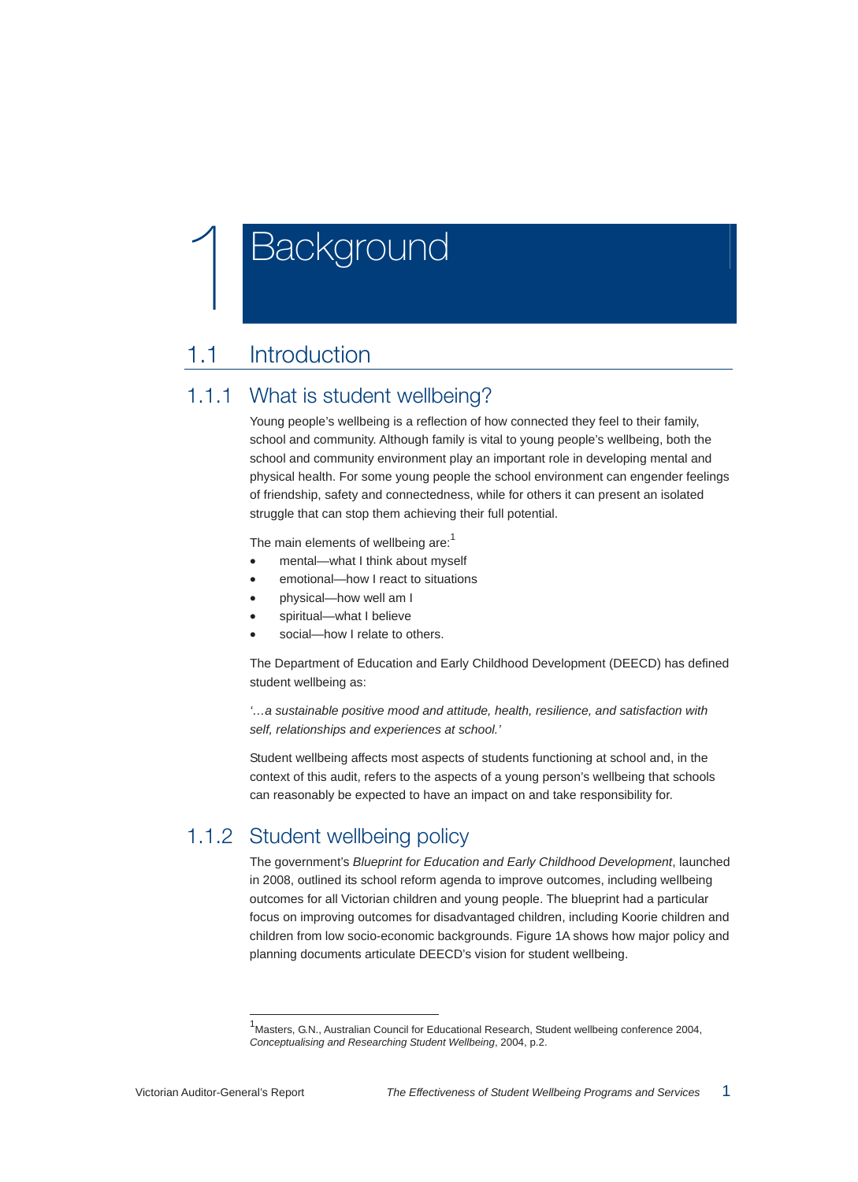# **Background**

## 1.1 Introduction

## 1.1.1 What is student wellbeing?

Young people's wellbeing is a reflection of how connected they feel to their family, school and community. Although family is vital to young people's wellbeing, both the school and community environment play an important role in developing mental and physical health. For some young people the school environment can engender feelings of friendship, safety and connectedness, while for others it can present an isolated struggle that can stop them achieving their full potential.

The main elements of wellbeing are:<sup>1</sup>

- mental—what I think about myself
- emotional—how I react to situations
- physical—how well am I
- spiritual—what I believe
- social-how I relate to others.

The Department of Education and Early Childhood Development (DEECD) has defined student wellbeing as:

*'…a sustainable positive mood and attitude, health, resilience, and satisfaction with self, relationships and experiences at school.'* 

Student wellbeing affects most aspects of students functioning at school and, in the context of this audit, refers to the aspects of a young person's wellbeing that schools can reasonably be expected to have an impact on and take responsibility for.

## 1.1.2 Student wellbeing policy

The government's *Blueprint for Education and Early Childhood Development*, launched in 2008, outlined its school reform agenda to improve outcomes, including wellbeing outcomes for all Victorian children and young people. The blueprint had a particular focus on improving outcomes for disadvantaged children, including Koorie children and children from low socio-economic backgrounds. Figure 1A shows how major policy and planning documents articulate DEECD's vision for student wellbeing.

-

<sup>&</sup>lt;sup>1</sup> Masters, G.N., Australian Council for Educational Research, Student wellbeing conference 2004, *Conceptualising and Researching Student Wellbeing*, 2004, p.2.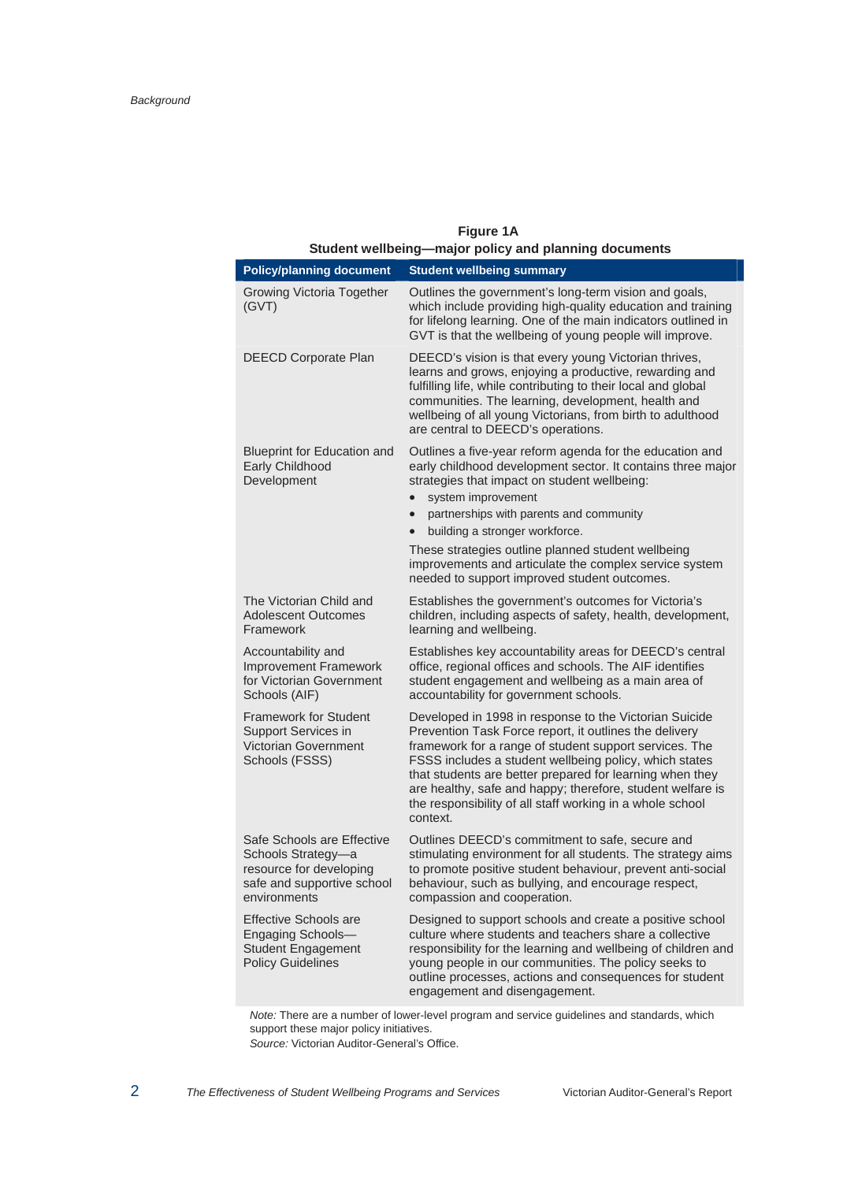| Student wellbeing-major policy and planning documents                                                                     |                                                                                                                                                                                                                                                                                                                                                                                                                                                                                   |  |  |  |  |
|---------------------------------------------------------------------------------------------------------------------------|-----------------------------------------------------------------------------------------------------------------------------------------------------------------------------------------------------------------------------------------------------------------------------------------------------------------------------------------------------------------------------------------------------------------------------------------------------------------------------------|--|--|--|--|
| <b>Policy/planning document</b>                                                                                           | <b>Student wellbeing summary</b>                                                                                                                                                                                                                                                                                                                                                                                                                                                  |  |  |  |  |
| <b>Growing Victoria Together</b><br>(GVT)                                                                                 | Outlines the government's long-term vision and goals,<br>which include providing high-quality education and training<br>for lifelong learning. One of the main indicators outlined in<br>GVT is that the wellbeing of young people will improve.                                                                                                                                                                                                                                  |  |  |  |  |
| <b>DEECD Corporate Plan</b>                                                                                               | DEECD's vision is that every young Victorian thrives,<br>learns and grows, enjoying a productive, rewarding and<br>fulfilling life, while contributing to their local and global<br>communities. The learning, development, health and<br>wellbeing of all young Victorians, from birth to adulthood<br>are central to DEECD's operations.                                                                                                                                        |  |  |  |  |
| <b>Blueprint for Education and</b><br>Early Childhood<br>Development                                                      | Outlines a five-year reform agenda for the education and<br>early childhood development sector. It contains three major<br>strategies that impact on student wellbeing:<br>system improvement<br>$\bullet$<br>partnerships with parents and community<br>$\bullet$<br>building a stronger workforce.<br>$\bullet$<br>These strategies outline planned student wellbeing<br>improvements and articulate the complex service system<br>needed to support improved student outcomes. |  |  |  |  |
| The Victorian Child and<br>Adolescent Outcomes<br>Framework                                                               | Establishes the government's outcomes for Victoria's<br>children, including aspects of safety, health, development,<br>learning and wellbeing.                                                                                                                                                                                                                                                                                                                                    |  |  |  |  |
| Accountability and<br><b>Improvement Framework</b><br>for Victorian Government<br>Schools (AIF)                           | Establishes key accountability areas for DEECD's central<br>office, regional offices and schools. The AIF identifies<br>student engagement and wellbeing as a main area of<br>accountability for government schools.                                                                                                                                                                                                                                                              |  |  |  |  |
| <b>Framework for Student</b><br>Support Services in<br><b>Victorian Government</b><br>Schools (FSSS)                      | Developed in 1998 in response to the Victorian Suicide<br>Prevention Task Force report, it outlines the delivery<br>framework for a range of student support services. The<br>FSSS includes a student wellbeing policy, which states<br>that students are better prepared for learning when they<br>are healthy, safe and happy; therefore, student welfare is<br>the responsibility of all staff working in a whole school<br>context.                                           |  |  |  |  |
| Safe Schools are Effective<br>Schools Strategy-a<br>resource for developing<br>safe and supportive school<br>environments | Outlines DEECD's commitment to safe, secure and<br>stimulating environment for all students. The strategy aims<br>to promote positive student behaviour, prevent anti-social<br>behaviour, such as bullying, and encourage respect,<br>compassion and cooperation.                                                                                                                                                                                                                |  |  |  |  |
| <b>Effective Schools are</b><br>Engaging Schools-<br><b>Student Engagement</b><br><b>Policy Guidelines</b>                | Designed to support schools and create a positive school<br>culture where students and teachers share a collective<br>responsibility for the learning and wellbeing of children and<br>young people in our communities. The policy seeks to<br>outline processes, actions and consequences for student<br>engagement and disengagement.                                                                                                                                           |  |  |  |  |

**Figure 1A** 

#### *Note:* There are a number of lower-level program and service guidelines and standards, which support these major policy initiatives.

*Source:* Victorian Auditor-General's Office.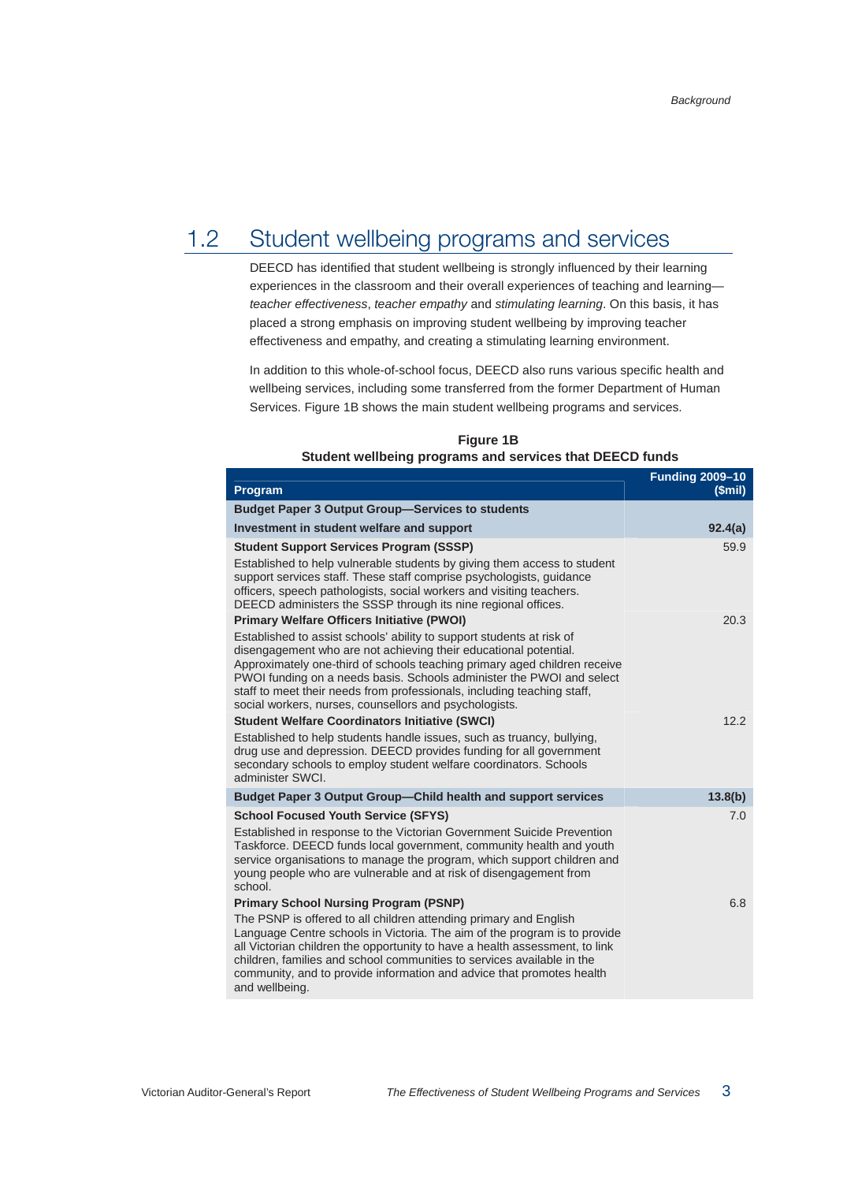## 1.2 Student wellbeing programs and services

DEECD has identified that student wellbeing is strongly influenced by their learning experiences in the classroom and their overall experiences of teaching and learning *teacher effectiveness*, *teacher empathy* and *stimulating learning*. On this basis, it has placed a strong emphasis on improving student wellbeing by improving teacher effectiveness and empathy, and creating a stimulating learning environment.

In addition to this whole-of-school focus, DEECD also runs various specific health and wellbeing services, including some transferred from the former Department of Human Services. Figure 1B shows the main student wellbeing programs and services.

| Program                                                                                                                                                                                                                                                                                                                                                                                                                              | <b>Funding 2009-10</b><br>(Smil) |
|--------------------------------------------------------------------------------------------------------------------------------------------------------------------------------------------------------------------------------------------------------------------------------------------------------------------------------------------------------------------------------------------------------------------------------------|----------------------------------|
| <b>Budget Paper 3 Output Group-Services to students</b>                                                                                                                                                                                                                                                                                                                                                                              |                                  |
| Investment in student welfare and support                                                                                                                                                                                                                                                                                                                                                                                            | 92.4(a)                          |
| <b>Student Support Services Program (SSSP)</b><br>Established to help vulnerable students by giving them access to student<br>support services staff. These staff comprise psychologists, guidance<br>officers, speech pathologists, social workers and visiting teachers.<br>DEECD administers the SSSP through its nine regional offices.                                                                                          | 59.9                             |
| <b>Primary Welfare Officers Initiative (PWOI)</b>                                                                                                                                                                                                                                                                                                                                                                                    | 20.3                             |
| Established to assist schools' ability to support students at risk of<br>disengagement who are not achieving their educational potential.<br>Approximately one-third of schools teaching primary aged children receive<br>PWOI funding on a needs basis. Schools administer the PWOI and select<br>staff to meet their needs from professionals, including teaching staff,<br>social workers, nurses, counsellors and psychologists. |                                  |
| <b>Student Welfare Coordinators Initiative (SWCI)</b>                                                                                                                                                                                                                                                                                                                                                                                | 12.2                             |
| Established to help students handle issues, such as truancy, bullying,<br>drug use and depression. DEECD provides funding for all government<br>secondary schools to employ student welfare coordinators. Schools<br>administer SWCI.                                                                                                                                                                                                |                                  |
| <b>Budget Paper 3 Output Group-Child health and support services</b>                                                                                                                                                                                                                                                                                                                                                                 | 13.8(b)                          |
| <b>School Focused Youth Service (SFYS)</b><br>Established in response to the Victorian Government Suicide Prevention<br>Taskforce. DEECD funds local government, community health and youth<br>service organisations to manage the program, which support children and<br>young people who are vulnerable and at risk of disengagement from<br>school.                                                                               | 7.0                              |
| <b>Primary School Nursing Program (PSNP)</b>                                                                                                                                                                                                                                                                                                                                                                                         | 6.8                              |
| The PSNP is offered to all children attending primary and English<br>Language Centre schools in Victoria. The aim of the program is to provide<br>all Victorian children the opportunity to have a health assessment, to link<br>children, families and school communities to services available in the<br>community, and to provide information and advice that promotes health<br>and wellbeing.                                   |                                  |

**Figure 1B Student wellbeing programs and services that DEECD funds**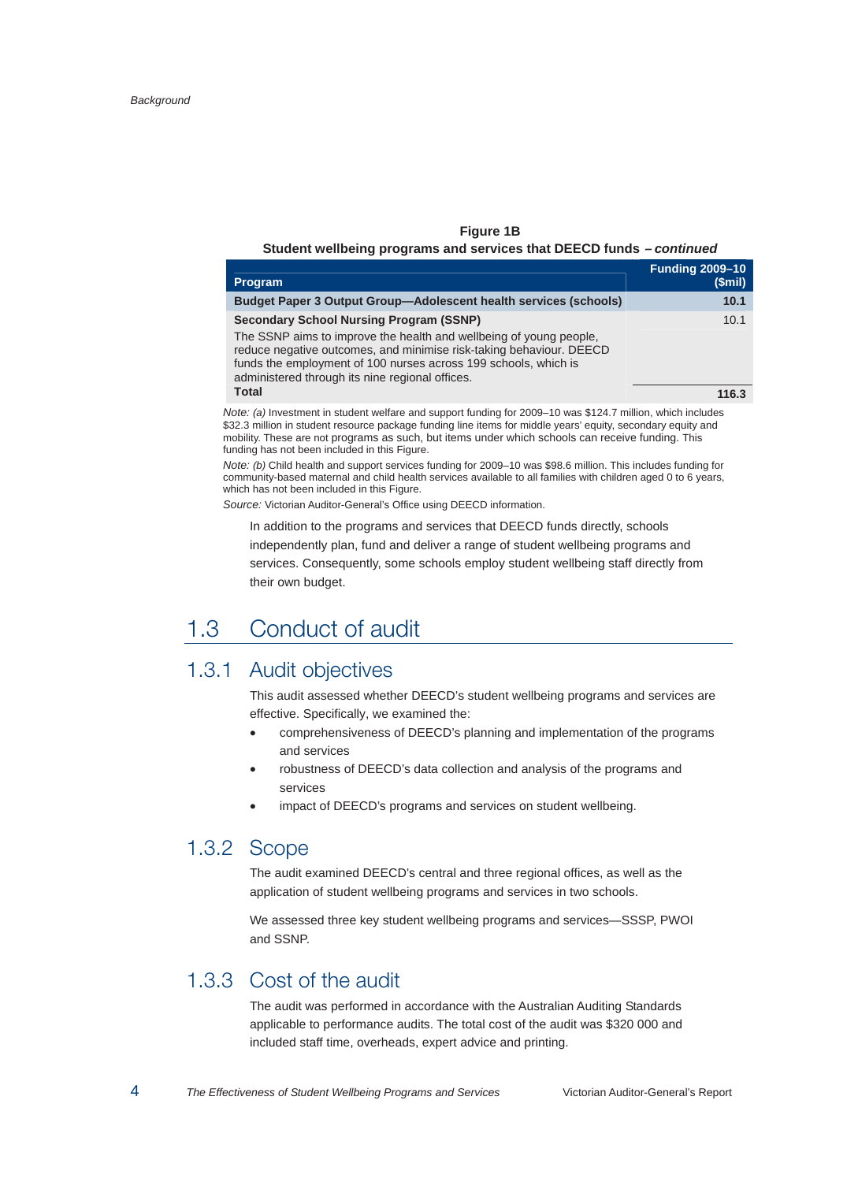#### **Figure 1B**

#### **Student wellbeing programs and services that DEECD funds –** *continued*

| <b>Program</b>                                                                                                                                                                                                                                                                                                    | <b>Funding 2009-10</b><br>(Smil) |
|-------------------------------------------------------------------------------------------------------------------------------------------------------------------------------------------------------------------------------------------------------------------------------------------------------------------|----------------------------------|
| <b>Budget Paper 3 Output Group—Adolescent health services (schools)</b>                                                                                                                                                                                                                                           | 10.1                             |
| <b>Secondary School Nursing Program (SSNP)</b><br>The SSNP aims to improve the health and wellbeing of young people.<br>reduce negative outcomes, and minimise risk-taking behaviour. DEECD<br>funds the employment of 100 nurses across 199 schools, which is<br>administered through its nine regional offices. | 10.1                             |
| <b>Total</b>                                                                                                                                                                                                                                                                                                      | 116.3                            |

*Note: (a)* Investment in student welfare and support funding for 2009–10 was \$124.7 million, which includes \$32.3 million in student resource package funding line items for middle years' equity, secondary equity and mobility. These are not programs as such, but items under which schools can receive funding. This funding has not been included in this Figure.

*Note: (b)* Child health and support services funding for 2009–10 was \$98.6 million. This includes funding for community-based maternal and child health services available to all families with children aged 0 to 6 years, which has not been included in this Figure.

*Source:* Victorian Auditor-General's Office using DEECD information.

In addition to the programs and services that DEECD funds directly, schools independently plan, fund and deliver a range of student wellbeing programs and services. Consequently, some schools employ student wellbeing staff directly from their own budget.

## 1.3 Conduct of audit

## 1.3.1 Audit objectives

This audit assessed whether DEECD's student wellbeing programs and services are effective. Specifically, we examined the:

- comprehensiveness of DEECD's planning and implementation of the programs and services
- robustness of DEECD's data collection and analysis of the programs and services
- impact of DEECD's programs and services on student wellbeing.

## 1.3.2 Scope

The audit examined DEECD's central and three regional offices, as well as the application of student wellbeing programs and services in two schools.

We assessed three key student wellbeing programs and services—SSSP, PWOI and SSNP.

## 1.3.3 Cost of the audit

The audit was performed in accordance with the Australian Auditing Standards applicable to performance audits. The total cost of the audit was \$320 000 and included staff time, overheads, expert advice and printing.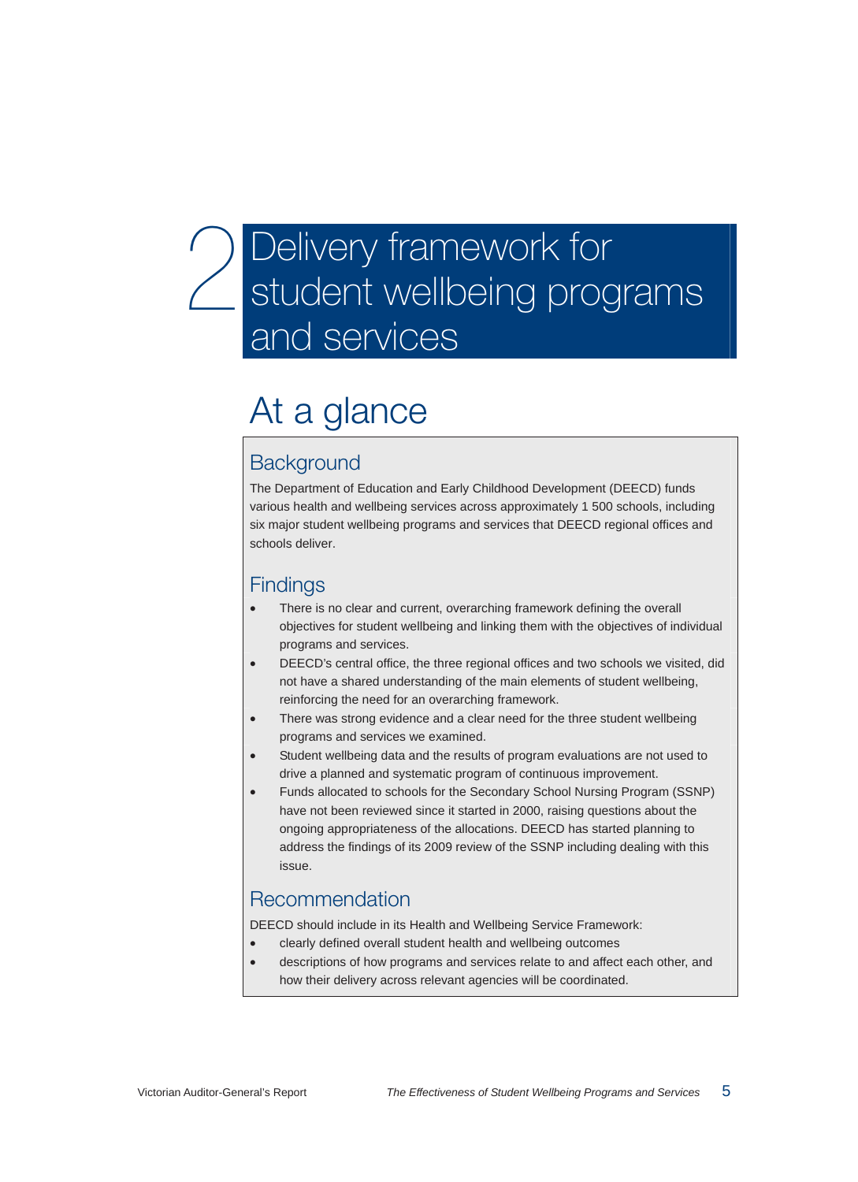# Delivery framework for student wellbeing programs and services

# At a glance

## **Background**

The Department of Education and Early Childhood Development (DEECD) funds various health and wellbeing services across approximately 1 500 schools, including six major student wellbeing programs and services that DEECD regional offices and schools deliver.

## **Findings**

- There is no clear and current, overarching framework defining the overall objectives for student wellbeing and linking them with the objectives of individual programs and services.
- DEECD's central office, the three regional offices and two schools we visited, did not have a shared understanding of the main elements of student wellbeing, reinforcing the need for an overarching framework.
- There was strong evidence and a clear need for the three student wellbeing programs and services we examined.
- Student wellbeing data and the results of program evaluations are not used to drive a planned and systematic program of continuous improvement.
- Funds allocated to schools for the Secondary School Nursing Program (SSNP) have not been reviewed since it started in 2000, raising questions about the ongoing appropriateness of the allocations. DEECD has started planning to address the findings of its 2009 review of the SSNP including dealing with this issue.

## Recommendation

DEECD should include in its Health and Wellbeing Service Framework:

- clearly defined overall student health and wellbeing outcomes
- descriptions of how programs and services relate to and affect each other, and how their delivery across relevant agencies will be coordinated.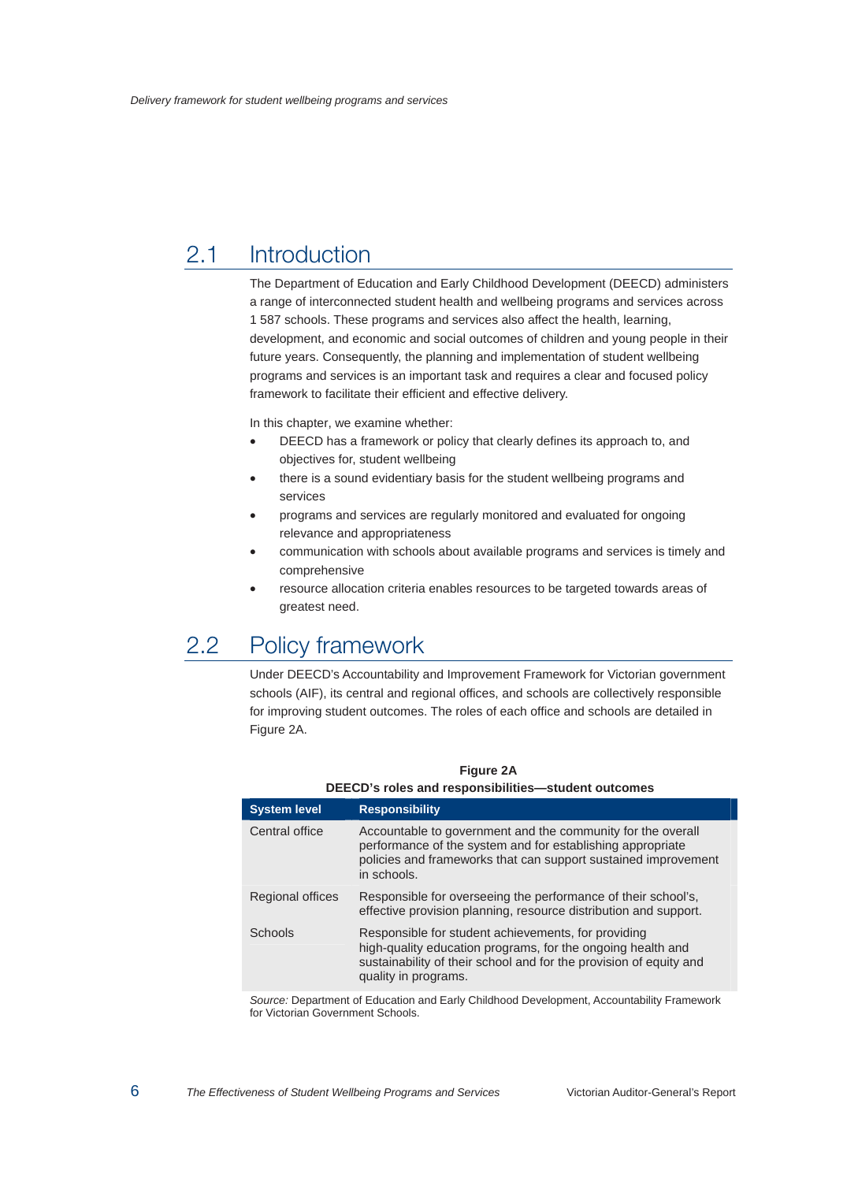## 2.1 Introduction

The Department of Education and Early Childhood Development (DEECD) administers a range of interconnected student health and wellbeing programs and services across 1 587 schools. These programs and services also affect the health, learning, development, and economic and social outcomes of children and young people in their future years. Consequently, the planning and implementation of student wellbeing programs and services is an important task and requires a clear and focused policy framework to facilitate their efficient and effective delivery.

In this chapter, we examine whether:

- DEECD has a framework or policy that clearly defines its approach to, and objectives for, student wellbeing
- there is a sound evidentiary basis for the student wellbeing programs and services
- programs and services are regularly monitored and evaluated for ongoing relevance and appropriateness
- communication with schools about available programs and services is timely and comprehensive
- resource allocation criteria enables resources to be targeted towards areas of greatest need.

## 2.2 Policy framework

Under DEECD's Accountability and Improvement Framework for Victorian government schools (AIF), its central and regional offices, and schools are collectively responsible for improving student outcomes. The roles of each office and schools are detailed in Figure 2A.

| DEECD's roles and responsibilities—student outcomes |                                                                                                                                                                                                                  |  |  |  |
|-----------------------------------------------------|------------------------------------------------------------------------------------------------------------------------------------------------------------------------------------------------------------------|--|--|--|
| <b>System level</b>                                 | <b>Responsibility</b>                                                                                                                                                                                            |  |  |  |
| Central office                                      | Accountable to government and the community for the overall<br>performance of the system and for establishing appropriate<br>policies and frameworks that can support sustained improvement<br>in schools.       |  |  |  |
| Regional offices                                    | Responsible for overseeing the performance of their school's,<br>effective provision planning, resource distribution and support.                                                                                |  |  |  |
| Schools                                             | Responsible for student achievements, for providing<br>high-quality education programs, for the ongoing health and<br>sustainability of their school and for the provision of equity and<br>quality in programs. |  |  |  |

#### **Figure 2A DEECD's roles and responsibilities—student outcomes**

*Source:* Department of Education and Early Childhood Development, Accountability Framework for Victorian Government Schools.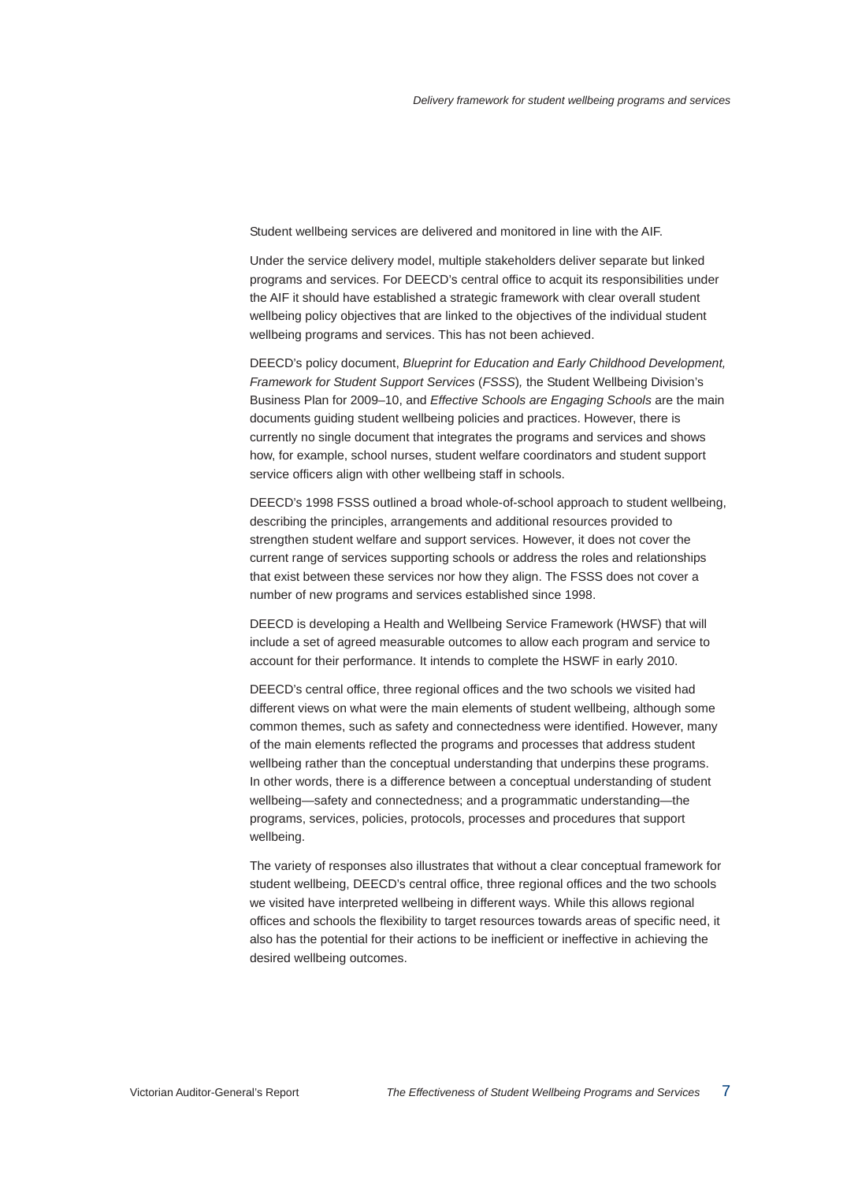Student wellbeing services are delivered and monitored in line with the AIF.

Under the service delivery model, multiple stakeholders deliver separate but linked programs and services. For DEECD's central office to acquit its responsibilities under the AIF it should have established a strategic framework with clear overall student wellbeing policy objectives that are linked to the objectives of the individual student wellbeing programs and services. This has not been achieved.

DEECD's policy document, *Blueprint for Education and Early Childhood Development, Framework for Student Support Services* (*FSSS*)*,* the Student Wellbeing Division's Business Plan for 2009–10, and *Effective Schools are Engaging Schools* are the main documents guiding student wellbeing policies and practices. However, there is currently no single document that integrates the programs and services and shows how, for example, school nurses, student welfare coordinators and student support service officers align with other wellbeing staff in schools.

DEECD's 1998 FSSS outlined a broad whole-of-school approach to student wellbeing, describing the principles, arrangements and additional resources provided to strengthen student welfare and support services. However, it does not cover the current range of services supporting schools or address the roles and relationships that exist between these services nor how they align. The FSSS does not cover a number of new programs and services established since 1998.

DEECD is developing a Health and Wellbeing Service Framework (HWSF) that will include a set of agreed measurable outcomes to allow each program and service to account for their performance. It intends to complete the HSWF in early 2010.

DEECD's central office, three regional offices and the two schools we visited had different views on what were the main elements of student wellbeing, although some common themes, such as safety and connectedness were identified. However, many of the main elements reflected the programs and processes that address student wellbeing rather than the conceptual understanding that underpins these programs. In other words, there is a difference between a conceptual understanding of student wellbeing—safety and connectedness; and a programmatic understanding—the programs, services, policies, protocols, processes and procedures that support wellbeing.

The variety of responses also illustrates that without a clear conceptual framework for student wellbeing, DEECD's central office, three regional offices and the two schools we visited have interpreted wellbeing in different ways. While this allows regional offices and schools the flexibility to target resources towards areas of specific need, it also has the potential for their actions to be inefficient or ineffective in achieving the desired wellbeing outcomes.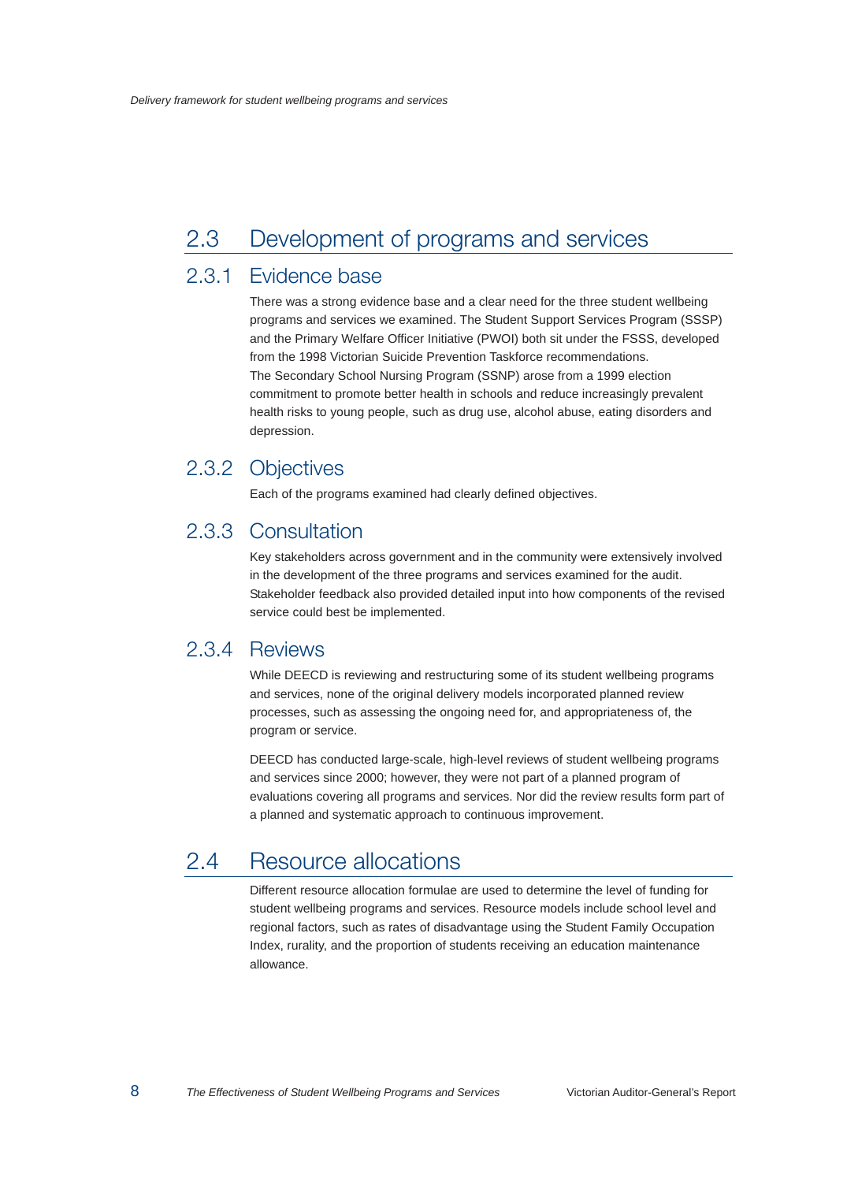## 2.3 Development of programs and services

## 2.3.1 Evidence base

There was a strong evidence base and a clear need for the three student wellbeing programs and services we examined. The Student Support Services Program (SSSP) and the Primary Welfare Officer Initiative (PWOI) both sit under the FSSS, developed from the 1998 Victorian Suicide Prevention Taskforce recommendations. The Secondary School Nursing Program (SSNP) arose from a 1999 election commitment to promote better health in schools and reduce increasingly prevalent health risks to young people, such as drug use, alcohol abuse, eating disorders and depression.

## 2.3.2 Objectives

Each of the programs examined had clearly defined objectives.

## 2.3.3 Consultation

Key stakeholders across government and in the community were extensively involved in the development of the three programs and services examined for the audit. Stakeholder feedback also provided detailed input into how components of the revised service could best be implemented.

## 2.3.4 Reviews

While DEECD is reviewing and restructuring some of its student wellbeing programs and services, none of the original delivery models incorporated planned review processes, such as assessing the ongoing need for, and appropriateness of, the program or service.

DEECD has conducted large-scale, high-level reviews of student wellbeing programs and services since 2000; however, they were not part of a planned program of evaluations covering all programs and services. Nor did the review results form part of a planned and systematic approach to continuous improvement.

## 2.4 Resource allocations

Different resource allocation formulae are used to determine the level of funding for student wellbeing programs and services. Resource models include school level and regional factors, such as rates of disadvantage using the Student Family Occupation Index, rurality, and the proportion of students receiving an education maintenance allowance.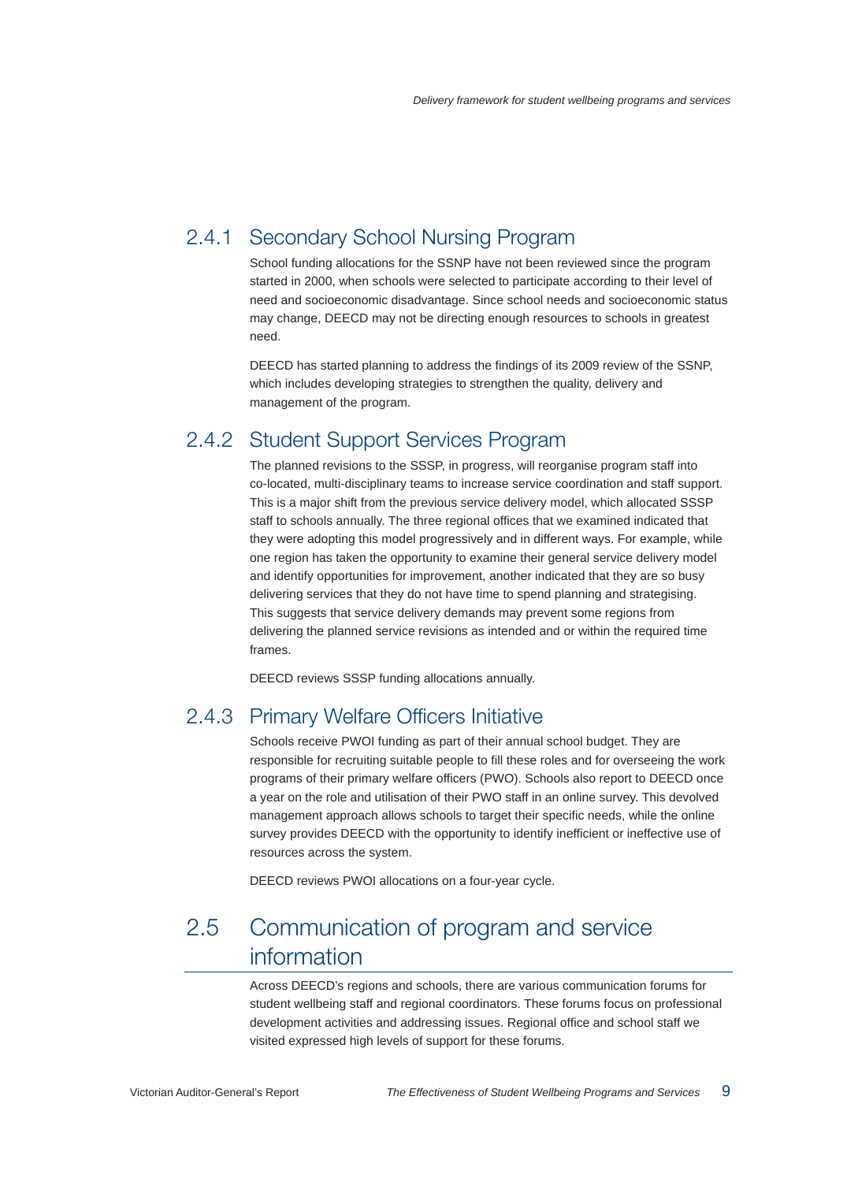## 2.4.1 Secondary School Nursing Program

School funding allocations for the SSNP have not been reviewed since the program started in 2000, when schools were selected to participate according to their level of need and socioeconomic disadvantage. Since school needs and socioeconomic status may change, DEECD may not be directing enough resources to schools in greatest need.

DEECD has started planning to address the findings of its 2009 review of the SSNP, which includes developing strategies to strengthen the quality, delivery and management of the program.

## 2.4.2 Student Support Services Program

The planned revisions to the SSSP, in progress, will reorganise program staff into co-located, multi-disciplinary teams to increase service coordination and staff support. This is a major shift from the previous service delivery model, which allocated SSSP staff to schools annually. The three regional offices that we examined indicated that they were adopting this model progressively and in different ways. For example, while one region has taken the opportunity to examine their general service delivery model and identify opportunities for improvement, another indicated that they are so busy delivering services that they do not have time to spend planning and strategising. This suggests that service delivery demands may prevent some regions from delivering the planned service revisions as intended and or within the required time frames.

DEECD reviews SSSP funding allocations annually.

## 2.4.3 Primary Welfare Officers Initiative

Schools receive PWOI funding as part of their annual school budget. They are responsible for recruiting suitable people to fill these roles and for overseeing the work programs of their primary welfare officers (PWO). Schools also report to DEECD once a year on the role and utilisation of their PWO staff in an online survey. This devolved management approach allows schools to target their specific needs, while the online survey provides DEECD with the opportunity to identify inefficient or ineffective use of resources across the system.

DEECD reviews PWOI allocations on a four-year cycle.

## 2.5 Communication of program and service information

Across DEECD's regions and schools, there are various communication forums for student wellbeing staff and regional coordinators. These forums focus on professional development activities and addressing issues. Regional office and school staff we visited expressed high levels of support for these forums.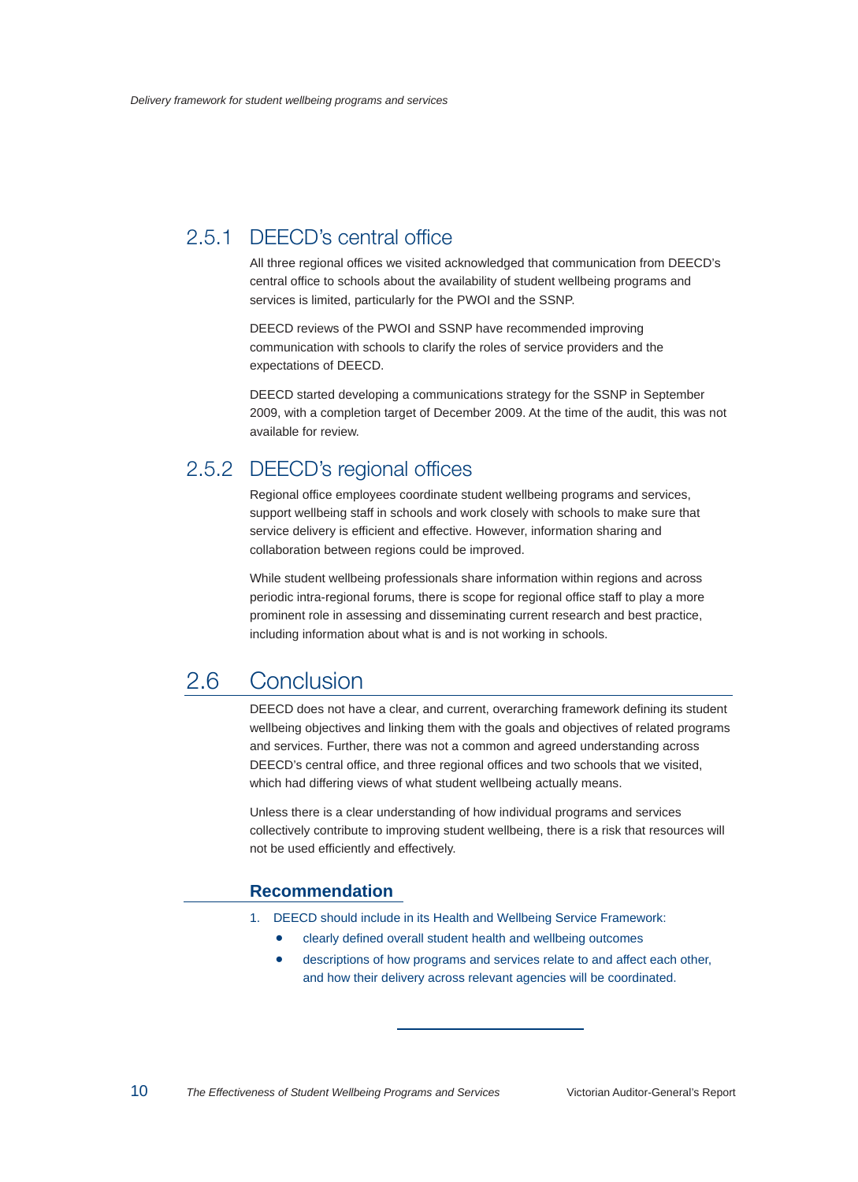## 2.5.1 DEECD's central office

All three regional offices we visited acknowledged that communication from DEECD's central office to schools about the availability of student wellbeing programs and services is limited, particularly for the PWOI and the SSNP.

DEECD reviews of the PWOI and SSNP have recommended improving communication with schools to clarify the roles of service providers and the expectations of DEECD.

DEECD started developing a communications strategy for the SSNP in September 2009, with a completion target of December 2009. At the time of the audit, this was not available for review.

## 2.5.2 DEECD's regional offices

Regional office employees coordinate student wellbeing programs and services, support wellbeing staff in schools and work closely with schools to make sure that service delivery is efficient and effective. However, information sharing and collaboration between regions could be improved.

While student wellbeing professionals share information within regions and across periodic intra-regional forums, there is scope for regional office staff to play a more prominent role in assessing and disseminating current research and best practice, including information about what is and is not working in schools.

## 2.6 Conclusion

DEECD does not have a clear, and current, overarching framework defining its student wellbeing objectives and linking them with the goals and objectives of related programs and services. Further, there was not a common and agreed understanding across DEECD's central office, and three regional offices and two schools that we visited, which had differing views of what student wellbeing actually means.

Unless there is a clear understanding of how individual programs and services collectively contribute to improving student wellbeing, there is a risk that resources will not be used efficiently and effectively.

#### **Recommendation**

- 1. DEECD should include in its Health and Wellbeing Service Framework:
	- clearly defined overall student health and wellbeing outcomes
	- descriptions of how programs and services relate to and affect each other, and how their delivery across relevant agencies will be coordinated.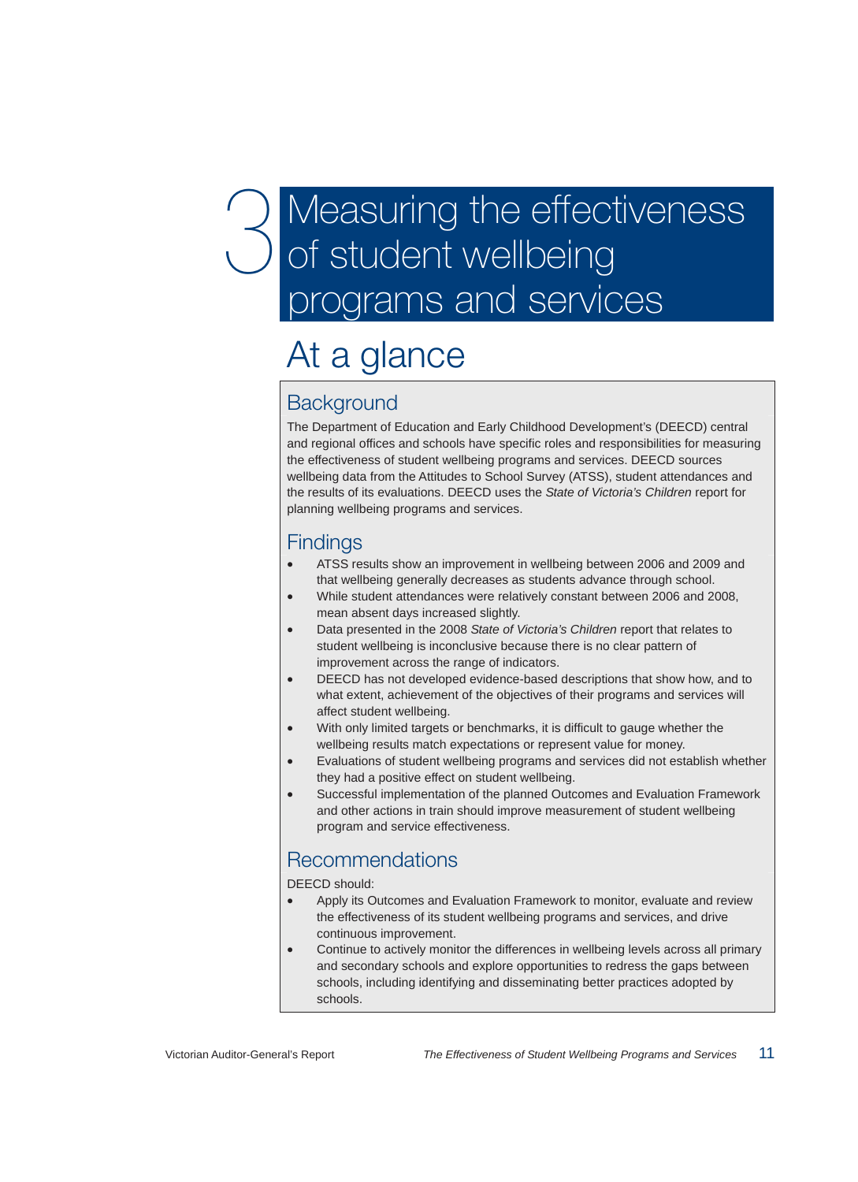# Measuring the effectiveness of student wellbeing programs and services

# At a glance

## **Background**

The Department of Education and Early Childhood Development's (DEECD) central and regional offices and schools have specific roles and responsibilities for measuring the effectiveness of student wellbeing programs and services. DEECD sources wellbeing data from the Attitudes to School Survey (ATSS), student attendances and the results of its evaluations. DEECD uses the *State of Victoria's Children* report for planning wellbeing programs and services.

## Findings

- ATSS results show an improvement in wellbeing between 2006 and 2009 and that wellbeing generally decreases as students advance through school.
- While student attendances were relatively constant between 2006 and 2008, mean absent days increased slightly.
- Data presented in the 2008 *State of Victoria's Children* report that relates to student wellbeing is inconclusive because there is no clear pattern of improvement across the range of indicators.
- DEECD has not developed evidence-based descriptions that show how, and to what extent, achievement of the objectives of their programs and services will affect student wellbeing.
- With only limited targets or benchmarks, it is difficult to gauge whether the wellbeing results match expectations or represent value for money.
- Evaluations of student wellbeing programs and services did not establish whether they had a positive effect on student wellbeing.
- Successful implementation of the planned Outcomes and Evaluation Framework and other actions in train should improve measurement of student wellbeing program and service effectiveness.

## Recommendations

DEECD should:

- Apply its Outcomes and Evaluation Framework to monitor, evaluate and review the effectiveness of its student wellbeing programs and services, and drive continuous improvement.
- Continue to actively monitor the differences in wellbeing levels across all primary and secondary schools and explore opportunities to redress the gaps between schools, including identifying and disseminating better practices adopted by schools.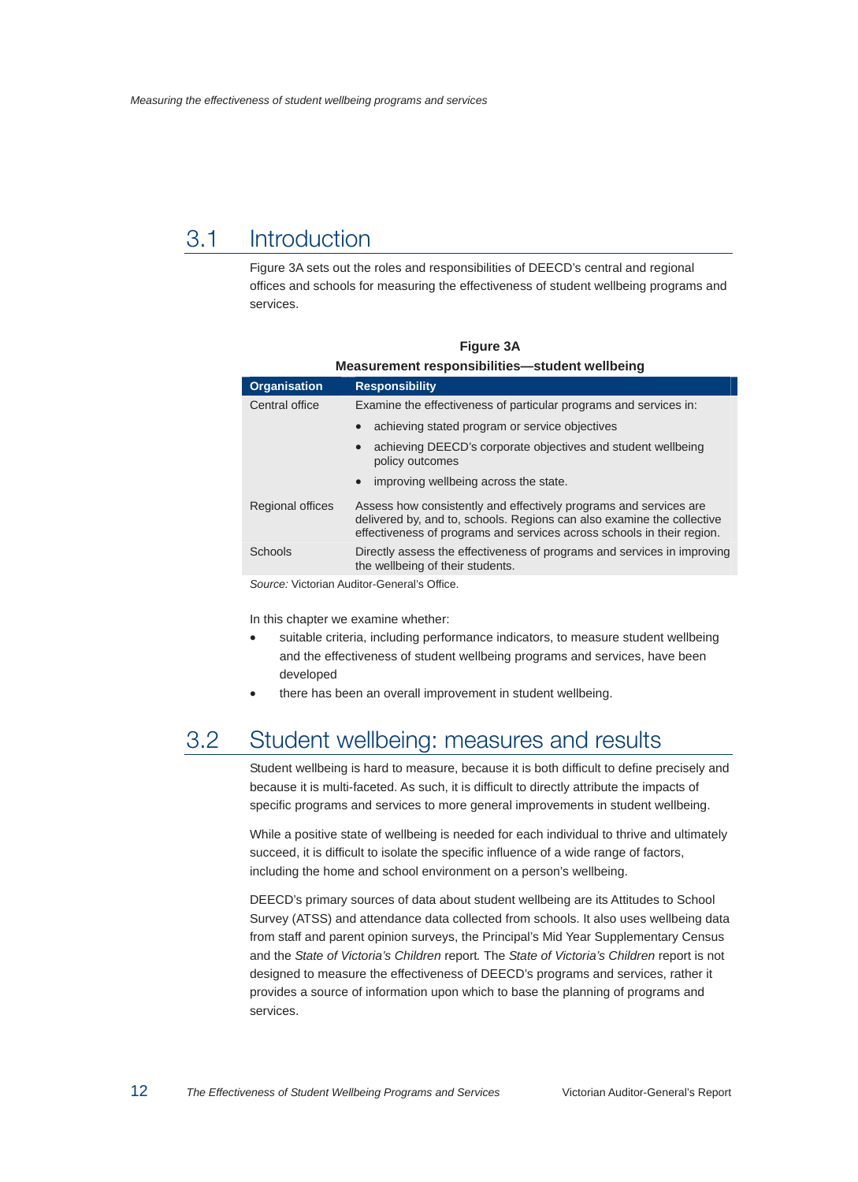## 3.1 Introduction

Figure 3A sets out the roles and responsibilities of DEECD's central and regional offices and schools for measuring the effectiveness of student wellbeing programs and services.

| <u>Measurement responsibilities—student weilbeing</u> |                                                                                                                                                                                                                       |  |  |  |
|-------------------------------------------------------|-----------------------------------------------------------------------------------------------------------------------------------------------------------------------------------------------------------------------|--|--|--|
| <b>Organisation</b>                                   | <b>Responsibility</b>                                                                                                                                                                                                 |  |  |  |
| Central office                                        | Examine the effectiveness of particular programs and services in:                                                                                                                                                     |  |  |  |
|                                                       | achieving stated program or service objectives<br>$\bullet$                                                                                                                                                           |  |  |  |
|                                                       | achieving DEECD's corporate objectives and student wellbeing<br>$\bullet$<br>policy outcomes                                                                                                                          |  |  |  |
|                                                       | improving wellbeing across the state.<br>$\bullet$                                                                                                                                                                    |  |  |  |
| Regional offices                                      | Assess how consistently and effectively programs and services are<br>delivered by, and to, schools. Regions can also examine the collective<br>effectiveness of programs and services across schools in their region. |  |  |  |
| Schools                                               | Directly assess the effectiveness of programs and services in improving<br>the wellbeing of their students.                                                                                                           |  |  |  |

**Figure 3A Measurement responsibilities—student wellbeing** 

*Source:* Victorian Auditor-General's Office.

In this chapter we examine whether:

- suitable criteria, including performance indicators, to measure student wellbeing and the effectiveness of student wellbeing programs and services, have been developed
- there has been an overall improvement in student wellbeing.

## 3.2 Student wellbeing: measures and results

Student wellbeing is hard to measure, because it is both difficult to define precisely and because it is multi-faceted. As such, it is difficult to directly attribute the impacts of specific programs and services to more general improvements in student wellbeing.

While a positive state of wellbeing is needed for each individual to thrive and ultimately succeed, it is difficult to isolate the specific influence of a wide range of factors, including the home and school environment on a person's wellbeing.

DEECD's primary sources of data about student wellbeing are its Attitudes to School Survey (ATSS) and attendance data collected from schools. It also uses wellbeing data from staff and parent opinion surveys, the Principal's Mid Year Supplementary Census and the *State of Victoria's Children* report*.* The *State of Victoria's Children* report is not designed to measure the effectiveness of DEECD's programs and services, rather it provides a source of information upon which to base the planning of programs and services.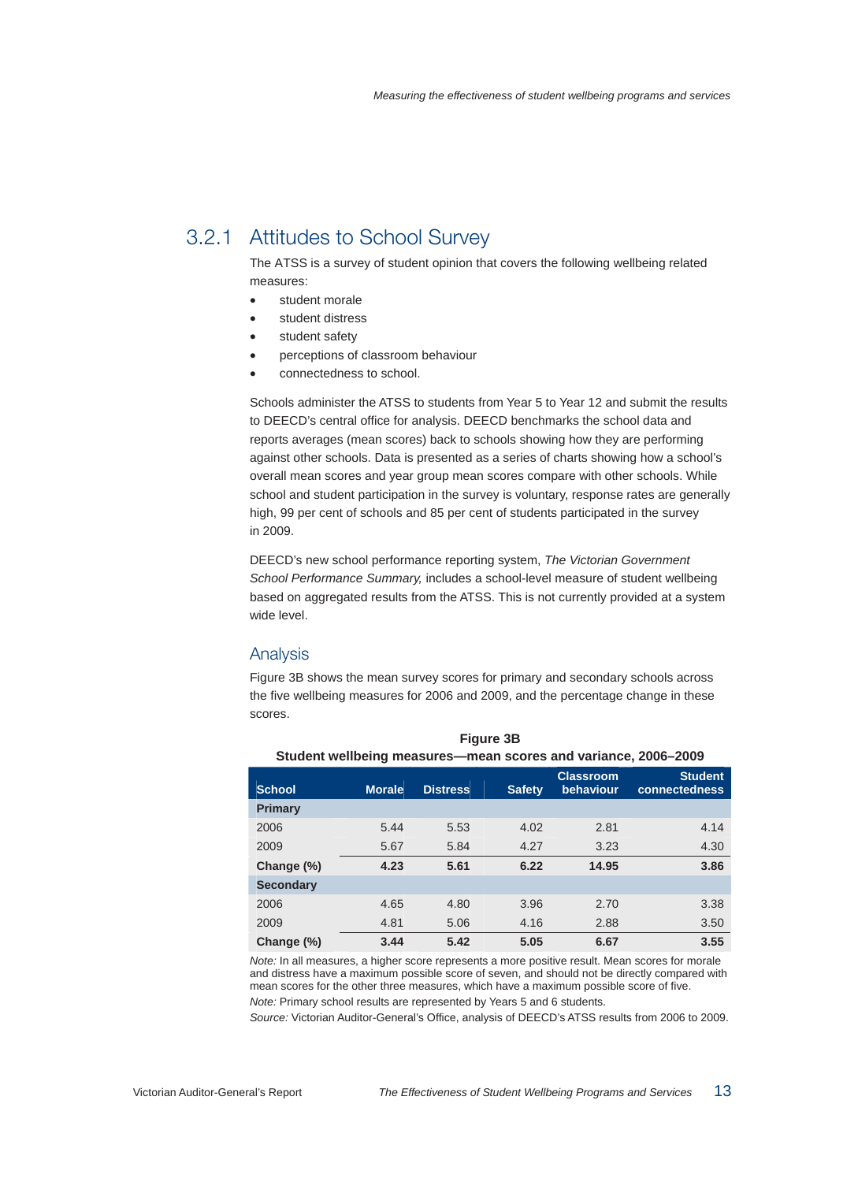## 3.2.1 Attitudes to School Survey

The ATSS is a survey of student opinion that covers the following wellbeing related measures:

- student morale
- student distress
- student safety
- perceptions of classroom behaviour
- connectedness to school.

Schools administer the ATSS to students from Year 5 to Year 12 and submit the results to DEECD's central office for analysis. DEECD benchmarks the school data and reports averages (mean scores) back to schools showing how they are performing against other schools. Data is presented as a series of charts showing how a school's overall mean scores and year group mean scores compare with other schools. While school and student participation in the survey is voluntary, response rates are generally high, 99 per cent of schools and 85 per cent of students participated in the survey in 2009.

DEECD's new school performance reporting system, *The Victorian Government School Performance Summary,* includes a school-level measure of student wellbeing based on aggregated results from the ATSS. This is not currently provided at a system wide level.

#### Analysis

Figure 3B shows the mean survey scores for primary and secondary schools across the five wellbeing measures for 2006 and 2009, and the percentage change in these scores.

| Student wendeling ineasures—mean scores and variance, zuoo-zuos |               |                 |               |                               |                                        |
|-----------------------------------------------------------------|---------------|-----------------|---------------|-------------------------------|----------------------------------------|
| <b>School</b>                                                   | <b>Morale</b> | <b>Distress</b> | <b>Safety</b> | <b>Classroom</b><br>behaviour | <b>Student</b><br><b>connectedness</b> |
| Primary                                                         |               |                 |               |                               |                                        |
| 2006                                                            | 5.44          | 5.53            | 4.02          | 2.81                          | 4.14                                   |
| 2009                                                            | 5.67          | 5.84            | 4.27          | 3.23                          | 4.30                                   |
| Change (%)                                                      | 4.23          | 5.61            | 6.22          | 14.95                         | 3.86                                   |
| <b>Secondary</b>                                                |               |                 |               |                               |                                        |
| 2006                                                            | 4.65          | 4.80            | 3.96          | 2.70                          | 3.38                                   |
| 2009                                                            | 4.81          | 5.06            | 4.16          | 2.88                          | 3.50                                   |
| Change (%)                                                      | 3.44          | 5.42            | 5.05          | 6.67                          | 3.55                                   |

**Figure 3B Student wellbeing measures—mean scores and variance, 2006–2009** 

*Note:* In all measures, a higher score represents a more positive result. Mean scores for morale and distress have a maximum possible score of seven, and should not be directly compared with mean scores for the other three measures, which have a maximum possible score of five. *Note:* Primary school results are represented by Years 5 and 6 students.

*Source:* Victorian Auditor-General's Office, analysis of DEECD's ATSS results from 2006 to 2009.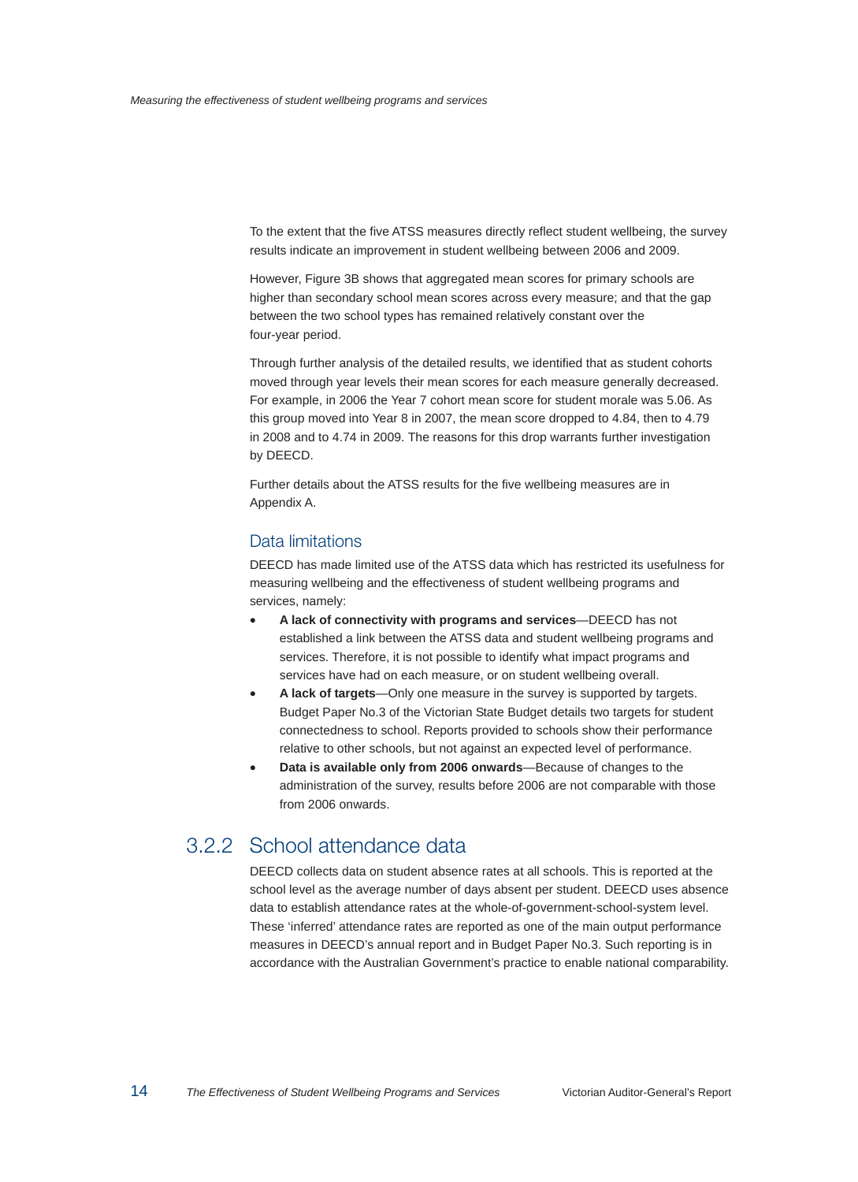To the extent that the five ATSS measures directly reflect student wellbeing, the survey results indicate an improvement in student wellbeing between 2006 and 2009.

However, Figure 3B shows that aggregated mean scores for primary schools are higher than secondary school mean scores across every measure; and that the gap between the two school types has remained relatively constant over the four-year period.

Through further analysis of the detailed results, we identified that as student cohorts moved through year levels their mean scores for each measure generally decreased. For example, in 2006 the Year 7 cohort mean score for student morale was 5.06. As this group moved into Year 8 in 2007, the mean score dropped to 4.84, then to 4.79 in 2008 and to 4.74 in 2009. The reasons for this drop warrants further investigation by DEECD.

Further details about the ATSS results for the five wellbeing measures are in Appendix A.

#### Data limitations

DEECD has made limited use of the ATSS data which has restricted its usefulness for measuring wellbeing and the effectiveness of student wellbeing programs and services, namely:

- **A lack of connectivity with programs and services**—DEECD has not established a link between the ATSS data and student wellbeing programs and services. Therefore, it is not possible to identify what impact programs and services have had on each measure, or on student wellbeing overall.
- **A lack of targets**—Only one measure in the survey is supported by targets. Budget Paper No.3 of the Victorian State Budget details two targets for student connectedness to school. Reports provided to schools show their performance relative to other schools, but not against an expected level of performance.
- **Data is available only from 2006 onwards**—Because of changes to the administration of the survey, results before 2006 are not comparable with those from 2006 onwards.

## 3.2.2 School attendance data

DEECD collects data on student absence rates at all schools. This is reported at the school level as the average number of days absent per student. DEECD uses absence data to establish attendance rates at the whole-of-government-school-system level. These 'inferred' attendance rates are reported as one of the main output performance measures in DEECD's annual report and in Budget Paper No.3. Such reporting is in accordance with the Australian Government's practice to enable national comparability.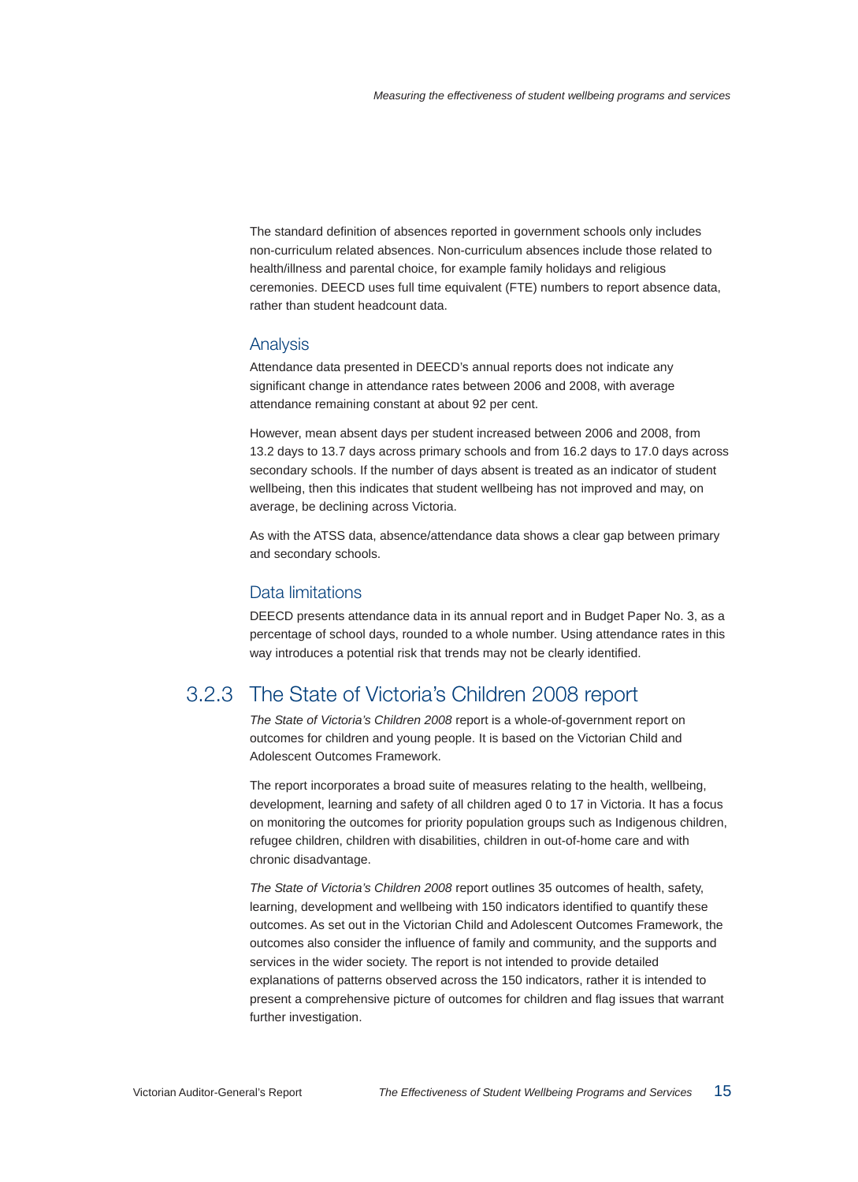The standard definition of absences reported in government schools only includes non-curriculum related absences. Non-curriculum absences include those related to health/illness and parental choice, for example family holidays and religious ceremonies. DEECD uses full time equivalent (FTE) numbers to report absence data, rather than student headcount data.

#### Analysis

Attendance data presented in DEECD's annual reports does not indicate any significant change in attendance rates between 2006 and 2008, with average attendance remaining constant at about 92 per cent.

However, mean absent days per student increased between 2006 and 2008, from 13.2 days to 13.7 days across primary schools and from 16.2 days to 17.0 days across secondary schools. If the number of days absent is treated as an indicator of student wellbeing, then this indicates that student wellbeing has not improved and may, on average, be declining across Victoria.

As with the ATSS data, absence/attendance data shows a clear gap between primary and secondary schools.

#### Data limitations

DEECD presents attendance data in its annual report and in Budget Paper No. 3, as a percentage of school days, rounded to a whole number. Using attendance rates in this way introduces a potential risk that trends may not be clearly identified.

## 3.2.3 The State of Victoria's Children 2008 report

*The State of Victoria's Children 2008* report is a whole-of-government report on outcomes for children and young people. It is based on the Victorian Child and Adolescent Outcomes Framework.

The report incorporates a broad suite of measures relating to the health, wellbeing, development, learning and safety of all children aged 0 to 17 in Victoria. It has a focus on monitoring the outcomes for priority population groups such as Indigenous children, refugee children, children with disabilities, children in out-of-home care and with chronic disadvantage.

*The State of Victoria's Children 2008* report outlines 35 outcomes of health, safety, learning, development and wellbeing with 150 indicators identified to quantify these outcomes. As set out in the Victorian Child and Adolescent Outcomes Framework, the outcomes also consider the influence of family and community, and the supports and services in the wider society. The report is not intended to provide detailed explanations of patterns observed across the 150 indicators, rather it is intended to present a comprehensive picture of outcomes for children and flag issues that warrant further investigation.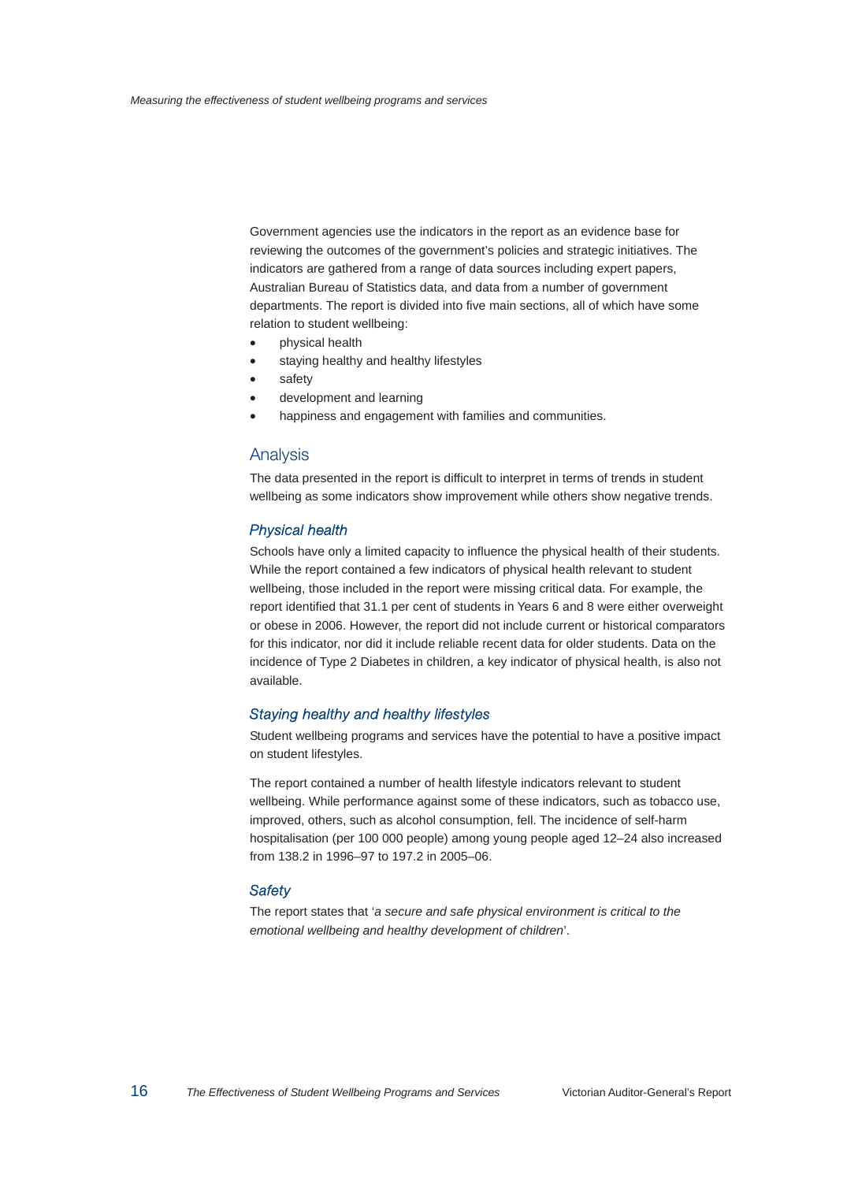Government agencies use the indicators in the report as an evidence base for reviewing the outcomes of the government's policies and strategic initiatives. The indicators are gathered from a range of data sources including expert papers, Australian Bureau of Statistics data, and data from a number of government departments. The report is divided into five main sections, all of which have some relation to student wellbeing:

- physical health
- staying healthy and healthy lifestyles
- safety
- development and learning
- happiness and engagement with families and communities.

#### Analysis

The data presented in the report is difficult to interpret in terms of trends in student wellbeing as some indicators show improvement while others show negative trends.

#### Physical health

Schools have only a limited capacity to influence the physical health of their students. While the report contained a few indicators of physical health relevant to student wellbeing, those included in the report were missing critical data. For example, the report identified that 31.1 per cent of students in Years 6 and 8 were either overweight or obese in 2006. However, the report did not include current or historical comparators for this indicator, nor did it include reliable recent data for older students. Data on the incidence of Type 2 Diabetes in children, a key indicator of physical health, is also not available.

#### Staying healthy and healthy lifestyles

Student wellbeing programs and services have the potential to have a positive impact on student lifestyles.

The report contained a number of health lifestyle indicators relevant to student wellbeing. While performance against some of these indicators, such as tobacco use, improved, others, such as alcohol consumption, fell. The incidence of self-harm hospitalisation (per 100 000 people) among young people aged 12–24 also increased from 138.2 in 1996–97 to 197.2 in 2005–06.

#### **Safety**

The report states that '*a secure and safe physical environment is critical to the emotional wellbeing and healthy development of children*'.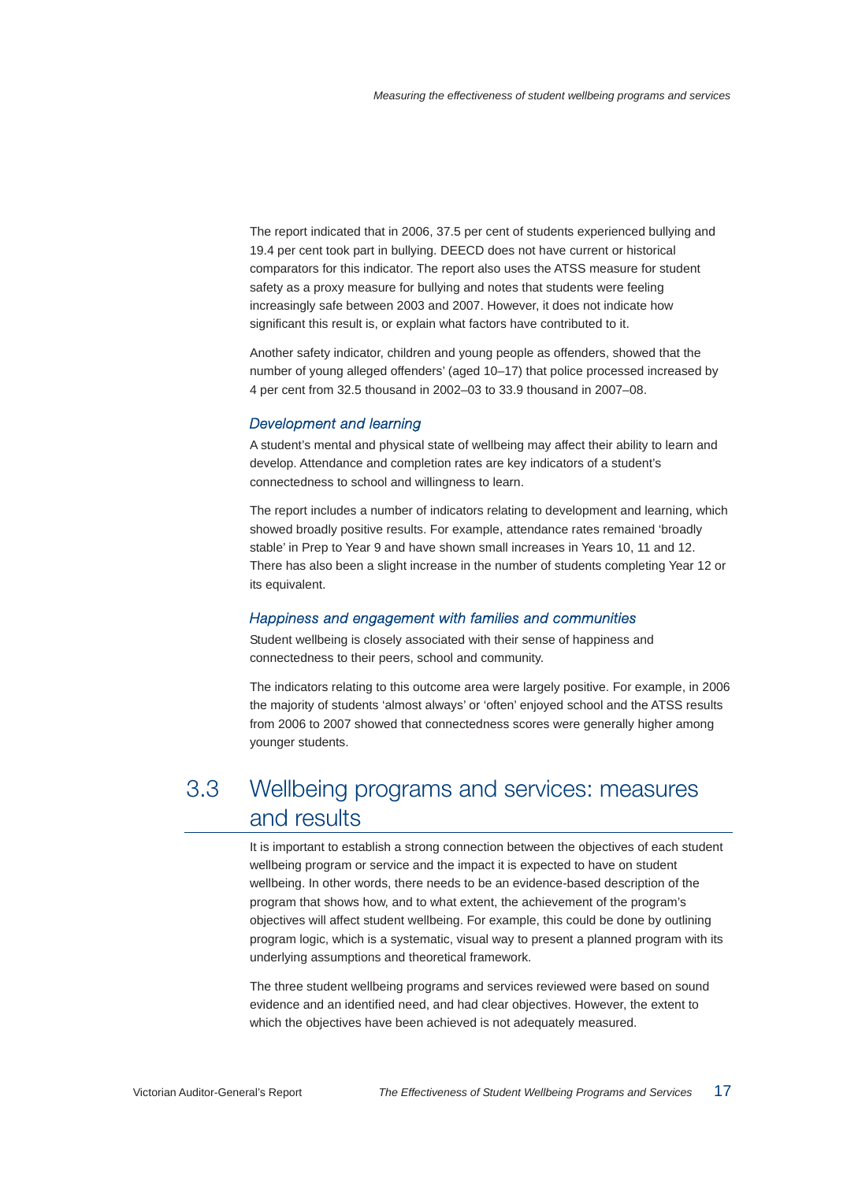The report indicated that in 2006, 37.5 per cent of students experienced bullying and 19.4 per cent took part in bullying. DEECD does not have current or historical comparators for this indicator. The report also uses the ATSS measure for student safety as a proxy measure for bullying and notes that students were feeling increasingly safe between 2003 and 2007. However, it does not indicate how significant this result is, or explain what factors have contributed to it.

Another safety indicator, children and young people as offenders, showed that the number of young alleged offenders' (aged 10–17) that police processed increased by 4 per cent from 32.5 thousand in 2002–03 to 33.9 thousand in 2007–08.

#### Development and learning

A student's mental and physical state of wellbeing may affect their ability to learn and develop. Attendance and completion rates are key indicators of a student's connectedness to school and willingness to learn.

The report includes a number of indicators relating to development and learning, which showed broadly positive results. For example, attendance rates remained 'broadly stable' in Prep to Year 9 and have shown small increases in Years 10, 11 and 12. There has also been a slight increase in the number of students completing Year 12 or its equivalent.

#### Happiness and engagement with families and communities

Student wellbeing is closely associated with their sense of happiness and connectedness to their peers, school and community.

The indicators relating to this outcome area were largely positive. For example, in 2006 the majority of students 'almost always' or 'often' enjoyed school and the ATSS results from 2006 to 2007 showed that connectedness scores were generally higher among younger students.

## 3.3 Wellbeing programs and services: measures and results

It is important to establish a strong connection between the objectives of each student wellbeing program or service and the impact it is expected to have on student wellbeing. In other words, there needs to be an evidence-based description of the program that shows how, and to what extent, the achievement of the program's objectives will affect student wellbeing. For example, this could be done by outlining program logic, which is a systematic, visual way to present a planned program with its underlying assumptions and theoretical framework.

The three student wellbeing programs and services reviewed were based on sound evidence and an identified need, and had clear objectives. However, the extent to which the objectives have been achieved is not adequately measured.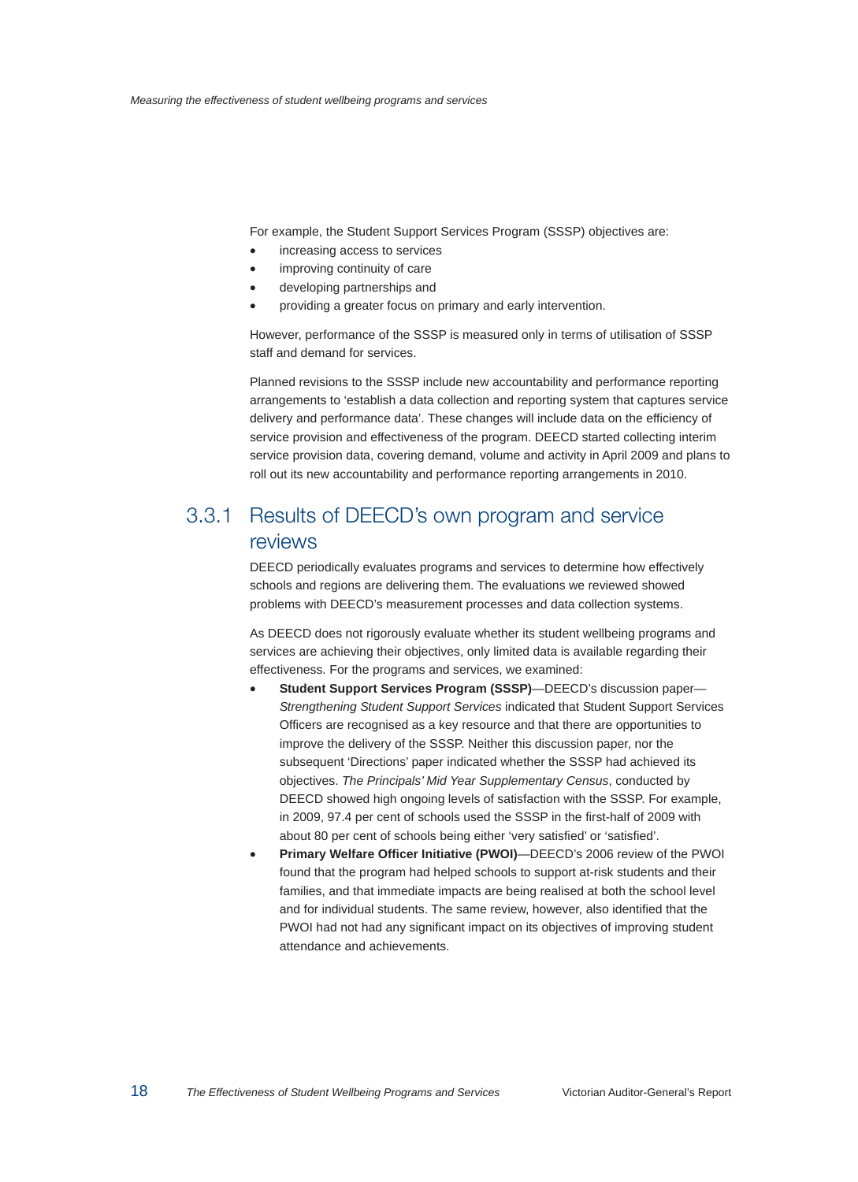For example, the Student Support Services Program (SSSP) objectives are:

- increasing access to services
- improving continuity of care
- developing partnerships and
- providing a greater focus on primary and early intervention.

However, performance of the SSSP is measured only in terms of utilisation of SSSP staff and demand for services.

Planned revisions to the SSSP include new accountability and performance reporting arrangements to 'establish a data collection and reporting system that captures service delivery and performance data'. These changes will include data on the efficiency of service provision and effectiveness of the program. DEECD started collecting interim service provision data, covering demand, volume and activity in April 2009 and plans to roll out its new accountability and performance reporting arrangements in 2010.

## 3.3.1 Results of DEECD's own program and service reviews

DEECD periodically evaluates programs and services to determine how effectively schools and regions are delivering them. The evaluations we reviewed showed problems with DEECD's measurement processes and data collection systems.

As DEECD does not rigorously evaluate whether its student wellbeing programs and services are achieving their objectives, only limited data is available regarding their effectiveness. For the programs and services, we examined:

- **Student Support Services Program (SSSP)**—DEECD's discussion paper— *Strengthening Student Support Services* indicated that Student Support Services Officers are recognised as a key resource and that there are opportunities to improve the delivery of the SSSP. Neither this discussion paper, nor the subsequent 'Directions' paper indicated whether the SSSP had achieved its objectives. *The Principals' Mid Year Supplementary Census*, conducted by DEECD showed high ongoing levels of satisfaction with the SSSP. For example, in 2009, 97.4 per cent of schools used the SSSP in the first-half of 2009 with about 80 per cent of schools being either 'very satisfied' or 'satisfied'.
- **Primary Welfare Officer Initiative (PWOI)**—DEECD's 2006 review of the PWOI found that the program had helped schools to support at-risk students and their families, and that immediate impacts are being realised at both the school level and for individual students. The same review, however, also identified that the PWOI had not had any significant impact on its objectives of improving student attendance and achievements.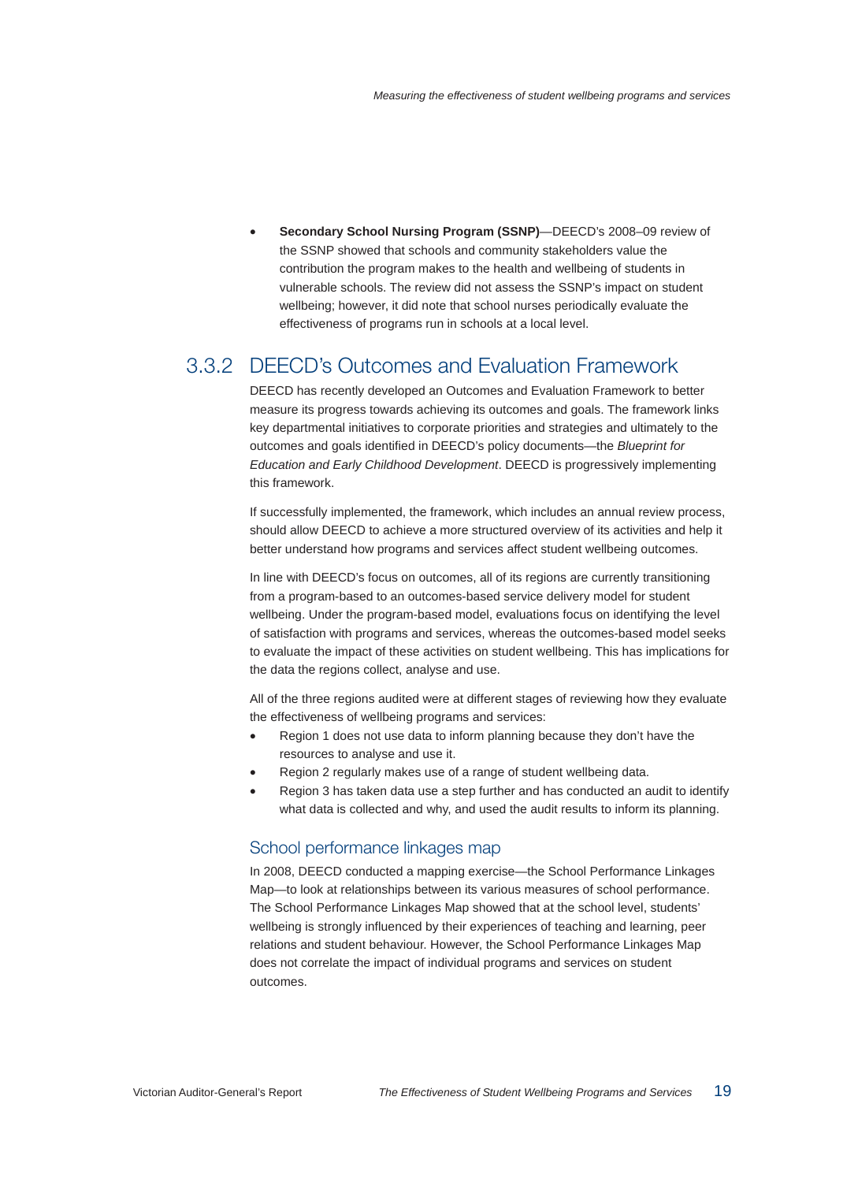• **Secondary School Nursing Program (SSNP)**—DEECD's 2008–09 review of the SSNP showed that schools and community stakeholders value the contribution the program makes to the health and wellbeing of students in vulnerable schools. The review did not assess the SSNP's impact on student wellbeing; however, it did note that school nurses periodically evaluate the effectiveness of programs run in schools at a local level.

## 3.3.2 DEECD's Outcomes and Evaluation Framework

DEECD has recently developed an Outcomes and Evaluation Framework to better measure its progress towards achieving its outcomes and goals. The framework links key departmental initiatives to corporate priorities and strategies and ultimately to the outcomes and goals identified in DEECD's policy documents—the *Blueprint for Education and Early Childhood Development*. DEECD is progressively implementing this framework.

If successfully implemented, the framework, which includes an annual review process, should allow DEECD to achieve a more structured overview of its activities and help it better understand how programs and services affect student wellbeing outcomes.

In line with DEECD's focus on outcomes, all of its regions are currently transitioning from a program-based to an outcomes-based service delivery model for student wellbeing. Under the program-based model, evaluations focus on identifying the level of satisfaction with programs and services, whereas the outcomes-based model seeks to evaluate the impact of these activities on student wellbeing. This has implications for the data the regions collect, analyse and use.

All of the three regions audited were at different stages of reviewing how they evaluate the effectiveness of wellbeing programs and services:

- Region 1 does not use data to inform planning because they don't have the resources to analyse and use it.
- Region 2 regularly makes use of a range of student wellbeing data.
- Region 3 has taken data use a step further and has conducted an audit to identify what data is collected and why, and used the audit results to inform its planning.

#### School performance linkages map

In 2008, DEECD conducted a mapping exercise—the School Performance Linkages Map—to look at relationships between its various measures of school performance. The School Performance Linkages Map showed that at the school level, students' wellbeing is strongly influenced by their experiences of teaching and learning, peer relations and student behaviour. However, the School Performance Linkages Map does not correlate the impact of individual programs and services on student outcomes.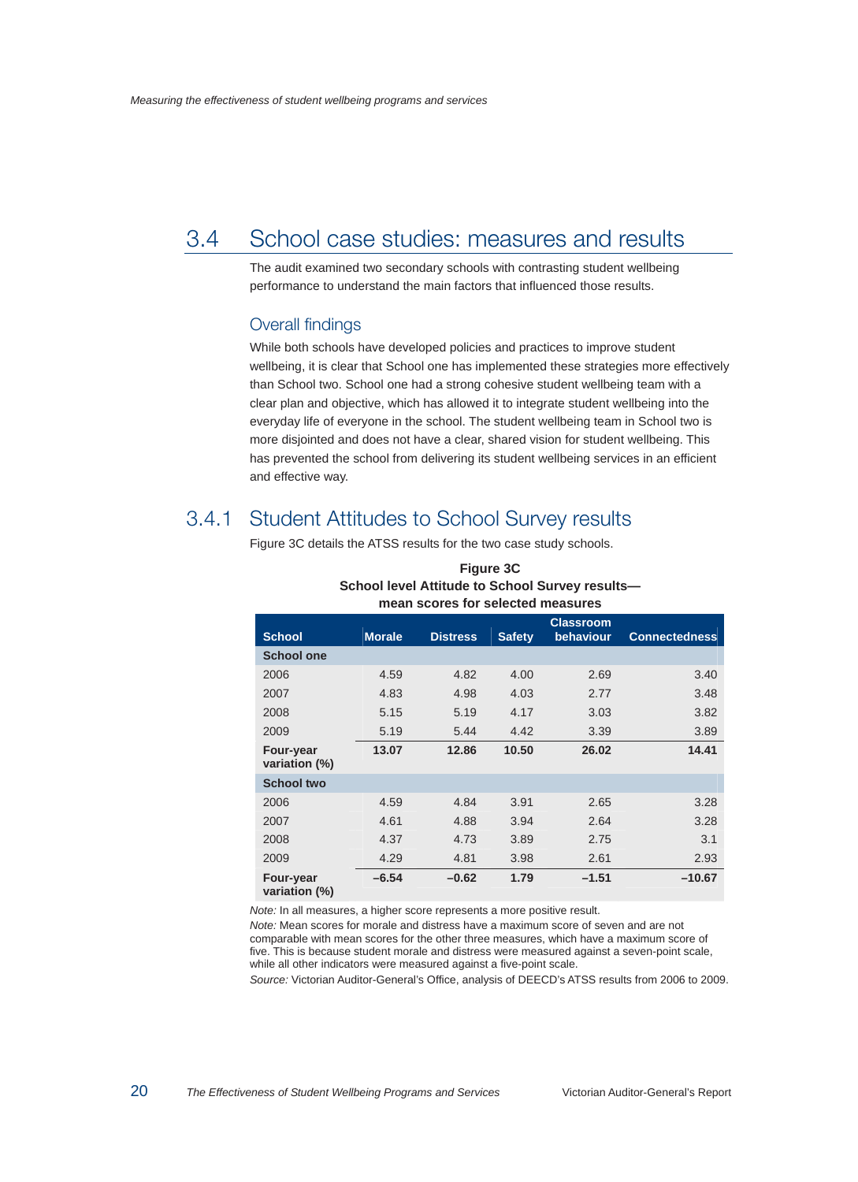## 3.4 School case studies: measures and results

The audit examined two secondary schools with contrasting student wellbeing performance to understand the main factors that influenced those results.

#### Overall findings

While both schools have developed policies and practices to improve student wellbeing, it is clear that School one has implemented these strategies more effectively than School two. School one had a strong cohesive student wellbeing team with a clear plan and objective, which has allowed it to integrate student wellbeing into the everyday life of everyone in the school. The student wellbeing team in School two is more disjointed and does not have a clear, shared vision for student wellbeing. This has prevented the school from delivering its student wellbeing services in an efficient and effective way.

## 3.4.1 Student Attitudes to School Survey results

Figure 3C details the ATSS results for the two case study schools.

| <b>School</b>                     | <b>Morale</b> | <b>Distress</b> | <b>Safety</b> | <b>Classroom</b><br>behaviour | <b>Connectedness</b> |
|-----------------------------------|---------------|-----------------|---------------|-------------------------------|----------------------|
| <b>School one</b>                 |               |                 |               |                               |                      |
| 2006                              | 4.59          | 4.82            | 4.00          | 2.69                          | 3.40                 |
| 2007                              | 4.83          | 4.98            | 4.03          | 2.77                          | 3.48                 |
| 2008                              | 5.15          | 5.19            | 4.17          | 3.03                          | 3.82                 |
| 2009                              | 5.19          | 5.44            | 4.42          | 3.39                          | 3.89                 |
| <b>Four-year</b><br>variation (%) | 13.07         | 12.86           | 10.50         | 26.02                         | 14.41                |
| <b>School two</b>                 |               |                 |               |                               |                      |
| 2006                              | 4.59          | 4.84            | 3.91          | 2.65                          | 3.28                 |
| 2007                              | 4.61          | 4.88            | 3.94          | 2.64                          | 3.28                 |
| 2008                              | 4.37          | 4.73            | 3.89          | 2.75                          | 3.1                  |
| 2009                              | 4.29          | 4.81            | 3.98          | 2.61                          | 2.93                 |
| Four-year<br>variation (%)        | $-6.54$       | $-0.62$         | 1.79          | $-1.51$                       | $-10.67$             |

#### **Figure 3C School level Attitude to School Survey results mean scores for selected measures**

*Note:* In all measures, a higher score represents a more positive result.

*Note:* Mean scores for morale and distress have a maximum score of seven and are not comparable with mean scores for the other three measures, which have a maximum score of five. This is because student morale and distress were measured against a seven-point scale, while all other indicators were measured against a five-point scale.

*Source:* Victorian Auditor-General's Office, analysis of DEECD's ATSS results from 2006 to 2009.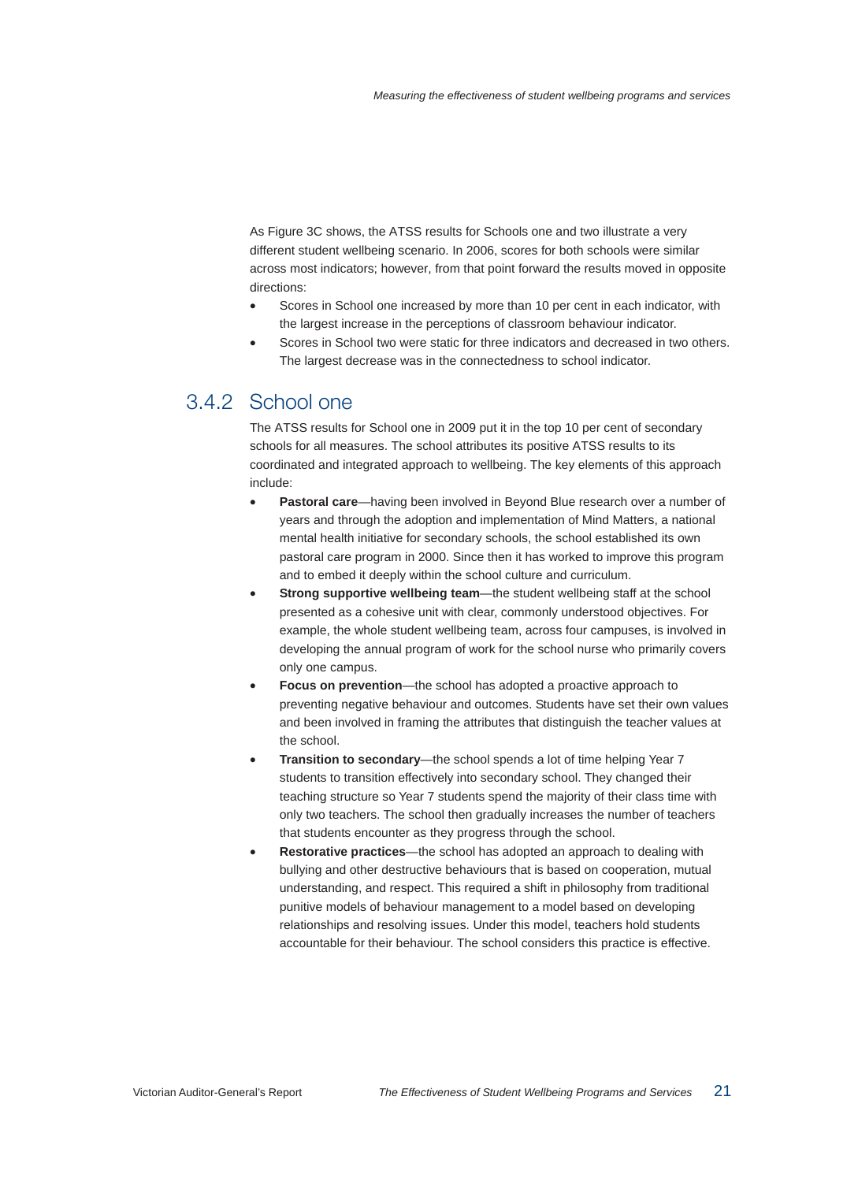As Figure 3C shows, the ATSS results for Schools one and two illustrate a very different student wellbeing scenario. In 2006, scores for both schools were similar across most indicators; however, from that point forward the results moved in opposite directions:

- Scores in School one increased by more than 10 per cent in each indicator, with the largest increase in the perceptions of classroom behaviour indicator.
- Scores in School two were static for three indicators and decreased in two others. The largest decrease was in the connectedness to school indicator.

## 3.4.2 School one

The ATSS results for School one in 2009 put it in the top 10 per cent of secondary schools for all measures. The school attributes its positive ATSS results to its coordinated and integrated approach to wellbeing. The key elements of this approach include:

- **Pastoral care**—having been involved in Beyond Blue research over a number of years and through the adoption and implementation of Mind Matters, a national mental health initiative for secondary schools, the school established its own pastoral care program in 2000. Since then it has worked to improve this program and to embed it deeply within the school culture and curriculum.
- **Strong supportive wellbeing team—the student wellbeing staff at the school** presented as a cohesive unit with clear, commonly understood objectives. For example, the whole student wellbeing team, across four campuses, is involved in developing the annual program of work for the school nurse who primarily covers only one campus.
- **Focus on prevention—the school has adopted a proactive approach to** preventing negative behaviour and outcomes. Students have set their own values and been involved in framing the attributes that distinguish the teacher values at the school.
- **Transition to secondary**—the school spends a lot of time helping Year 7 students to transition effectively into secondary school. They changed their teaching structure so Year 7 students spend the majority of their class time with only two teachers. The school then gradually increases the number of teachers that students encounter as they progress through the school.
- **Restorative practices**—the school has adopted an approach to dealing with bullying and other destructive behaviours that is based on cooperation, mutual understanding, and respect. This required a shift in philosophy from traditional punitive models of behaviour management to a model based on developing relationships and resolving issues. Under this model, teachers hold students accountable for their behaviour. The school considers this practice is effective.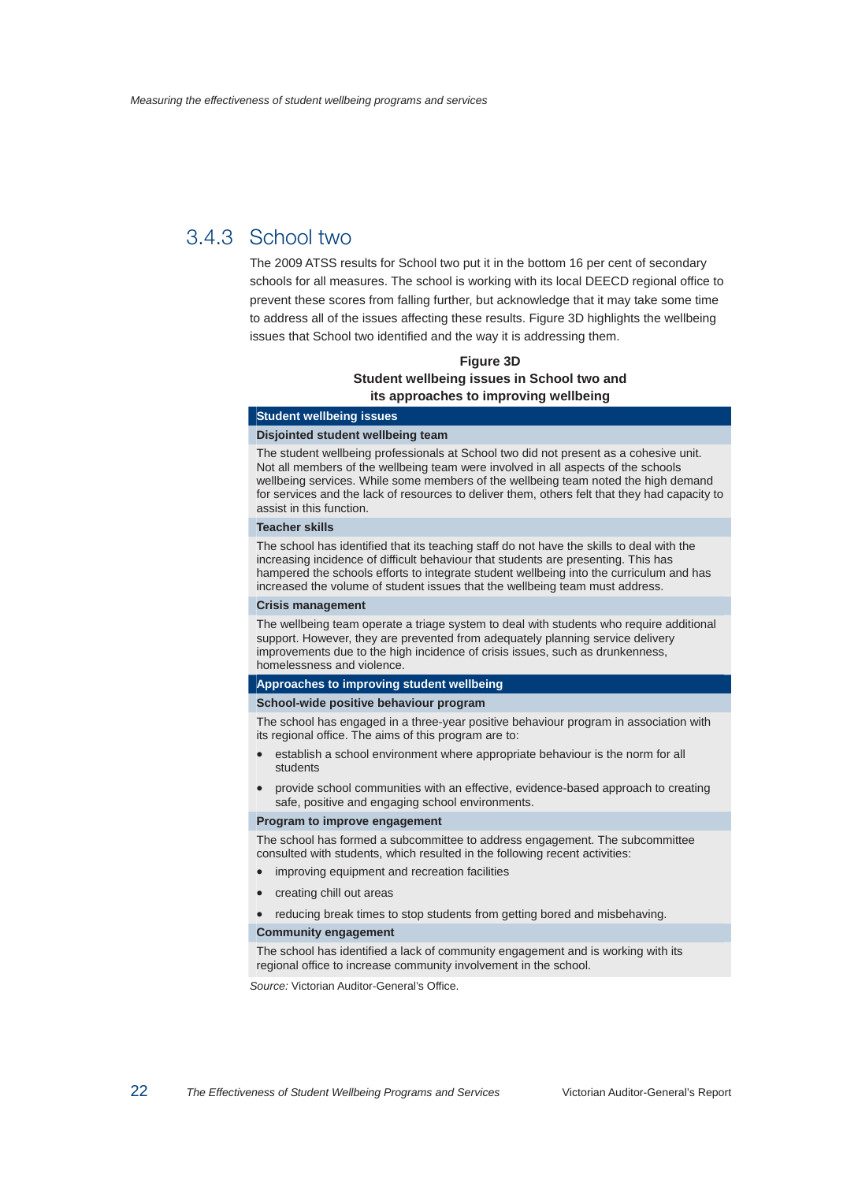## 3.4.3 School two

The 2009 ATSS results for School two put it in the bottom 16 per cent of secondary schools for all measures. The school is working with its local DEECD regional office to prevent these scores from falling further, but acknowledge that it may take some time to address all of the issues affecting these results. Figure 3D highlights the wellbeing issues that School two identified and the way it is addressing them.

#### **Figure 3D Student wellbeing issues in School two and its approaches to improving wellbeing**

#### **Student wellbeing issues**

#### **Disjointed student wellbeing team**

The student wellbeing professionals at School two did not present as a cohesive unit. Not all members of the wellbeing team were involved in all aspects of the schools wellbeing services. While some members of the wellbeing team noted the high demand for services and the lack of resources to deliver them, others felt that they had capacity to assist in this function.

#### **Teacher skills**

The school has identified that its teaching staff do not have the skills to deal with the increasing incidence of difficult behaviour that students are presenting. This has hampered the schools efforts to integrate student wellbeing into the curriculum and has increased the volume of student issues that the wellbeing team must address.

#### **Crisis management**

The wellbeing team operate a triage system to deal with students who require additional support. However, they are prevented from adequately planning service delivery improvements due to the high incidence of crisis issues, such as drunkenness, homelessness and violence.

#### **Approaches to improving student wellbeing**

#### **School-wide positive behaviour program**

The school has engaged in a three-year positive behaviour program in association with its regional office. The aims of this program are to:

- establish a school environment where appropriate behaviour is the norm for all students
- provide school communities with an effective, evidence-based approach to creating safe, positive and engaging school environments.

#### **Program to improve engagement**

The school has formed a subcommittee to address engagement. The subcommittee consulted with students, which resulted in the following recent activities:

- improving equipment and recreation facilities
- creating chill out areas

• reducing break times to stop students from getting bored and misbehaving.

#### **Community engagement**

The school has identified a lack of community engagement and is working with its regional office to increase community involvement in the school.

*Source:* Victorian Auditor-General's Office.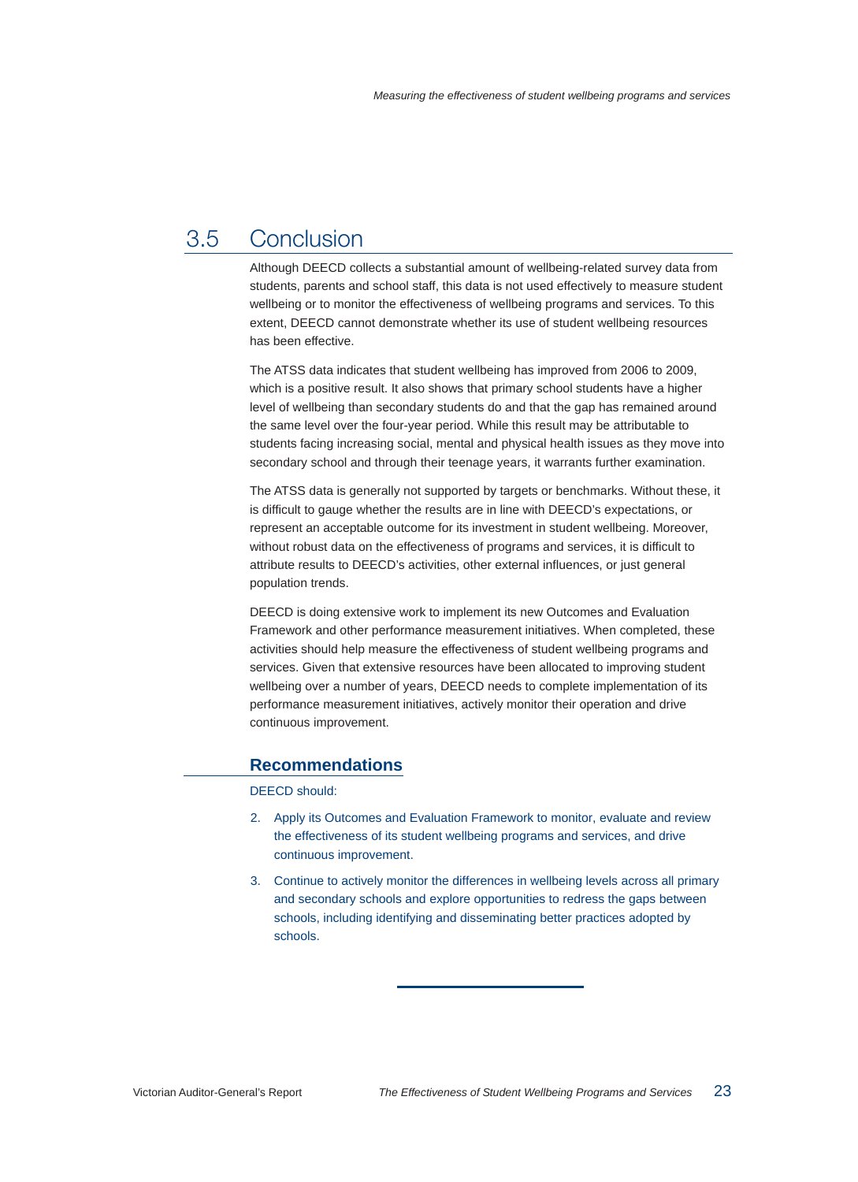## 3.5 Conclusion

Although DEECD collects a substantial amount of wellbeing-related survey data from students, parents and school staff, this data is not used effectively to measure student wellbeing or to monitor the effectiveness of wellbeing programs and services. To this extent, DEECD cannot demonstrate whether its use of student wellbeing resources has been effective.

The ATSS data indicates that student wellbeing has improved from 2006 to 2009, which is a positive result. It also shows that primary school students have a higher level of wellbeing than secondary students do and that the gap has remained around the same level over the four-year period. While this result may be attributable to students facing increasing social, mental and physical health issues as they move into secondary school and through their teenage years, it warrants further examination.

The ATSS data is generally not supported by targets or benchmarks. Without these, it is difficult to gauge whether the results are in line with DEECD's expectations, or represent an acceptable outcome for its investment in student wellbeing. Moreover, without robust data on the effectiveness of programs and services, it is difficult to attribute results to DEECD's activities, other external influences, or just general population trends.

DEECD is doing extensive work to implement its new Outcomes and Evaluation Framework and other performance measurement initiatives. When completed, these activities should help measure the effectiveness of student wellbeing programs and services. Given that extensive resources have been allocated to improving student wellbeing over a number of years, DEECD needs to complete implementation of its performance measurement initiatives, actively monitor their operation and drive continuous improvement.

#### **Recommendations**

DEECD should:

- 2. Apply its Outcomes and Evaluation Framework to monitor, evaluate and review the effectiveness of its student wellbeing programs and services, and drive continuous improvement.
- 3. Continue to actively monitor the differences in wellbeing levels across all primary and secondary schools and explore opportunities to redress the gaps between schools, including identifying and disseminating better practices adopted by schools.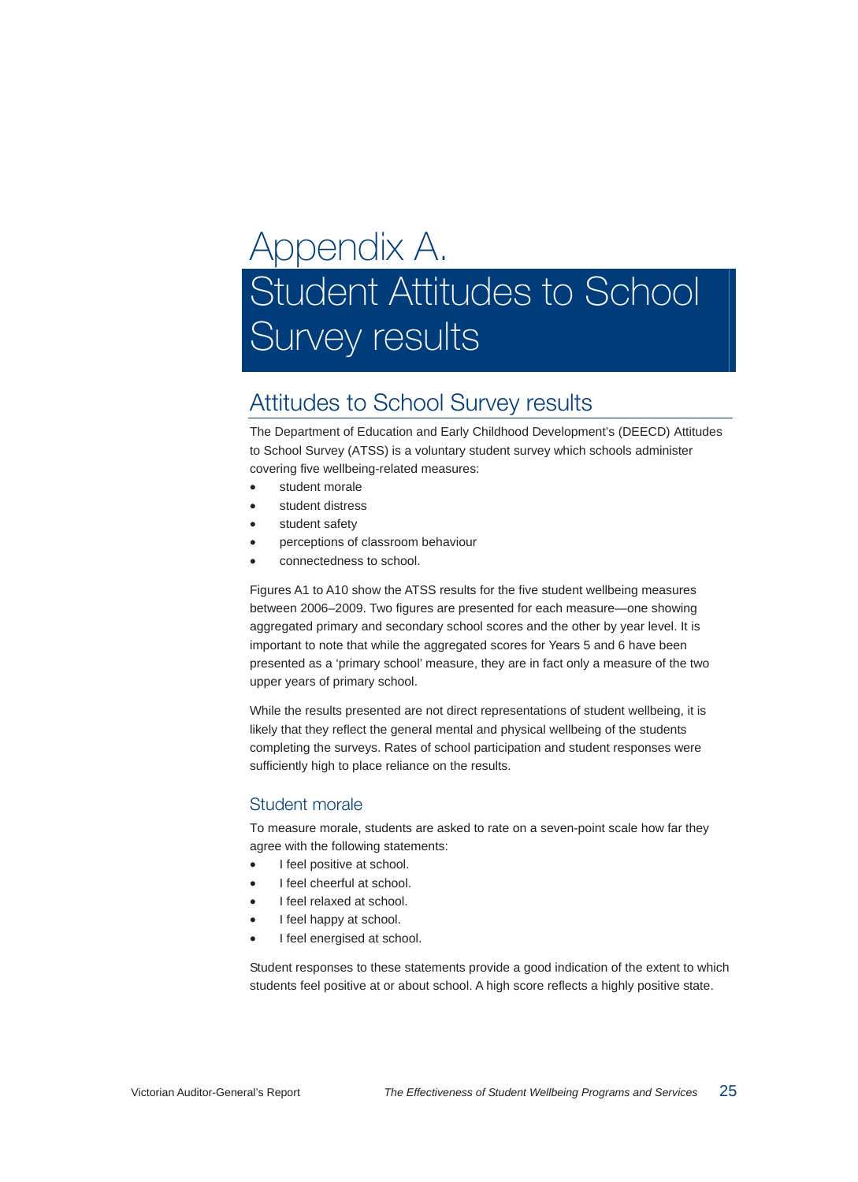# Appendix A. Student Attitudes to School Survey results

## Attitudes to School Survey results

The Department of Education and Early Childhood Development's (DEECD) Attitudes to School Survey (ATSS) is a voluntary student survey which schools administer covering five wellbeing-related measures:

- student morale
- student distress
- student safety
- perceptions of classroom behaviour
- connectedness to school.

Figures A1 to A10 show the ATSS results for the five student wellbeing measures between 2006–2009. Two figures are presented for each measure—one showing aggregated primary and secondary school scores and the other by year level. It is important to note that while the aggregated scores for Years 5 and 6 have been presented as a 'primary school' measure, they are in fact only a measure of the two upper years of primary school.

While the results presented are not direct representations of student wellbeing, it is likely that they reflect the general mental and physical wellbeing of the students completing the surveys. Rates of school participation and student responses were sufficiently high to place reliance on the results.

#### Student morale

To measure morale, students are asked to rate on a seven-point scale how far they agree with the following statements:

- I feel positive at school.
- I feel cheerful at school.
- I feel relaxed at school.
- I feel happy at school.
- I feel energised at school.

Student responses to these statements provide a good indication of the extent to which students feel positive at or about school. A high score reflects a highly positive state.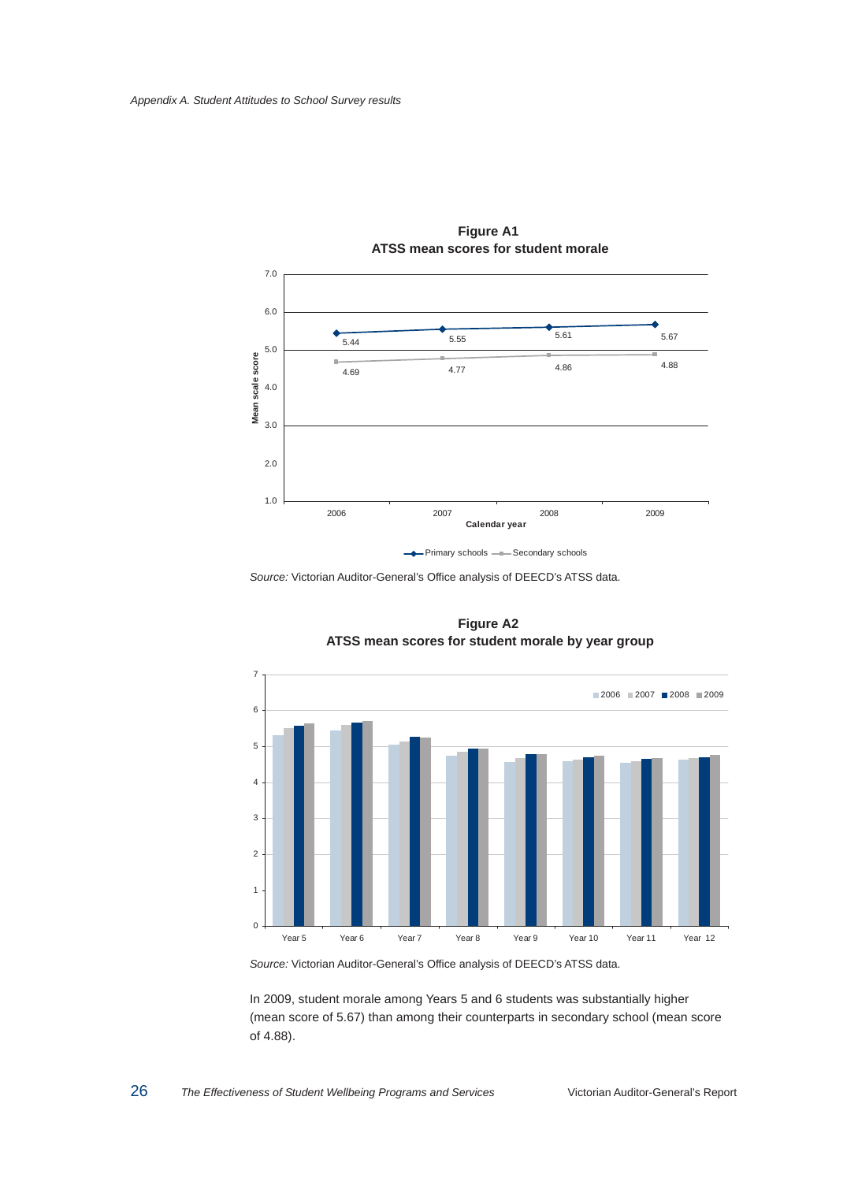

**Figure A1 ATSS mean scores for student morale** 

*Source:* Victorian Auditor-General's Office analysis of DEECD's ATSS data.



**Figure A2 ATSS mean scores for student morale by year group** 

*Source:* Victorian Auditor-General's Office analysis of DEECD's ATSS data.

In 2009, student morale among Years 5 and 6 students was substantially higher (mean score of 5.67) than among their counterparts in secondary school (mean score of 4.88).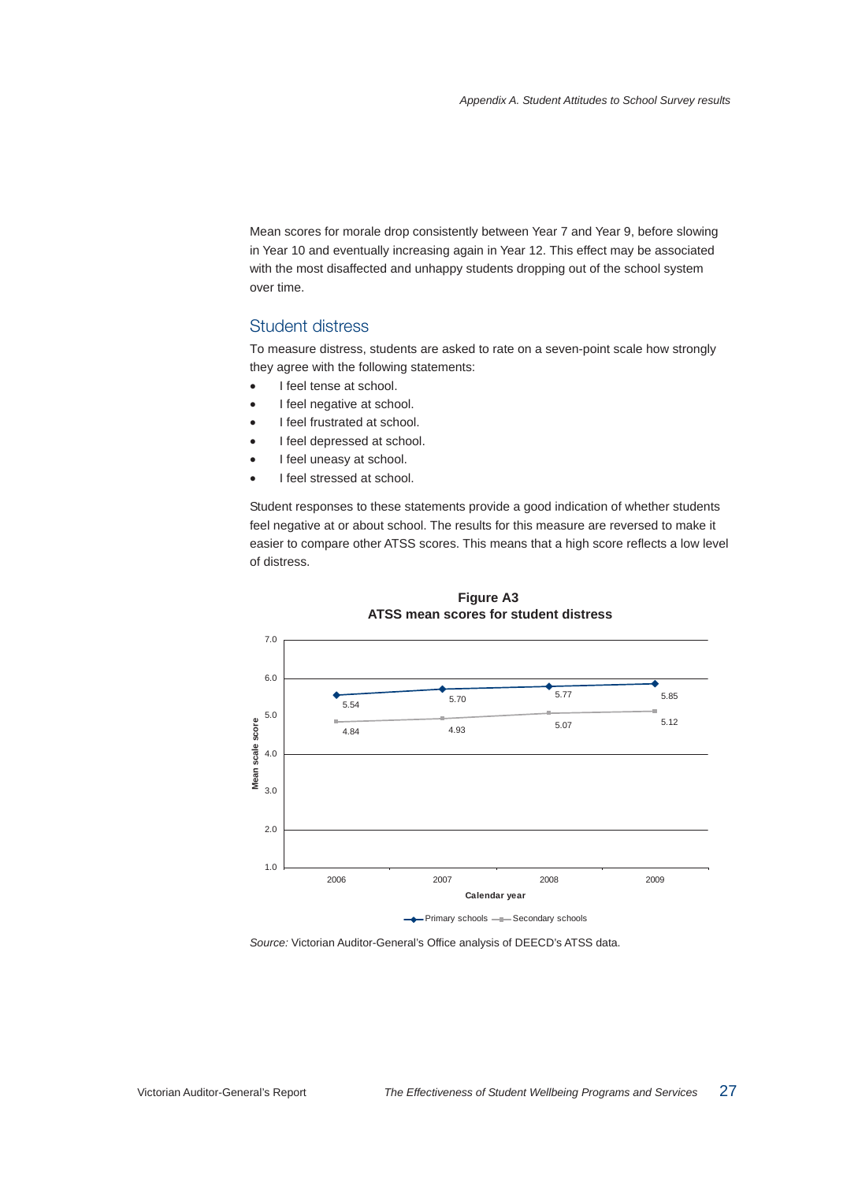Mean scores for morale drop consistently between Year 7 and Year 9, before slowing in Year 10 and eventually increasing again in Year 12. This effect may be associated with the most disaffected and unhappy students dropping out of the school system over time.

#### Student distress

To measure distress, students are asked to rate on a seven-point scale how strongly they agree with the following statements:

- I feel tense at school.
- I feel negative at school.
- I feel frustrated at school.
- I feel depressed at school.
- I feel uneasy at school.
- I feel stressed at school.

Student responses to these statements provide a good indication of whether students feel negative at or about school. The results for this measure are reversed to make it easier to compare other ATSS scores. This means that a high score reflects a low level of distress.



**Figure A3 ATSS mean scores for student distress** 

*Source:* Victorian Auditor-General's Office analysis of DEECD's ATSS data.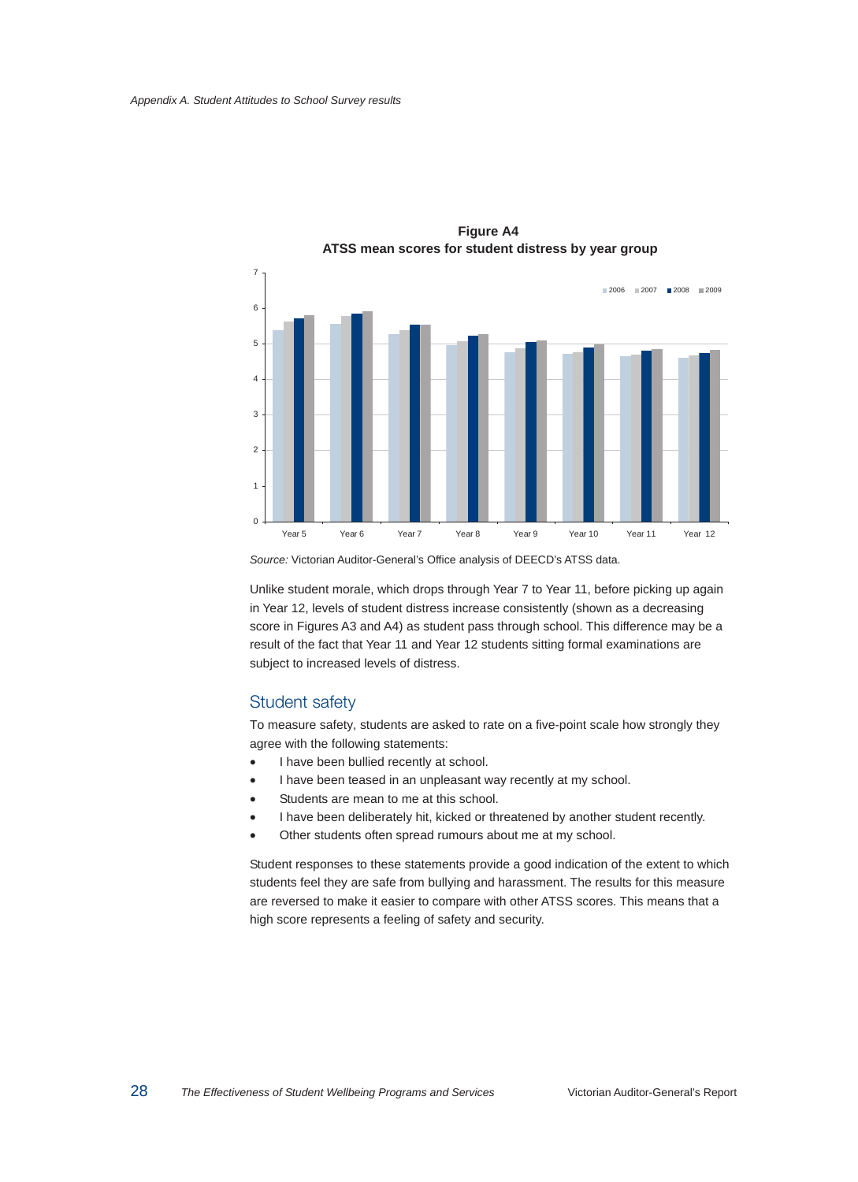

**Figure A4 ATSS mean scores for student distress by year group** 

*Source:* Victorian Auditor-General's Office analysis of DEECD's ATSS data.

Unlike student morale, which drops through Year 7 to Year 11, before picking up again in Year 12, levels of student distress increase consistently (shown as a decreasing score in Figures A3 and A4) as student pass through school. This difference may be a result of the fact that Year 11 and Year 12 students sitting formal examinations are subject to increased levels of distress.

#### Student safety

To measure safety, students are asked to rate on a five-point scale how strongly they agree with the following statements:

- I have been bullied recently at school.
- I have been teased in an unpleasant way recently at my school.
- Students are mean to me at this school.
- I have been deliberately hit, kicked or threatened by another student recently.
- Other students often spread rumours about me at my school.

Student responses to these statements provide a good indication of the extent to which students feel they are safe from bullying and harassment. The results for this measure are reversed to make it easier to compare with other ATSS scores. This means that a high score represents a feeling of safety and security.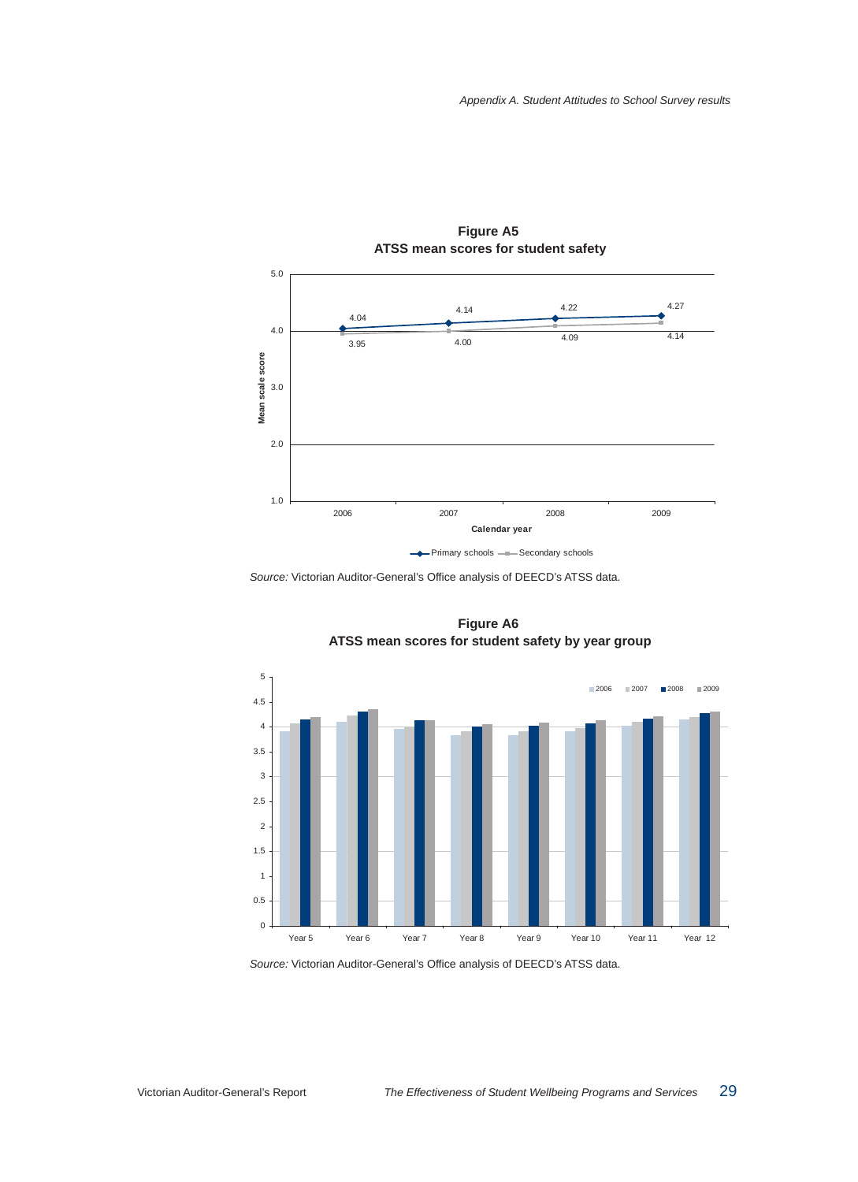

**Figure A5 ATSS mean scores for student safety** 

*Source:* Victorian Auditor-General's Office analysis of DEECD's ATSS data.



**Figure A6 ATSS mean scores for student safety by year group** 

*Source:* Victorian Auditor-General's Office analysis of DEECD's ATSS data.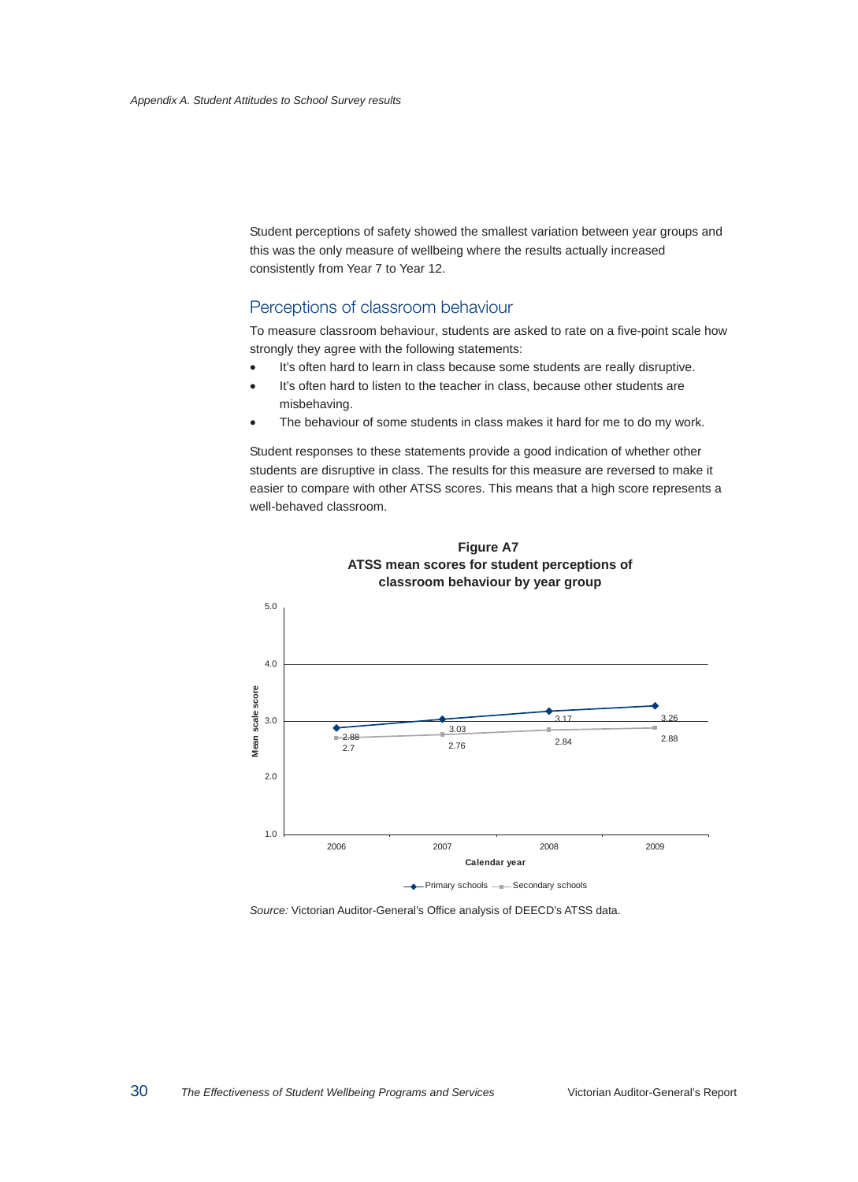Student perceptions of safety showed the smallest variation between year groups and this was the only measure of wellbeing where the results actually increased consistently from Year 7 to Year 12.

#### Perceptions of classroom behaviour

To measure classroom behaviour, students are asked to rate on a five-point scale how strongly they agree with the following statements:

- It's often hard to learn in class because some students are really disruptive.
- It's often hard to listen to the teacher in class, because other students are misbehaving.
- The behaviour of some students in class makes it hard for me to do my work.

Student responses to these statements provide a good indication of whether other students are disruptive in class. The results for this measure are reversed to make it easier to compare with other ATSS scores. This means that a high score represents a well-behaved classroom.





*Source:* Victorian Auditor-General's Office analysis of DEECD's ATSS data.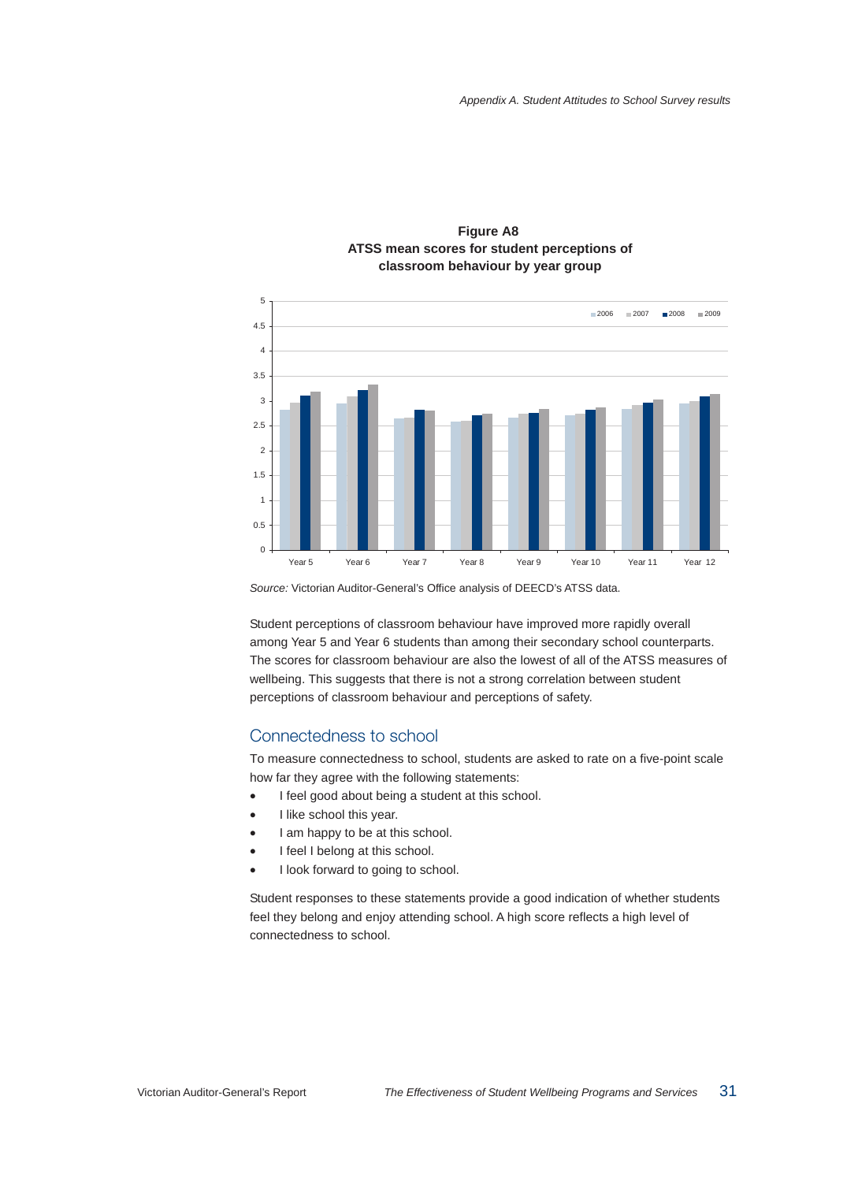

#### **Figure A8 ATSS mean scores for student perceptions of classroom behaviour by year group**

*Source:* Victorian Auditor-General's Office analysis of DEECD's ATSS data.

Student perceptions of classroom behaviour have improved more rapidly overall among Year 5 and Year 6 students than among their secondary school counterparts. The scores for classroom behaviour are also the lowest of all of the ATSS measures of wellbeing. This suggests that there is not a strong correlation between student perceptions of classroom behaviour and perceptions of safety.

#### Connectedness to school

To measure connectedness to school, students are asked to rate on a five-point scale how far they agree with the following statements:

- I feel good about being a student at this school.
- I like school this year.
- I am happy to be at this school.
- I feel I belong at this school.
- I look forward to going to school.

Student responses to these statements provide a good indication of whether students feel they belong and enjoy attending school. A high score reflects a high level of connectedness to school.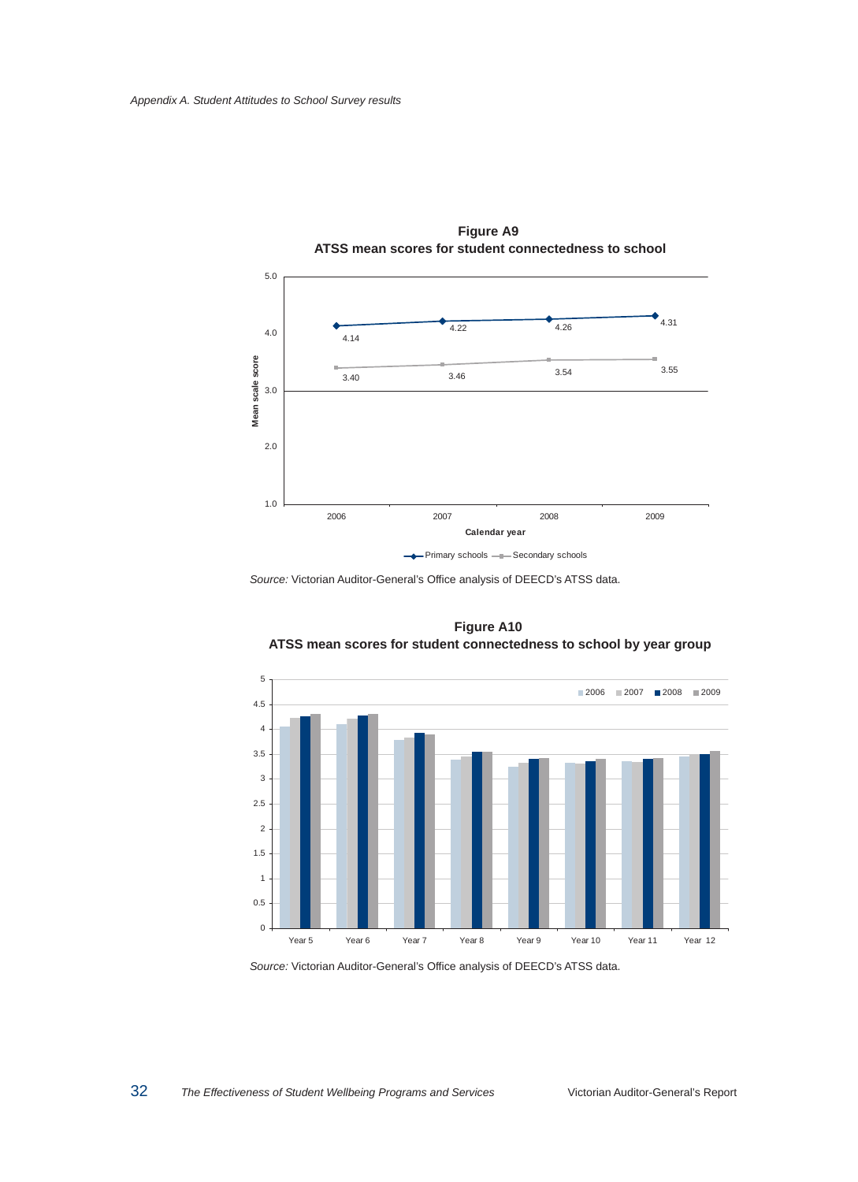

**Figure A9 ATSS mean scores for student connectedness to school** 

*Source:* Victorian Auditor-General's Office analysis of DEECD's ATSS data.



**Figure A10 ATSS mean scores for student connectedness to school by year group** 

*Source:* Victorian Auditor-General's Office analysis of DEECD's ATSS data.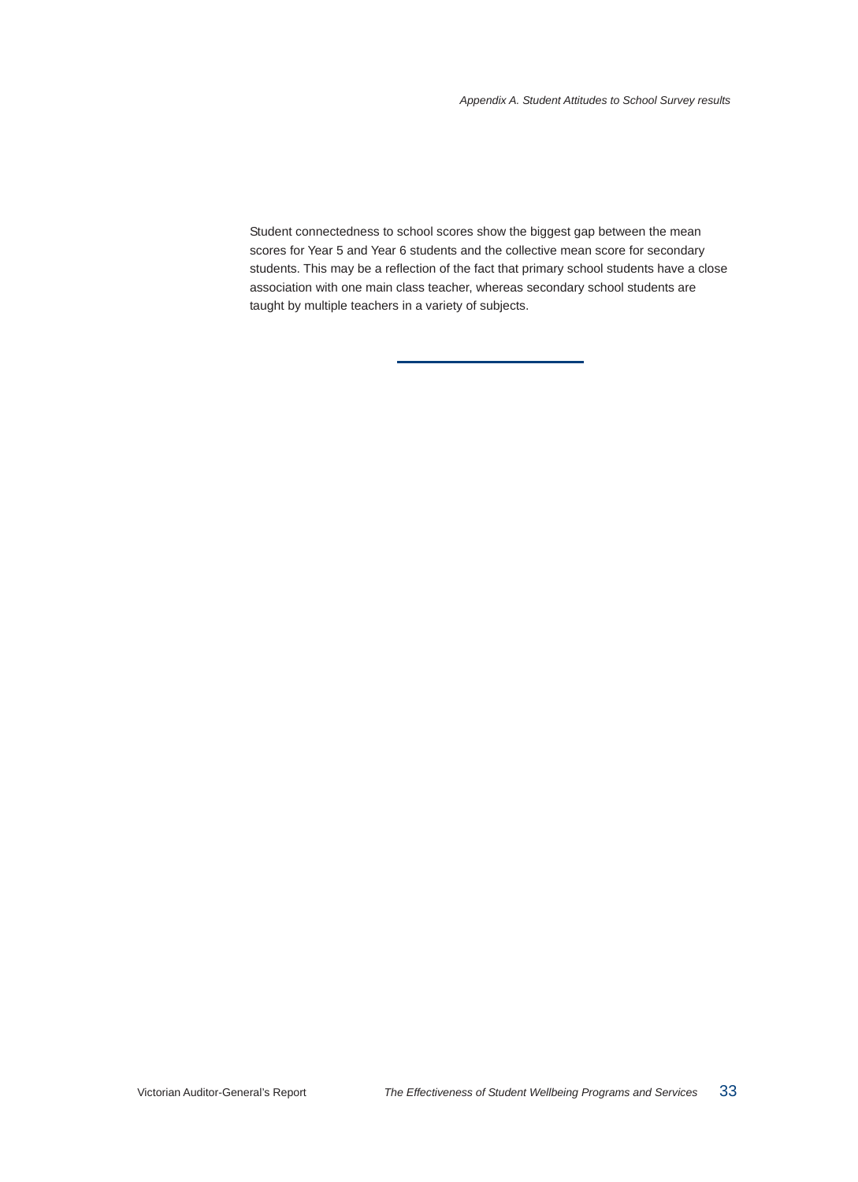Student connectedness to school scores show the biggest gap between the mean scores for Year 5 and Year 6 students and the collective mean score for secondary students. This may be a reflection of the fact that primary school students have a close association with one main class teacher, whereas secondary school students are taught by multiple teachers in a variety of subjects.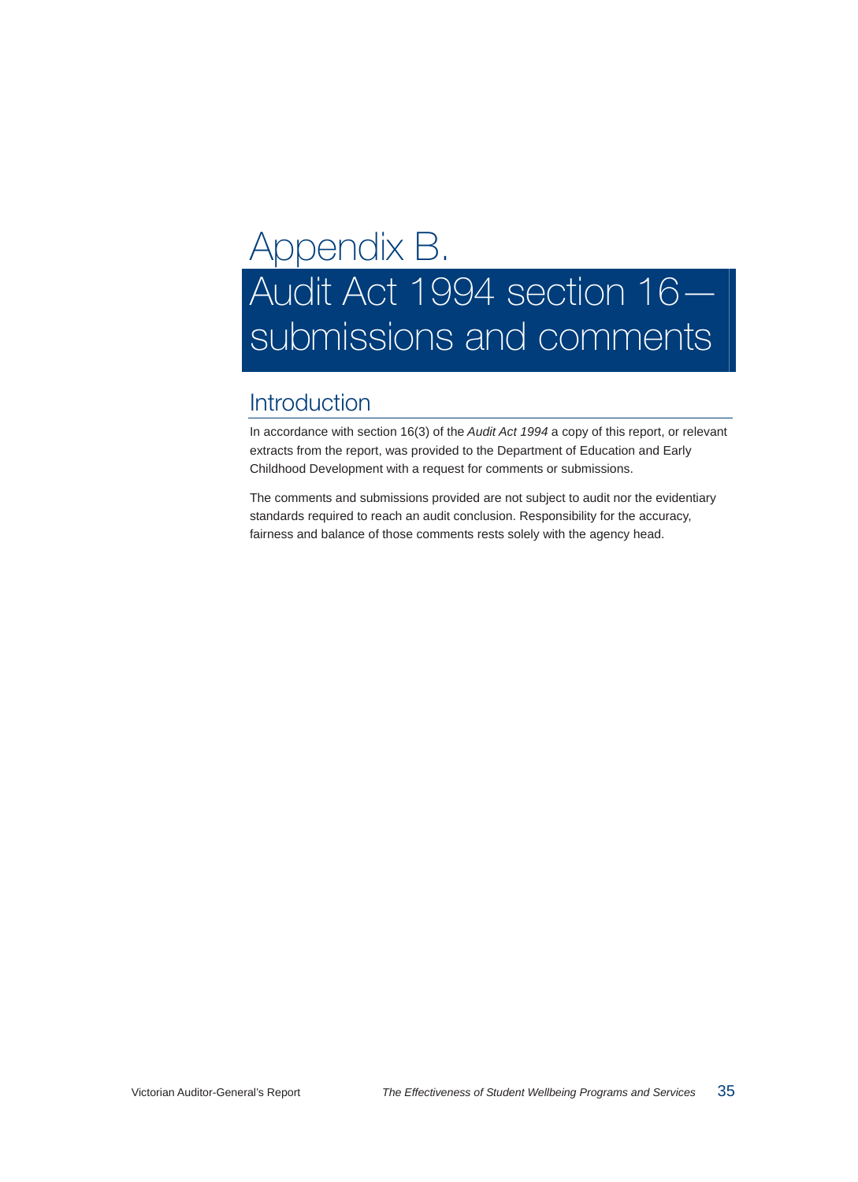# Appendix B. Audit Act 1994 section 16 submissions and comments

## Introduction

In accordance with section 16(3) of the *Audit Act 1994* a copy of this report, or relevant extracts from the report, was provided to the Department of Education and Early Childhood Development with a request for comments or submissions.

The comments and submissions provided are not subject to audit nor the evidentiary standards required to reach an audit conclusion. Responsibility for the accuracy, fairness and balance of those comments rests solely with the agency head.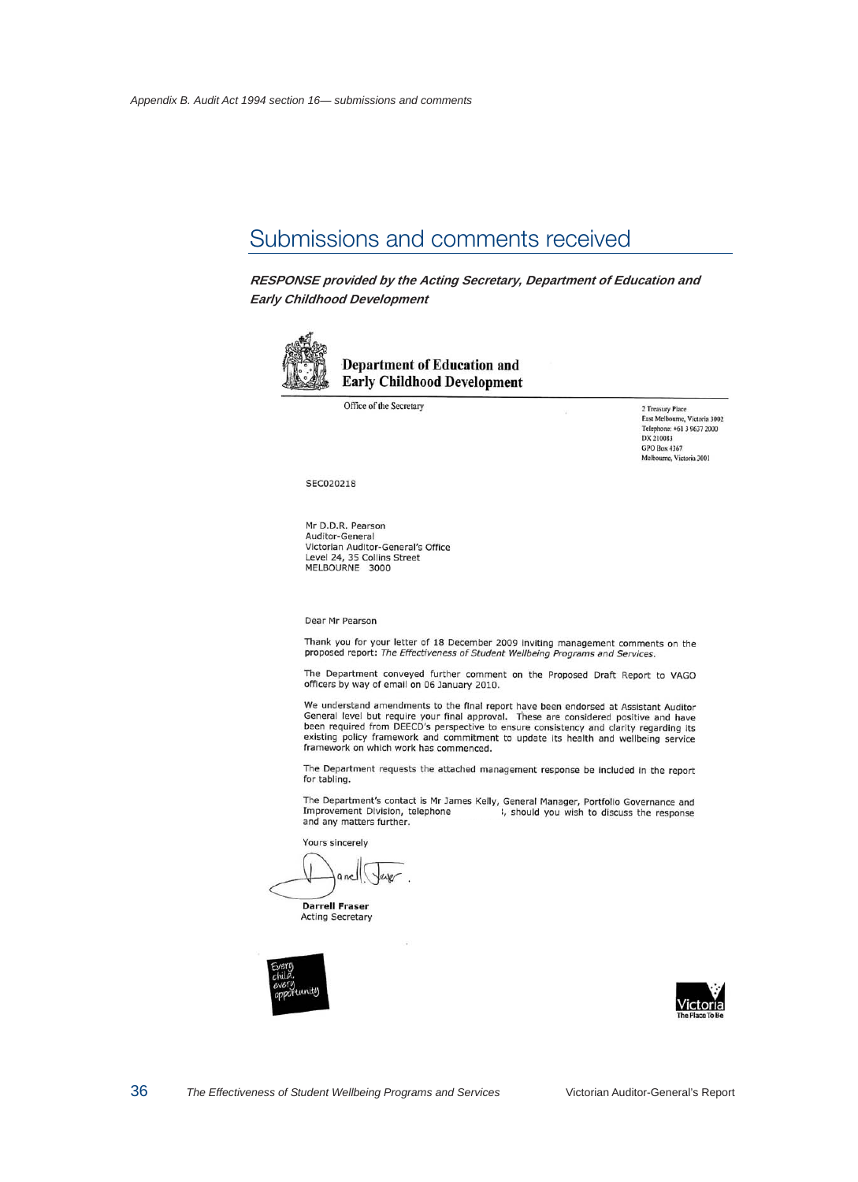## Submissions and comments received

**RESPONSE provided by the Acting Secretary, Department of Education and Early Childhood Development** 



#### **Department of Education and Early Childhood Development**

Office of the Secretary

2 Treasury Place<br>East Melbourne, Victoria 3002 Telephone: +61 3 9637 2000 DX 210083 GPO Box 4367 Melbourne, Victoria 3001

#### SEC020218

Mr D.D.R. Pearson Auditor-General Victorian Auditor-General's Office Level 24, 35 Collins Street MELBOURNE 3000

Dear Mr Pearson

Thank you for your letter of 18 December 2009 inviting management comments on the proposed report: The Effectiveness of Student Wellbeing Programs and Services.

The Department conveyed further comment on the Proposed Draft Report to VAGO officers by way of email on 06 January 2010.

We understand amendments to the final report have been endorsed at Assistant Auditor General level but require your final approval. These are considered positive and have<br>been required from DEECD's perspective to ensure consistency and clarity regarding its existing policy framework and commitment to update its health and wellbeing service framework on which work has commenced.

The Department requests the attached management response be included in the report for tabling.

The Department's contact is Mr James Kelly, General Manager, Portfolio Governance and Improvement Division, telephone 1, should you wish to discuss the response and any matters further.

Yours sincerely

**Darrell Fraser Acting Secretary** 



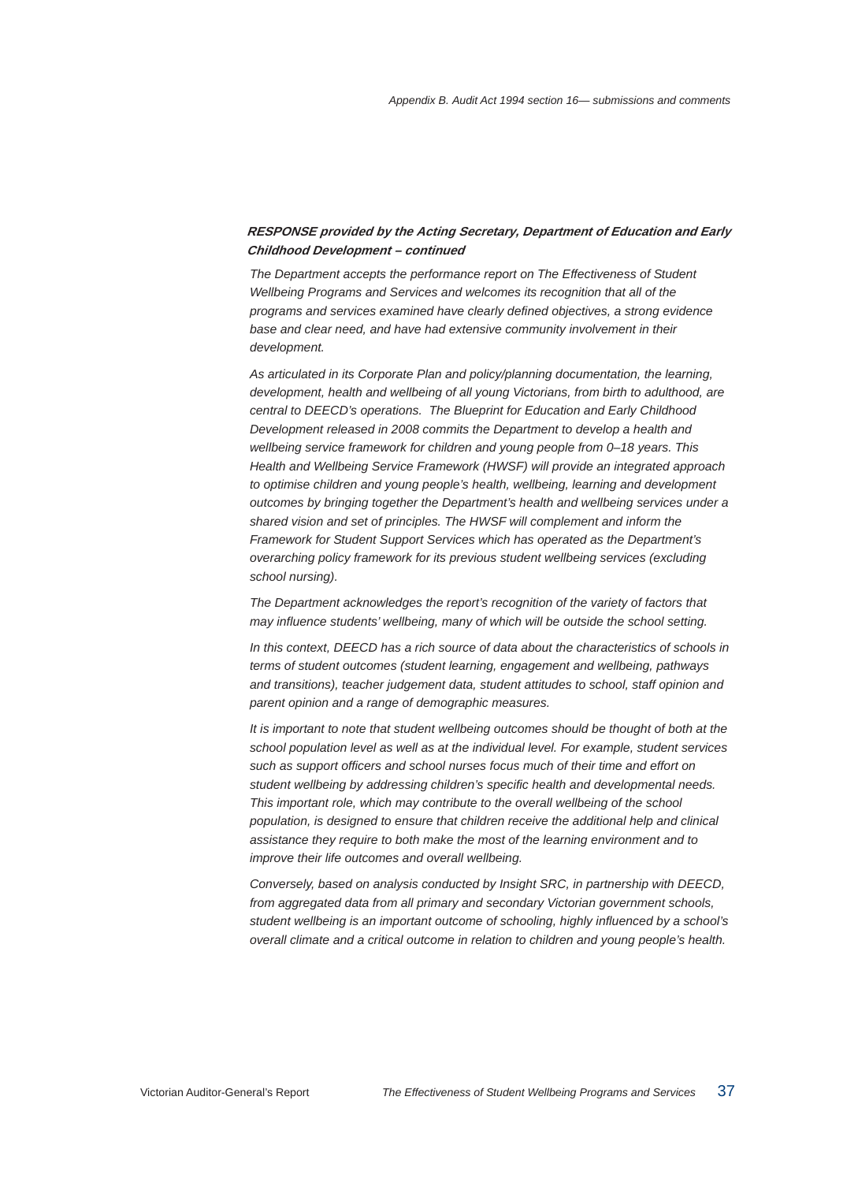*The Department accepts the performance report on The Effectiveness of Student Wellbeing Programs and Services and welcomes its recognition that all of the programs and services examined have clearly defined objectives, a strong evidence base and clear need, and have had extensive community involvement in their development.* 

*As articulated in its Corporate Plan and policy/planning documentation, the learning, development, health and wellbeing of all young Victorians, from birth to adulthood, are central to DEECD's operations. The Blueprint for Education and Early Childhood Development released in 2008 commits the Department to develop a health and wellbeing service framework for children and young people from 0–18 years. This Health and Wellbeing Service Framework (HWSF) will provide an integrated approach to optimise children and young people's health, wellbeing, learning and development outcomes by bringing together the Department's health and wellbeing services under a shared vision and set of principles. The HWSF will complement and inform the Framework for Student Support Services which has operated as the Department's overarching policy framework for its previous student wellbeing services (excluding school nursing).* 

*The Department acknowledges the report's recognition of the variety of factors that may influence students' wellbeing, many of which will be outside the school setting.* 

*In this context, DEECD has a rich source of data about the characteristics of schools in terms of student outcomes (student learning, engagement and wellbeing, pathways and transitions), teacher judgement data, student attitudes to school, staff opinion and parent opinion and a range of demographic measures.* 

*It is important to note that student wellbeing outcomes should be thought of both at the school population level as well as at the individual level. For example, student services such as support officers and school nurses focus much of their time and effort on student wellbeing by addressing children's specific health and developmental needs. This important role, which may contribute to the overall wellbeing of the school population, is designed to ensure that children receive the additional help and clinical assistance they require to both make the most of the learning environment and to improve their life outcomes and overall wellbeing.* 

*Conversely, based on analysis conducted by Insight SRC, in partnership with DEECD, from aggregated data from all primary and secondary Victorian government schools, student wellbeing is an important outcome of schooling, highly influenced by a school's overall climate and a critical outcome in relation to children and young people's health.*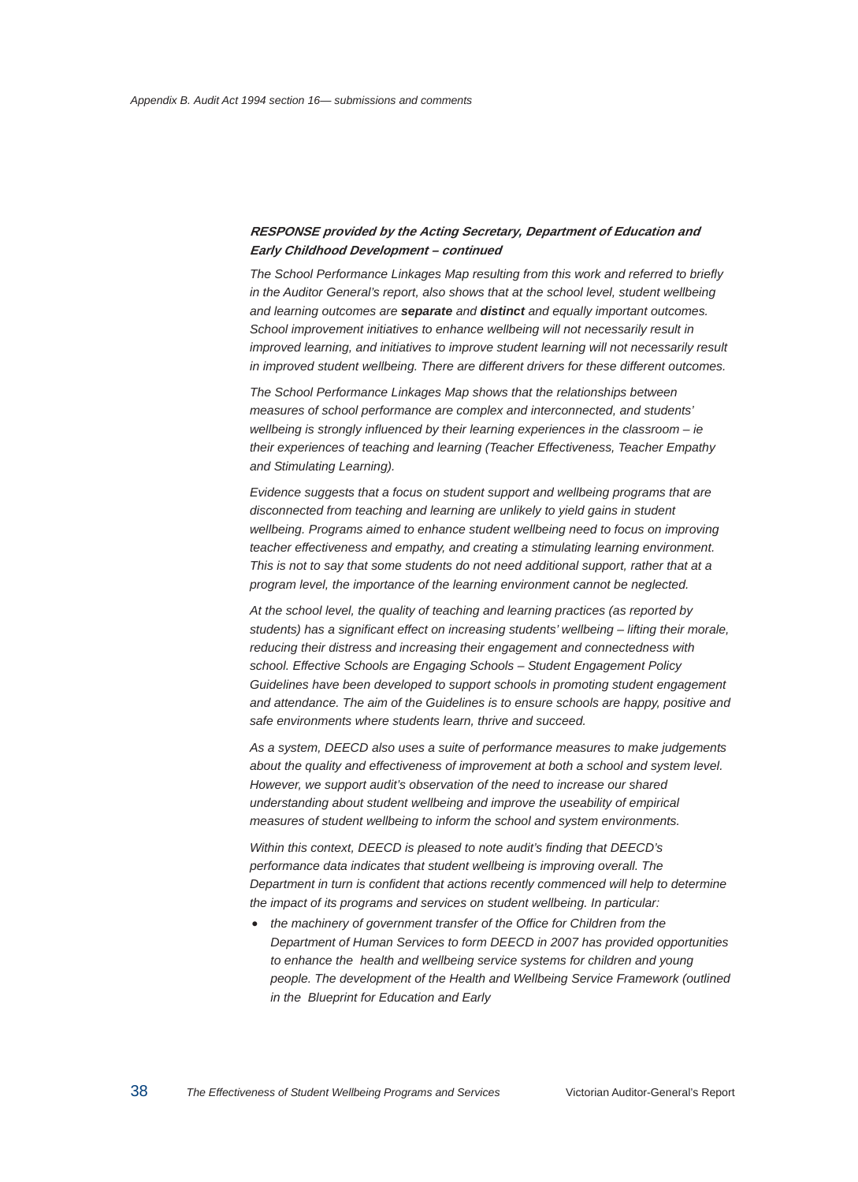*The School Performance Linkages Map resulting from this work and referred to briefly in the Auditor General's report, also shows that at the school level, student wellbeing and learning outcomes are separate and distinct and equally important outcomes. School improvement initiatives to enhance wellbeing will not necessarily result in improved learning, and initiatives to improve student learning will not necessarily result in improved student wellbeing. There are different drivers for these different outcomes.* 

*The School Performance Linkages Map shows that the relationships between measures of school performance are complex and interconnected, and students' wellbeing is strongly influenced by their learning experiences in the classroom – ie their experiences of teaching and learning (Teacher Effectiveness, Teacher Empathy and Stimulating Learning).* 

*Evidence suggests that a focus on student support and wellbeing programs that are disconnected from teaching and learning are unlikely to yield gains in student wellbeing. Programs aimed to enhance student wellbeing need to focus on improving teacher effectiveness and empathy, and creating a stimulating learning environment. This is not to say that some students do not need additional support, rather that at a program level, the importance of the learning environment cannot be neglected.* 

*At the school level, the quality of teaching and learning practices (as reported by students) has a significant effect on increasing students' wellbeing – lifting their morale, reducing their distress and increasing their engagement and connectedness with school. Effective Schools are Engaging Schools – Student Engagement Policy Guidelines have been developed to support schools in promoting student engagement and attendance. The aim of the Guidelines is to ensure schools are happy, positive and safe environments where students learn, thrive and succeed.* 

*As a system, DEECD also uses a suite of performance measures to make judgements about the quality and effectiveness of improvement at both a school and system level. However, we support audit's observation of the need to increase our shared understanding about student wellbeing and improve the useability of empirical measures of student wellbeing to inform the school and system environments.* 

*Within this context, DEECD is pleased to note audit's finding that DEECD's performance data indicates that student wellbeing is improving overall. The Department in turn is confident that actions recently commenced will help to determine the impact of its programs and services on student wellbeing. In particular:* 

• *the machinery of government transfer of the Office for Children from the Department of Human Services to form DEECD in 2007 has provided opportunities to enhance the health and wellbeing service systems for children and young people. The development of the Health and Wellbeing Service Framework (outlined in the Blueprint for Education and Early*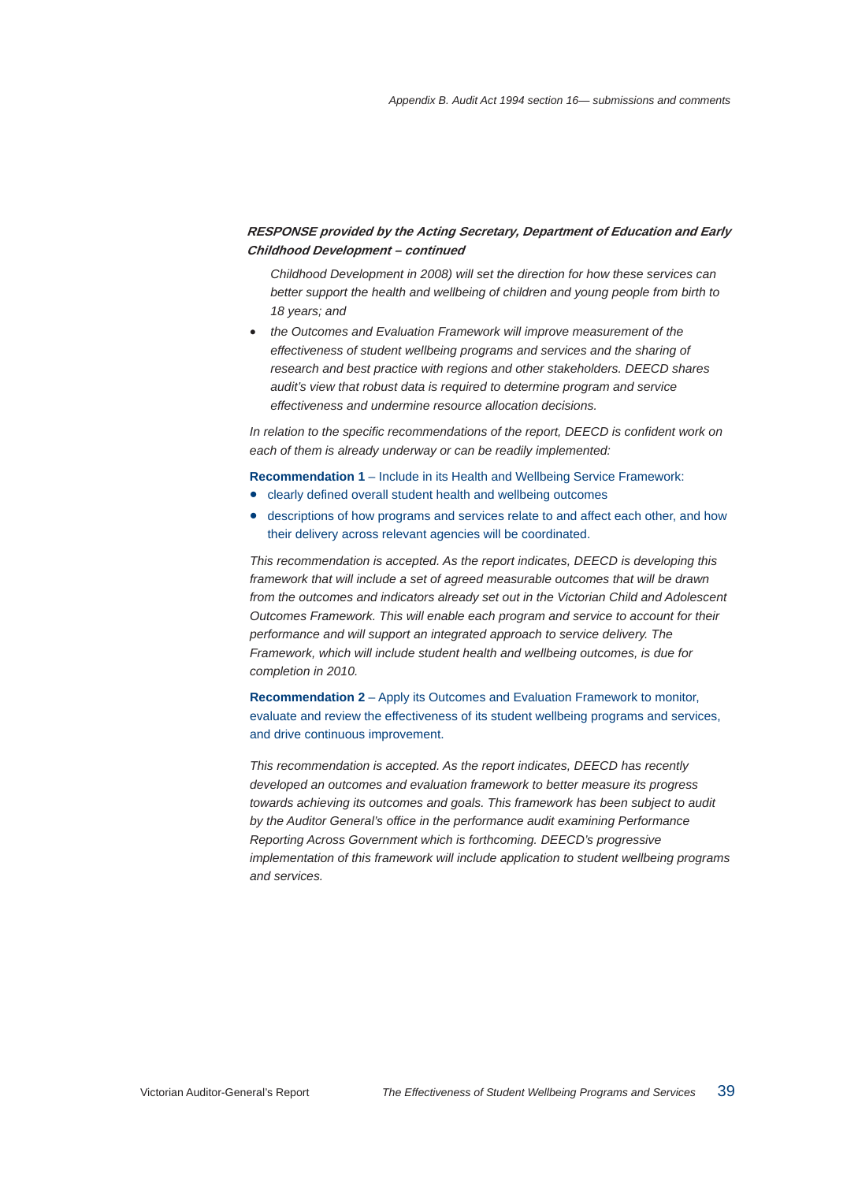*Childhood Development in 2008) will set the direction for how these services can better support the health and wellbeing of children and young people from birth to 18 years; and* 

• *the Outcomes and Evaluation Framework will improve measurement of the effectiveness of student wellbeing programs and services and the sharing of research and best practice with regions and other stakeholders. DEECD shares audit's view that robust data is required to determine program and service effectiveness and undermine resource allocation decisions.* 

*In relation to the specific recommendations of the report, DEECD is confident work on each of them is already underway or can be readily implemented:* 

**Recommendation 1** – Include in its Health and Wellbeing Service Framework:

- clearly defined overall student health and wellbeing outcomes
- descriptions of how programs and services relate to and affect each other, and how their delivery across relevant agencies will be coordinated.

*This recommendation is accepted. As the report indicates, DEECD is developing this framework that will include a set of agreed measurable outcomes that will be drawn from the outcomes and indicators already set out in the Victorian Child and Adolescent Outcomes Framework. This will enable each program and service to account for their performance and will support an integrated approach to service delivery. The Framework, which will include student health and wellbeing outcomes, is due for completion in 2010.* 

**Recommendation 2** – Apply its Outcomes and Evaluation Framework to monitor, evaluate and review the effectiveness of its student wellbeing programs and services, and drive continuous improvement.

*This recommendation is accepted. As the report indicates, DEECD has recently developed an outcomes and evaluation framework to better measure its progress towards achieving its outcomes and goals. This framework has been subject to audit by the Auditor General's office in the performance audit examining Performance Reporting Across Government which is forthcoming. DEECD's progressive implementation of this framework will include application to student wellbeing programs and services.*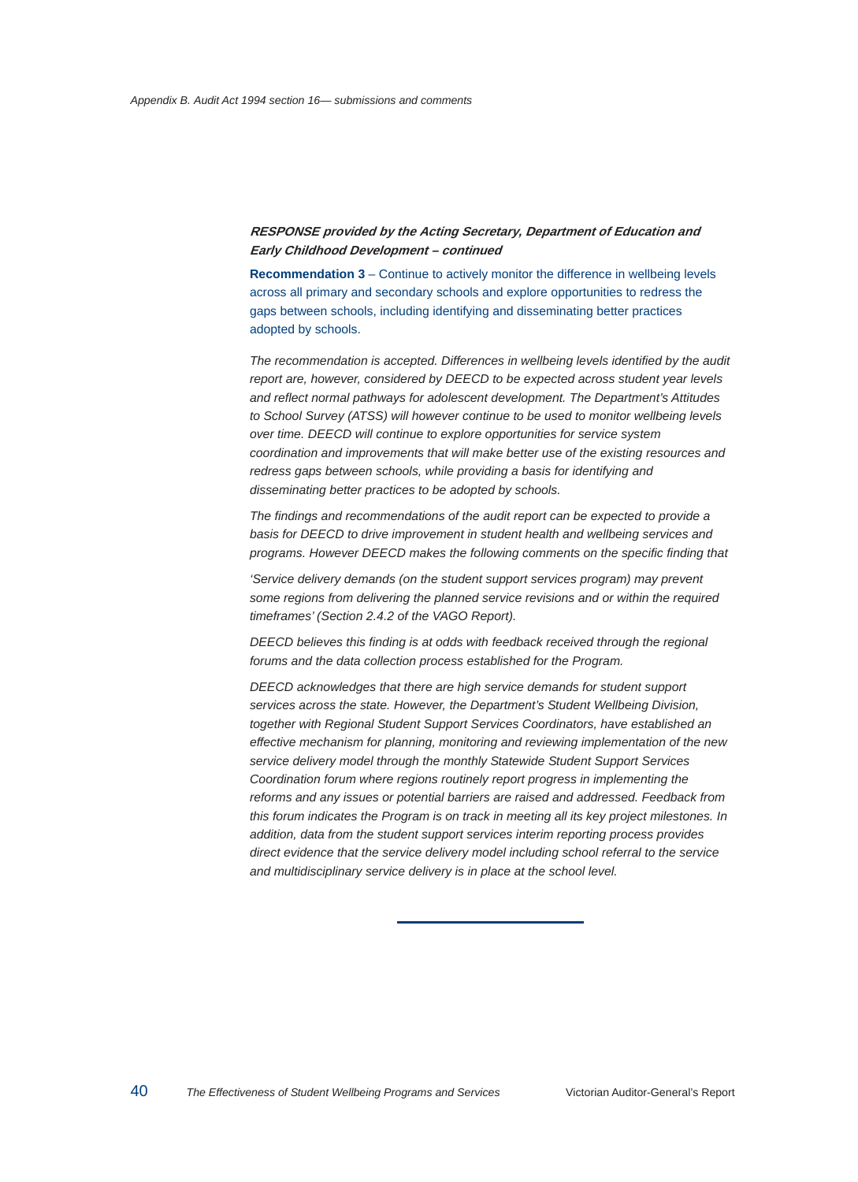**Recommendation 3** – Continue to actively monitor the difference in wellbeing levels across all primary and secondary schools and explore opportunities to redress the gaps between schools, including identifying and disseminating better practices adopted by schools.

*The recommendation is accepted. Differences in wellbeing levels identified by the audit report are, however, considered by DEECD to be expected across student year levels and reflect normal pathways for adolescent development. The Department's Attitudes to School Survey (ATSS) will however continue to be used to monitor wellbeing levels over time. DEECD will continue to explore opportunities for service system coordination and improvements that will make better use of the existing resources and redress gaps between schools, while providing a basis for identifying and disseminating better practices to be adopted by schools.* 

*The findings and recommendations of the audit report can be expected to provide a basis for DEECD to drive improvement in student health and wellbeing services and programs. However DEECD makes the following comments on the specific finding that* 

*'Service delivery demands (on the student support services program) may prevent some regions from delivering the planned service revisions and or within the required timeframes' (Section 2.4.2 of the VAGO Report).* 

*DEECD believes this finding is at odds with feedback received through the regional forums and the data collection process established for the Program.* 

*DEECD acknowledges that there are high service demands for student support services across the state. However, the Department's Student Wellbeing Division, together with Regional Student Support Services Coordinators, have established an effective mechanism for planning, monitoring and reviewing implementation of the new service delivery model through the monthly Statewide Student Support Services Coordination forum where regions routinely report progress in implementing the reforms and any issues or potential barriers are raised and addressed. Feedback from this forum indicates the Program is on track in meeting all its key project milestones. In addition, data from the student support services interim reporting process provides direct evidence that the service delivery model including school referral to the service and multidisciplinary service delivery is in place at the school level.*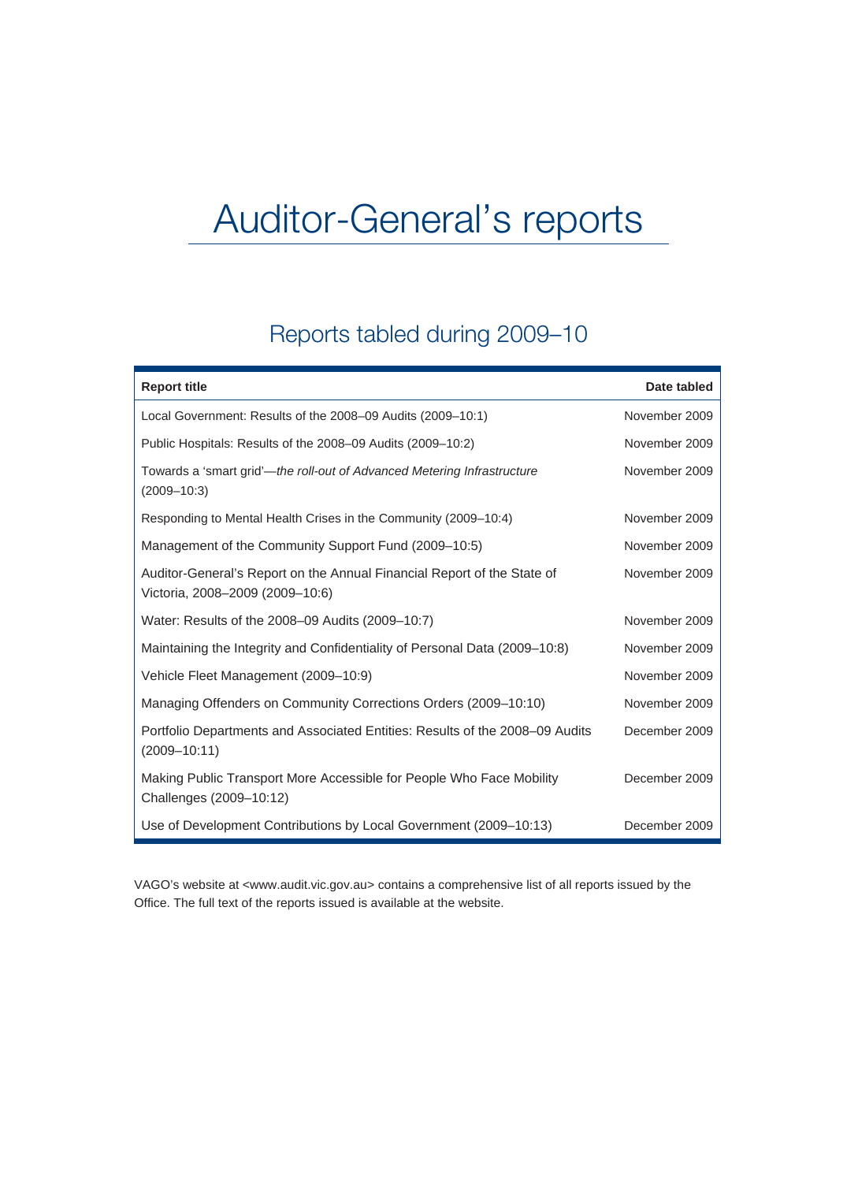# Auditor-General's reports

## Reports tabled during 2009–10

| <b>Report title</b>                                                                                        | Date tabled   |
|------------------------------------------------------------------------------------------------------------|---------------|
| Local Government: Results of the 2008-09 Audits (2009-10:1)                                                | November 2009 |
| Public Hospitals: Results of the 2008-09 Audits (2009-10:2)                                                | November 2009 |
| Towards a 'smart grid'—the roll-out of Advanced Metering Infrastructure<br>$(2009 - 10:3)$                 | November 2009 |
| Responding to Mental Health Crises in the Community (2009-10:4)                                            | November 2009 |
| Management of the Community Support Fund (2009-10:5)                                                       | November 2009 |
| Auditor-General's Report on the Annual Financial Report of the State of<br>Victoria, 2008-2009 (2009-10:6) | November 2009 |
| Water: Results of the 2008-09 Audits (2009-10:7)                                                           | November 2009 |
| Maintaining the Integrity and Confidentiality of Personal Data (2009–10:8)                                 | November 2009 |
| Vehicle Fleet Management (2009-10:9)                                                                       | November 2009 |
| Managing Offenders on Community Corrections Orders (2009-10:10)                                            | November 2009 |
| Portfolio Departments and Associated Entities: Results of the 2008-09 Audits<br>$(2009 - 10:11)$           | December 2009 |
| Making Public Transport More Accessible for People Who Face Mobility<br>Challenges (2009-10:12)            | December 2009 |
| Use of Development Contributions by Local Government (2009–10:13)                                          | December 2009 |

VAGO's website at <www.audit.vic.gov.au> contains a comprehensive list of all reports issued by the Office. The full text of the reports issued is available at the website.